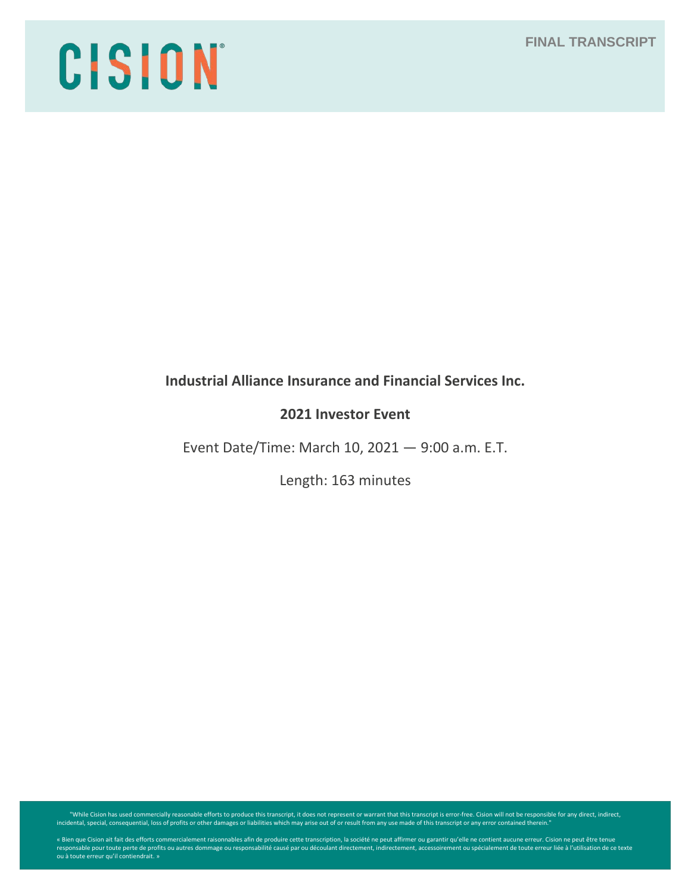# CISION

# **Industrial Alliance Insurance and Financial Services Inc.**

# **2021 Investor Event**

Event Date/Time: March 10, 2021 — 9:00 a.m. E.T.

Length: 163 minutes

"While Cision has used commercially reasonable efforts to produce this transcript, it does not represent or warrant that this transcript is error-free. Cision will not be responsible for any direct, indirect, indirect, ind

« Bien que Cision ait fait des efforts commercialement raisonnables afin de produire cette transcription, la société ne peut affirmer ou garantir qu'elle ne contient aucune erreur. Cision ne peut être tenue<br>responsable pou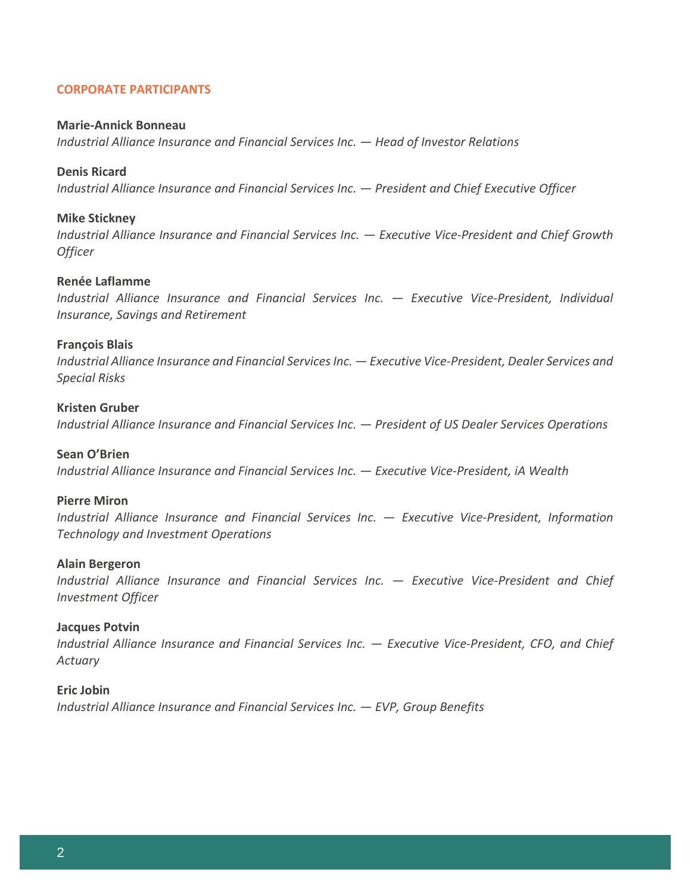# **CORPORATE PARTICIPANTS**

#### **Marie-Annick Bonneau**

*Industrial Alliance Insurance and Financial Services Inc. — Head of Investor Relations*

#### **Denis Ricard**

*Industrial Alliance Insurance and Financial Services Inc. — President and Chief Executive Officer*

#### **Mike Stickney**

*Industrial Alliance Insurance and Financial Services Inc. — Executive Vice-President and Chief Growth Officer*

#### **Renée Laflamme**

*Industrial Alliance Insurance and Financial Services Inc. — Executive Vice-President, Individual Insurance, Savings and Retirement*

#### **François Blais**

*Industrial Alliance Insurance and Financial Services Inc. — Executive Vice-President, Dealer Services and Special Risks* 

#### **Kristen Gruber**

*Industrial Alliance Insurance and Financial Services Inc. — President of US Dealer Services Operations*

#### **Sean O'Brien**

*Industrial Alliance Insurance and Financial Services Inc. — Executive Vice-President, iA Wealth*

#### **Pierre Miron**

*Industrial Alliance Insurance and Financial Services Inc. — Executive Vice-President, Information Technology and Investment Operations*

#### **Alain Bergeron**

*Industrial Alliance Insurance and Financial Services Inc. — Executive Vice-President and Chief Investment Officer*

#### **Jacques Potvin**

*Industrial Alliance Insurance and Financial Services Inc. — Executive Vice-President, CFO, and Chief Actuary*

#### **Eric Jobin**

*Industrial Alliance Insurance and Financial Services Inc. — EVP, Group Benefits*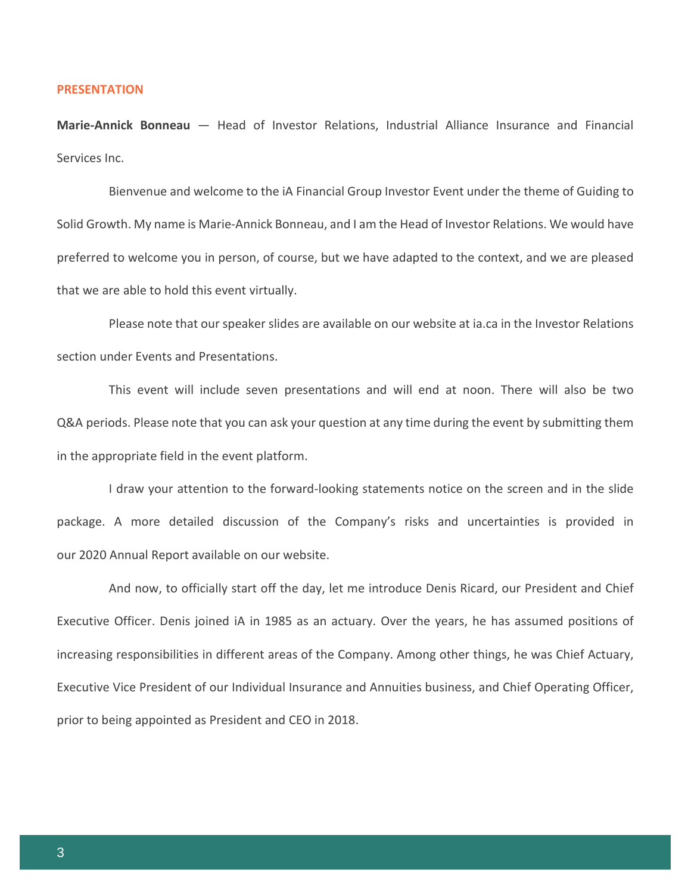#### **PRESENTATION**

**Marie-Annick Bonneau** — Head of Investor Relations, Industrial Alliance Insurance and Financial Services Inc.

Bienvenue and welcome to the iA Financial Group Investor Event under the theme of Guiding to Solid Growth. My name is Marie-Annick Bonneau, and I am the Head of Investor Relations. We would have preferred to welcome you in person, of course, but we have adapted to the context, and we are pleased that we are able to hold this event virtually.

Please note that our speaker slides are available on our website at ia.ca in the Investor Relations section under Events and Presentations.

This event will include seven presentations and will end at noon. There will also be two Q&A periods. Please note that you can ask your question at any time during the event by submitting them in the appropriate field in the event platform.

I draw your attention to the forward-looking statements notice on the screen and in the slide package. A more detailed discussion of the Company's risks and uncertainties is provided in our 2020 Annual Report available on our website.

And now, to officially start off the day, let me introduce Denis Ricard, our President and Chief Executive Officer. Denis joined iA in 1985 as an actuary. Over the years, he has assumed positions of increasing responsibilities in different areas of the Company. Among other things, he was Chief Actuary, Executive Vice President of our Individual Insurance and Annuities business, and Chief Operating Officer, prior to being appointed as President and CEO in 2018.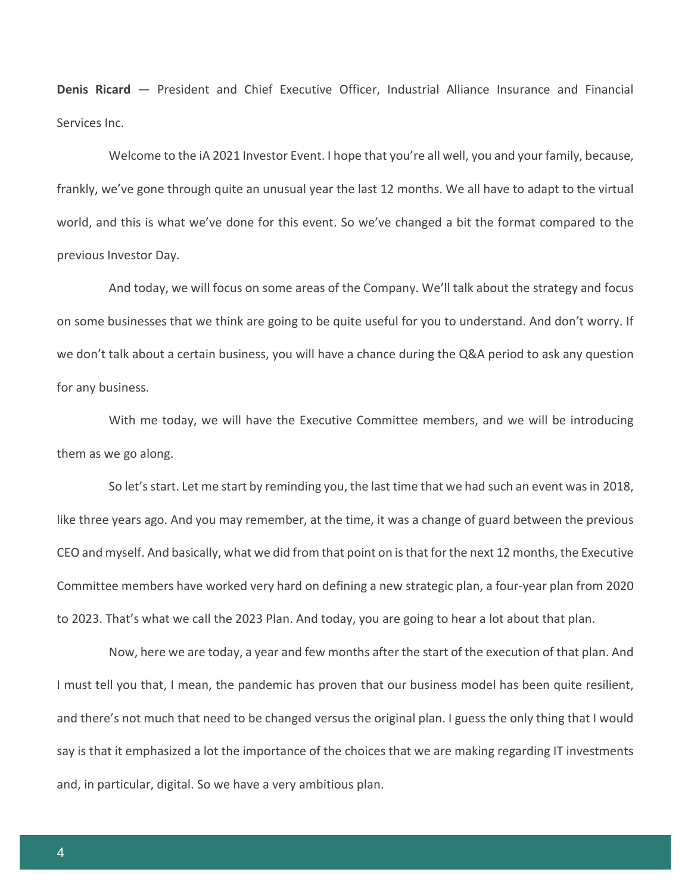**Denis Ricard** — President and Chief Executive Officer, Industrial Alliance Insurance and Financial Services Inc.

Welcome to the iA 2021 Investor Event. I hope that you're all well, you and your family, because, frankly, we've gone through quite an unusual year the last 12 months. We all have to adapt to the virtual world, and this is what we've done for this event. So we've changed a bit the format compared to the previous Investor Day.

And today, we will focus on some areas of the Company. We'll talk about the strategy and focus on some businesses that we think are going to be quite useful for you to understand. And don't worry. If we don't talk about a certain business, you will have a chance during the Q&A period to ask any question for any business.

With me today, we will have the Executive Committee members, and we will be introducing them as we go along.

So let's start. Let me start by reminding you, the last time that we had such an event was in 2018, like three years ago. And you may remember, at the time, it was a change of guard between the previous CEO and myself. And basically, what we did from that point on is that for the next 12 months, the Executive Committee members have worked very hard on defining a new strategic plan, a four-year plan from 2020 to 2023. That's what we call the 2023 Plan. And today, you are going to hear a lot about that plan.

Now, here we are today, a year and few months after the start of the execution of that plan. And I must tell you that, I mean, the pandemic has proven that our business model has been quite resilient, and there's not much that need to be changed versus the original plan. I guess the only thing that I would say is that it emphasized a lot the importance of the choices that we are making regarding IT investments and, in particular, digital. So we have a very ambitious plan.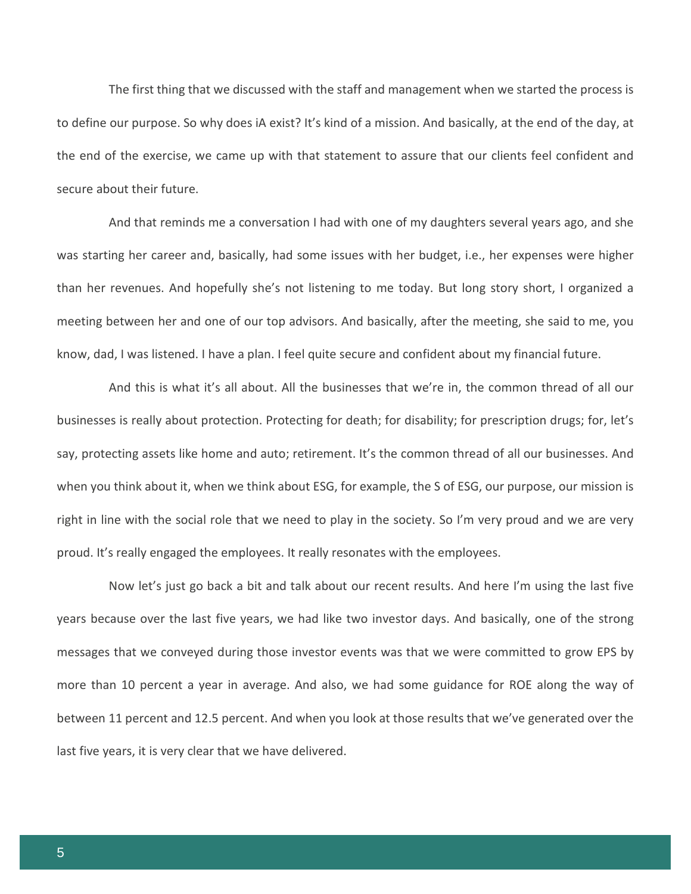The first thing that we discussed with the staff and management when we started the process is to define our purpose. So why does iA exist? It's kind of a mission. And basically, at the end of the day, at the end of the exercise, we came up with that statement to assure that our clients feel confident and secure about their future.

And that reminds me a conversation I had with one of my daughters several years ago, and she was starting her career and, basically, had some issues with her budget, i.e., her expenses were higher than her revenues. And hopefully she's not listening to me today. But long story short, I organized a meeting between her and one of our top advisors. And basically, after the meeting, she said to me, you know, dad, I was listened. I have a plan. I feel quite secure and confident about my financial future.

And this is what it's all about. All the businesses that we're in, the common thread of all our businesses is really about protection. Protecting for death; for disability; for prescription drugs; for, let's say, protecting assets like home and auto; retirement. It's the common thread of all our businesses. And when you think about it, when we think about ESG, for example, the S of ESG, our purpose, our mission is right in line with the social role that we need to play in the society. So I'm very proud and we are very proud. It's really engaged the employees. It really resonates with the employees.

Now let's just go back a bit and talk about our recent results. And here I'm using the last five years because over the last five years, we had like two investor days. And basically, one of the strong messages that we conveyed during those investor events was that we were committed to grow EPS by more than 10 percent a year in average. And also, we had some guidance for ROE along the way of between 11 percent and 12.5 percent. And when you look at those results that we've generated over the last five years, it is very clear that we have delivered.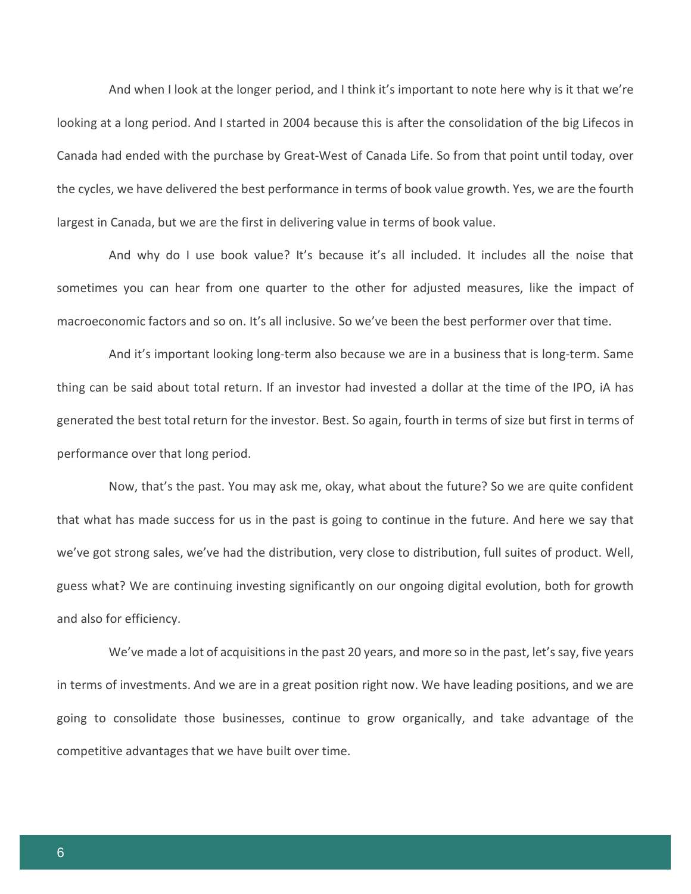And when I look at the longer period, and I think it's important to note here why is it that we're looking at a long period. And I started in 2004 because this is after the consolidation of the big Lifecos in Canada had ended with the purchase by Great-West of Canada Life. So from that point until today, over the cycles, we have delivered the best performance in terms of book value growth. Yes, we are the fourth largest in Canada, but we are the first in delivering value in terms of book value.

And why do I use book value? It's because it's all included. It includes all the noise that sometimes you can hear from one quarter to the other for adjusted measures, like the impact of macroeconomic factors and so on. It's all inclusive. So we've been the best performer over that time.

And it's important looking long-term also because we are in a business that is long-term. Same thing can be said about total return. If an investor had invested a dollar at the time of the IPO, iA has generated the best total return for the investor. Best. So again, fourth in terms of size but first in terms of performance over that long period.

Now, that's the past. You may ask me, okay, what about the future? So we are quite confident that what has made success for us in the past is going to continue in the future. And here we say that we've got strong sales, we've had the distribution, very close to distribution, full suites of product. Well, guess what? We are continuing investing significantly on our ongoing digital evolution, both for growth and also for efficiency.

We've made a lot of acquisitions in the past 20 years, and more so in the past, let's say, five years in terms of investments. And we are in a great position right now. We have leading positions, and we are going to consolidate those businesses, continue to grow organically, and take advantage of the competitive advantages that we have built over time.

6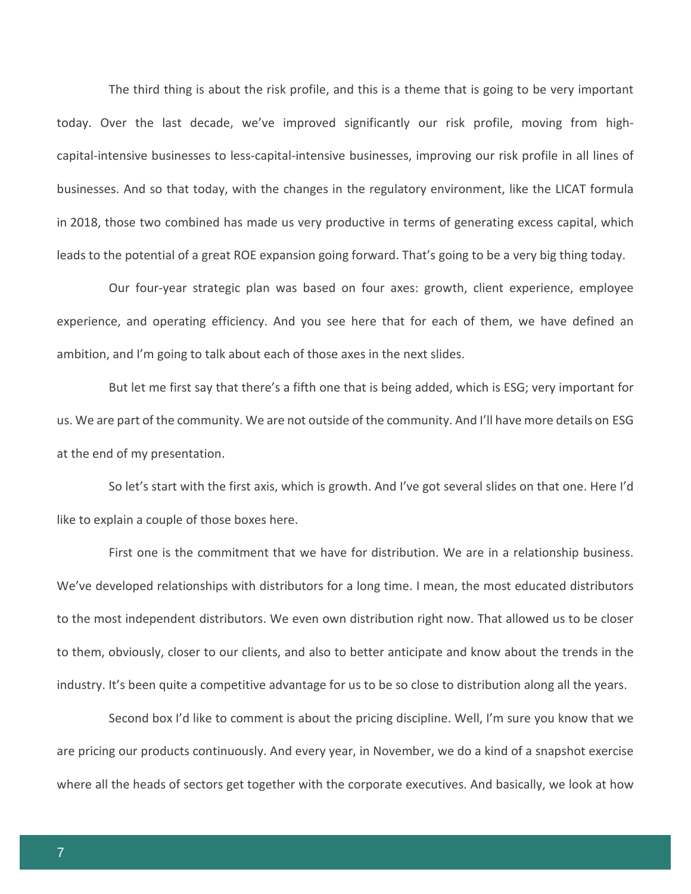The third thing is about the risk profile, and this is a theme that is going to be very important today. Over the last decade, we've improved significantly our risk profile, moving from highcapital-intensive businesses to less-capital-intensive businesses, improving our risk profile in all lines of businesses. And so that today, with the changes in the regulatory environment, like the LICAT formula in 2018, those two combined has made us very productive in terms of generating excess capital, which leads to the potential of a great ROE expansion going forward. That's going to be a very big thing today.

Our four-year strategic plan was based on four axes: growth, client experience, employee experience, and operating efficiency. And you see here that for each of them, we have defined an ambition, and I'm going to talk about each of those axes in the next slides.

But let me first say that there's a fifth one that is being added, which is ESG; very important for us. We are part of the community. We are not outside of the community. And I'll have more details on ESG at the end of my presentation.

So let's start with the first axis, which is growth. And I've got several slides on that one. Here I'd like to explain a couple of those boxes here.

First one is the commitment that we have for distribution. We are in a relationship business. We've developed relationships with distributors for a long time. I mean, the most educated distributors to the most independent distributors. We even own distribution right now. That allowed us to be closer to them, obviously, closer to our clients, and also to better anticipate and know about the trends in the industry. It's been quite a competitive advantage for us to be so close to distribution along all the years.

Second box I'd like to comment is about the pricing discipline. Well, I'm sure you know that we are pricing our products continuously. And every year, in November, we do a kind of a snapshot exercise where all the heads of sectors get together with the corporate executives. And basically, we look at how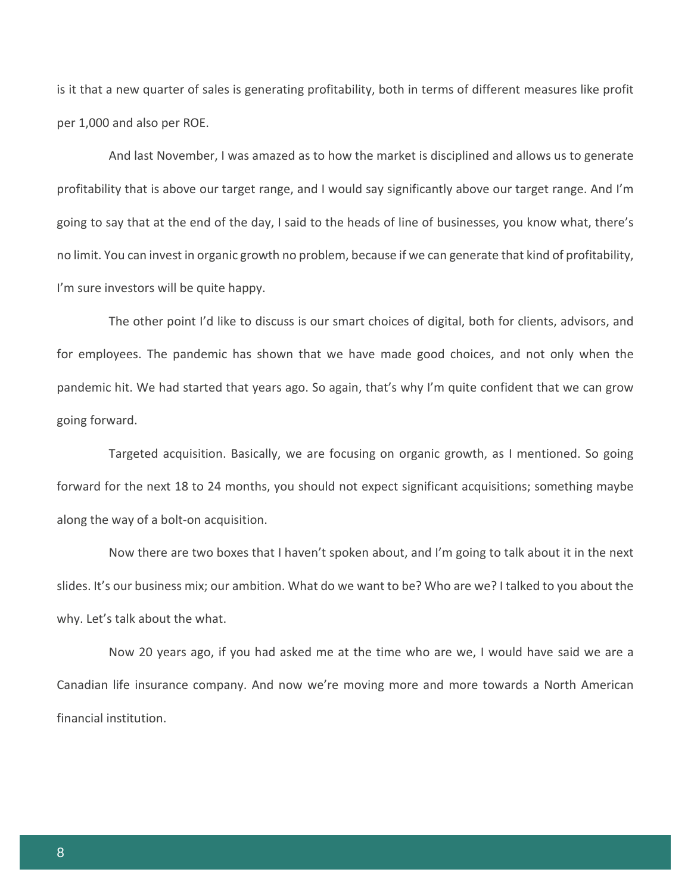is it that a new quarter of sales is generating profitability, both in terms of different measures like profit per 1,000 and also per ROE.

And last November, I was amazed as to how the market is disciplined and allows us to generate profitability that is above our target range, and I would say significantly above our target range. And I'm going to say that at the end of the day, I said to the heads of line of businesses, you know what, there's no limit. You can invest in organic growth no problem, because if we can generate that kind of profitability, I'm sure investors will be quite happy.

The other point I'd like to discuss is our smart choices of digital, both for clients, advisors, and for employees. The pandemic has shown that we have made good choices, and not only when the pandemic hit. We had started that years ago. So again, that's why I'm quite confident that we can grow going forward.

Targeted acquisition. Basically, we are focusing on organic growth, as I mentioned. So going forward for the next 18 to 24 months, you should not expect significant acquisitions; something maybe along the way of a bolt-on acquisition.

Now there are two boxes that I haven't spoken about, and I'm going to talk about it in the next slides. It's our business mix; our ambition. What do we want to be? Who are we? I talked to you about the why. Let's talk about the what.

Now 20 years ago, if you had asked me at the time who are we, I would have said we are a Canadian life insurance company. And now we're moving more and more towards a North American financial institution.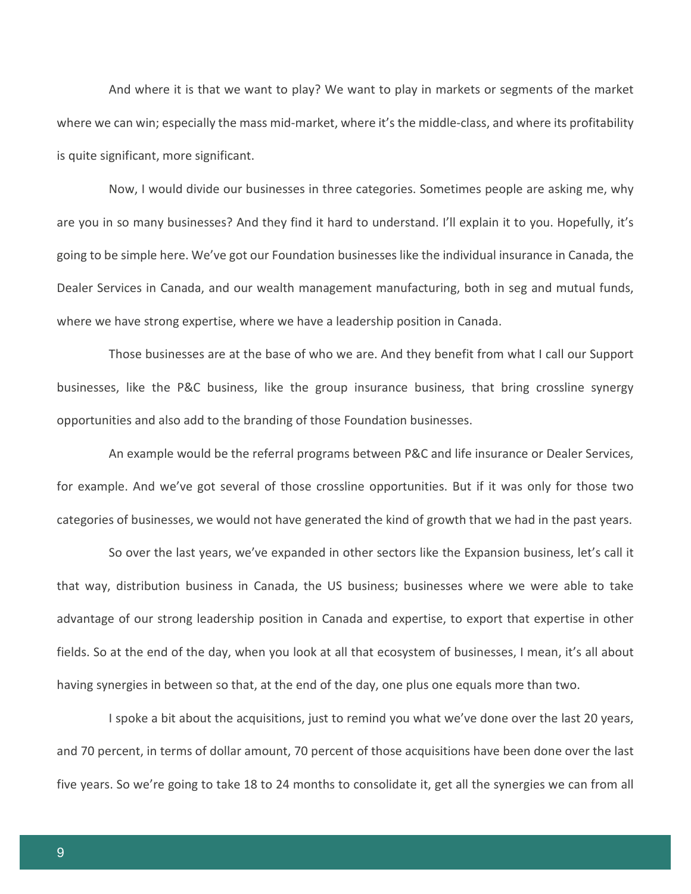And where it is that we want to play? We want to play in markets or segments of the market where we can win; especially the mass mid-market, where it's the middle-class, and where its profitability is quite significant, more significant.

Now, I would divide our businesses in three categories. Sometimes people are asking me, why are you in so many businesses? And they find it hard to understand. I'll explain it to you. Hopefully, it's going to be simple here. We've got our Foundation businesses like the individual insurance in Canada, the Dealer Services in Canada, and our wealth management manufacturing, both in seg and mutual funds, where we have strong expertise, where we have a leadership position in Canada.

Those businesses are at the base of who we are. And they benefit from what I call our Support businesses, like the P&C business, like the group insurance business, that bring crossline synergy opportunities and also add to the branding of those Foundation businesses.

An example would be the referral programs between P&C and life insurance or Dealer Services, for example. And we've got several of those crossline opportunities. But if it was only for those two categories of businesses, we would not have generated the kind of growth that we had in the past years.

So over the last years, we've expanded in other sectors like the Expansion business, let's call it that way, distribution business in Canada, the US business; businesses where we were able to take advantage of our strong leadership position in Canada and expertise, to export that expertise in other fields. So at the end of the day, when you look at all that ecosystem of businesses, I mean, it's all about having synergies in between so that, at the end of the day, one plus one equals more than two.

I spoke a bit about the acquisitions, just to remind you what we've done over the last 20 years, and 70 percent, in terms of dollar amount, 70 percent of those acquisitions have been done over the last five years. So we're going to take 18 to 24 months to consolidate it, get all the synergies we can from all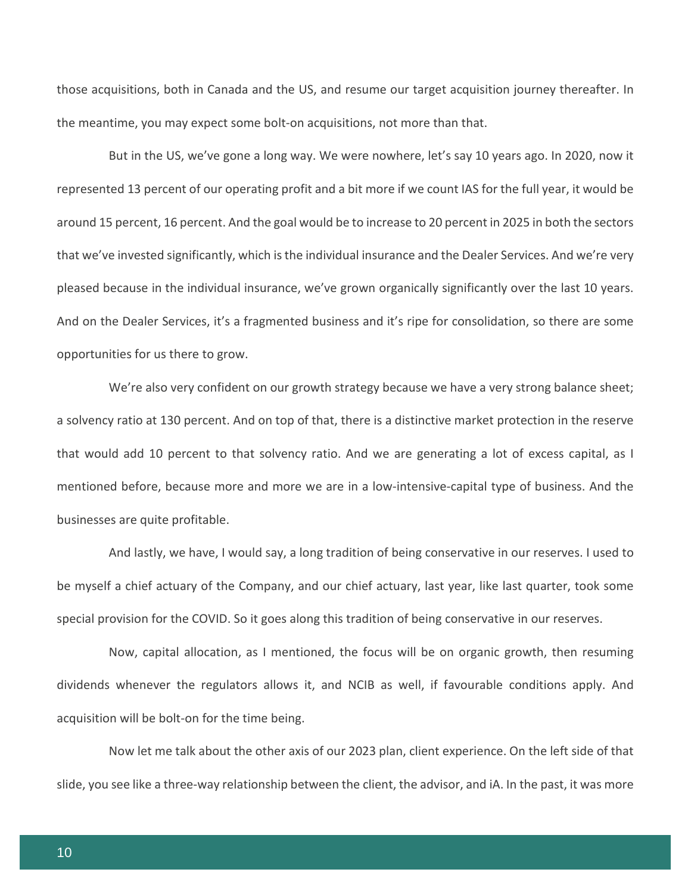those acquisitions, both in Canada and the US, and resume our target acquisition journey thereafter. In the meantime, you may expect some bolt-on acquisitions, not more than that.

But in the US, we've gone a long way. We were nowhere, let's say 10 years ago. In 2020, now it represented 13 percent of our operating profit and a bit more if we count IAS for the full year, it would be around 15 percent, 16 percent. And the goal would be to increase to 20 percent in 2025 in both the sectors that we've invested significantly, which is the individual insurance and the Dealer Services. And we're very pleased because in the individual insurance, we've grown organically significantly over the last 10 years. And on the Dealer Services, it's a fragmented business and it's ripe for consolidation, so there are some opportunities for us there to grow.

We're also very confident on our growth strategy because we have a very strong balance sheet; a solvency ratio at 130 percent. And on top of that, there is a distinctive market protection in the reserve that would add 10 percent to that solvency ratio. And we are generating a lot of excess capital, as I mentioned before, because more and more we are in a low-intensive-capital type of business. And the businesses are quite profitable.

And lastly, we have, I would say, a long tradition of being conservative in our reserves. I used to be myself a chief actuary of the Company, and our chief actuary, last year, like last quarter, took some special provision for the COVID. So it goes along this tradition of being conservative in our reserves.

Now, capital allocation, as I mentioned, the focus will be on organic growth, then resuming dividends whenever the regulators allows it, and NCIB as well, if favourable conditions apply. And acquisition will be bolt-on for the time being.

Now let me talk about the other axis of our 2023 plan, client experience. On the left side of that slide, you see like a three-way relationship between the client, the advisor, and iA. In the past, it was more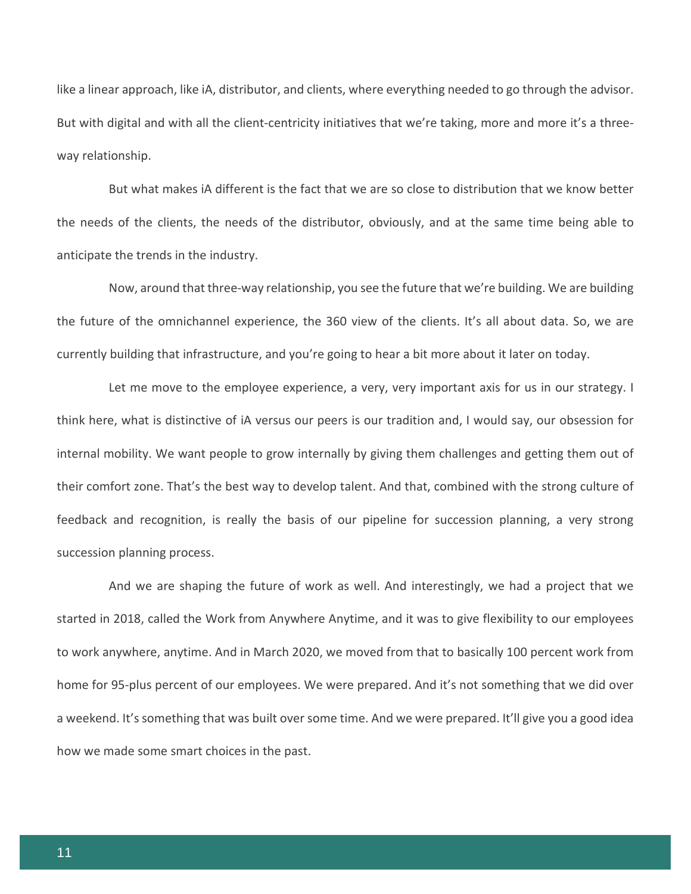like a linear approach, like iA, distributor, and clients, where everything needed to go through the advisor. But with digital and with all the client-centricity initiatives that we're taking, more and more it's a threeway relationship.

But what makes iA different is the fact that we are so close to distribution that we know better the needs of the clients, the needs of the distributor, obviously, and at the same time being able to anticipate the trends in the industry.

Now, around that three-way relationship, you see the future that we're building. We are building the future of the omnichannel experience, the 360 view of the clients. It's all about data. So, we are currently building that infrastructure, and you're going to hear a bit more about it later on today.

Let me move to the employee experience, a very, very important axis for us in our strategy. I think here, what is distinctive of iA versus our peers is our tradition and, I would say, our obsession for internal mobility. We want people to grow internally by giving them challenges and getting them out of their comfort zone. That's the best way to develop talent. And that, combined with the strong culture of feedback and recognition, is really the basis of our pipeline for succession planning, a very strong succession planning process.

And we are shaping the future of work as well. And interestingly, we had a project that we started in 2018, called the Work from Anywhere Anytime, and it was to give flexibility to our employees to work anywhere, anytime. And in March 2020, we moved from that to basically 100 percent work from home for 95-plus percent of our employees. We were prepared. And it's not something that we did over a weekend. It's something that was built over some time. And we were prepared. It'll give you a good idea how we made some smart choices in the past.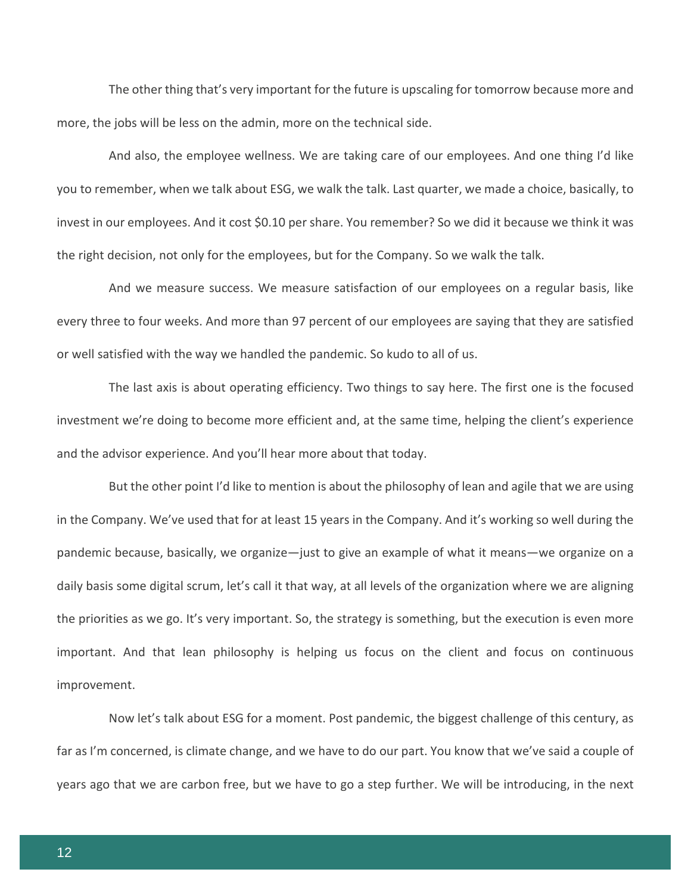The other thing that's very important for the future is upscaling for tomorrow because more and more, the jobs will be less on the admin, more on the technical side.

And also, the employee wellness. We are taking care of our employees. And one thing I'd like you to remember, when we talk about ESG, we walk the talk. Last quarter, we made a choice, basically, to invest in our employees. And it cost \$0.10 per share. You remember? So we did it because we think it was the right decision, not only for the employees, but for the Company. So we walk the talk.

And we measure success. We measure satisfaction of our employees on a regular basis, like every three to four weeks. And more than 97 percent of our employees are saying that they are satisfied or well satisfied with the way we handled the pandemic. So kudo to all of us.

The last axis is about operating efficiency. Two things to say here. The first one is the focused investment we're doing to become more efficient and, at the same time, helping the client's experience and the advisor experience. And you'll hear more about that today.

But the other point I'd like to mention is about the philosophy of lean and agile that we are using in the Company. We've used that for at least 15 years in the Company. And it's working so well during the pandemic because, basically, we organize—just to give an example of what it means—we organize on a daily basis some digital scrum, let's call it that way, at all levels of the organization where we are aligning the priorities as we go. It's very important. So, the strategy is something, but the execution is even more important. And that lean philosophy is helping us focus on the client and focus on continuous improvement.

Now let's talk about ESG for a moment. Post pandemic, the biggest challenge of this century, as far as I'm concerned, is climate change, and we have to do our part. You know that we've said a couple of years ago that we are carbon free, but we have to go a step further. We will be introducing, in the next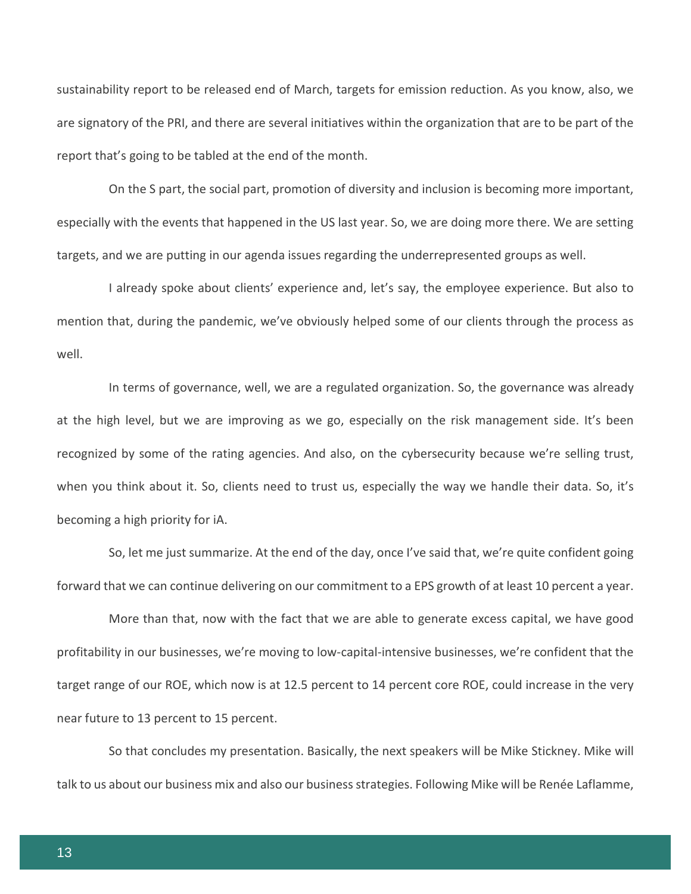sustainability report to be released end of March, targets for emission reduction. As you know, also, we are signatory of the PRI, and there are several initiatives within the organization that are to be part of the report that's going to be tabled at the end of the month.

On the S part, the social part, promotion of diversity and inclusion is becoming more important, especially with the events that happened in the US last year. So, we are doing more there. We are setting targets, and we are putting in our agenda issues regarding the underrepresented groups as well.

I already spoke about clients' experience and, let's say, the employee experience. But also to mention that, during the pandemic, we've obviously helped some of our clients through the process as well.

In terms of governance, well, we are a regulated organization. So, the governance was already at the high level, but we are improving as we go, especially on the risk management side. It's been recognized by some of the rating agencies. And also, on the cybersecurity because we're selling trust, when you think about it. So, clients need to trust us, especially the way we handle their data. So, it's becoming a high priority for iA.

So, let me just summarize. At the end of the day, once I've said that, we're quite confident going forward that we can continue delivering on our commitment to a EPS growth of at least 10 percent a year.

More than that, now with the fact that we are able to generate excess capital, we have good profitability in our businesses, we're moving to low-capital-intensive businesses, we're confident that the target range of our ROE, which now is at 12.5 percent to 14 percent core ROE, could increase in the very near future to 13 percent to 15 percent.

So that concludes my presentation. Basically, the next speakers will be Mike Stickney. Mike will talk to us about our business mix and also our business strategies. Following Mike will be Renée Laflamme,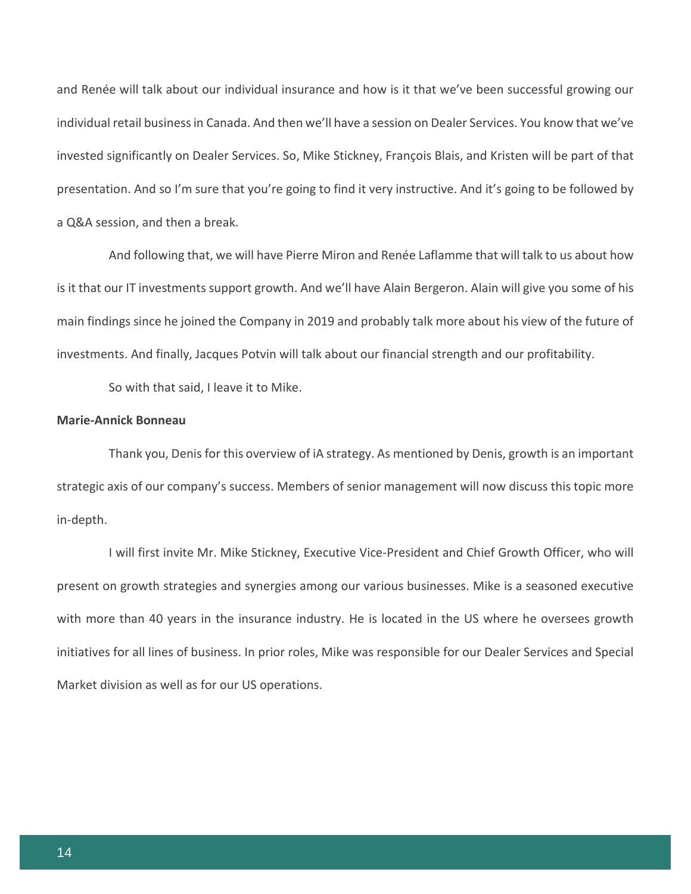and Renée will talk about our individual insurance and how is it that we've been successful growing our individual retail business in Canada. And then we'll have a session on Dealer Services. You know that we've invested significantly on Dealer Services. So, Mike Stickney, François Blais, and Kristen will be part of that presentation. And so I'm sure that you're going to find it very instructive. And it's going to be followed by a Q&A session, and then a break.

And following that, we will have Pierre Miron and Renée Laflamme that will talk to us about how is it that our IT investments support growth. And we'll have Alain Bergeron. Alain will give you some of his main findings since he joined the Company in 2019 and probably talk more about his view of the future of investments. And finally, Jacques Potvin will talk about our financial strength and our profitability.

So with that said, I leave it to Mike.

#### **Marie-Annick Bonneau**

Thank you, Denis for this overview of iA strategy. As mentioned by Denis, growth is an important strategic axis of our company's success. Members of senior management will now discuss this topic more in-depth.

I will first invite Mr. Mike Stickney, Executive Vice-President and Chief Growth Officer, who will present on growth strategies and synergies among our various businesses. Mike is a seasoned executive with more than 40 years in the insurance industry. He is located in the US where he oversees growth initiatives for all lines of business. In prior roles, Mike was responsible for our Dealer Services and Special Market division as well as for our US operations.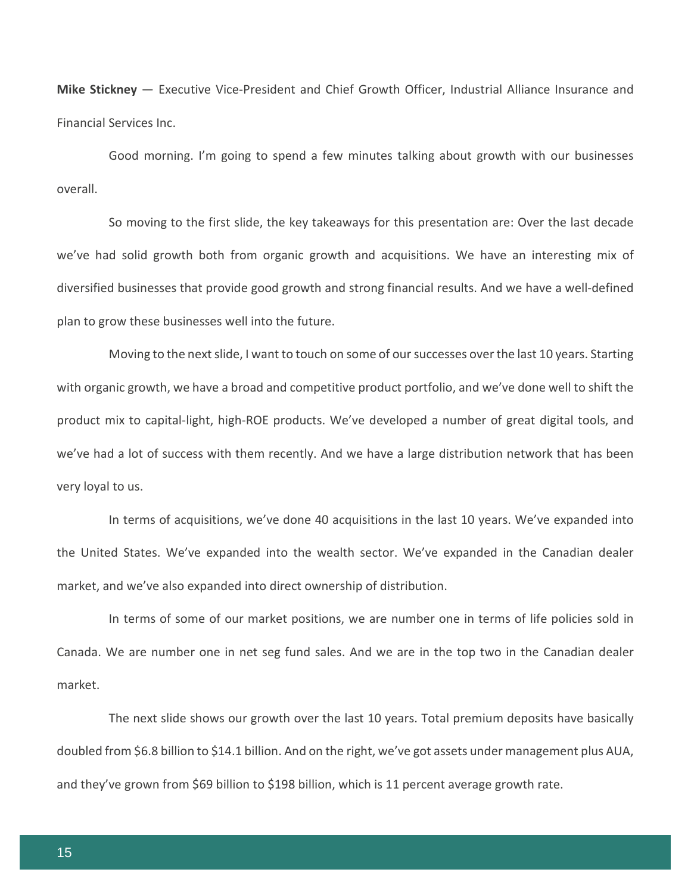**Mike Stickney** — Executive Vice-President and Chief Growth Officer, Industrial Alliance Insurance and Financial Services Inc.

Good morning. I'm going to spend a few minutes talking about growth with our businesses overall.

So moving to the first slide, the key takeaways for this presentation are: Over the last decade we've had solid growth both from organic growth and acquisitions. We have an interesting mix of diversified businesses that provide good growth and strong financial results. And we have a well-defined plan to grow these businesses well into the future.

Moving to the next slide, I want to touch on some of our successes over the last 10 years. Starting with organic growth, we have a broad and competitive product portfolio, and we've done well to shift the product mix to capital-light, high-ROE products. We've developed a number of great digital tools, and we've had a lot of success with them recently. And we have a large distribution network that has been very loyal to us.

In terms of acquisitions, we've done 40 acquisitions in the last 10 years. We've expanded into the United States. We've expanded into the wealth sector. We've expanded in the Canadian dealer market, and we've also expanded into direct ownership of distribution.

In terms of some of our market positions, we are number one in terms of life policies sold in Canada. We are number one in net seg fund sales. And we are in the top two in the Canadian dealer market.

The next slide shows our growth over the last 10 years. Total premium deposits have basically doubled from \$6.8 billion to \$14.1 billion. And on the right, we've got assets under management plus AUA, and they've grown from \$69 billion to \$198 billion, which is 11 percent average growth rate.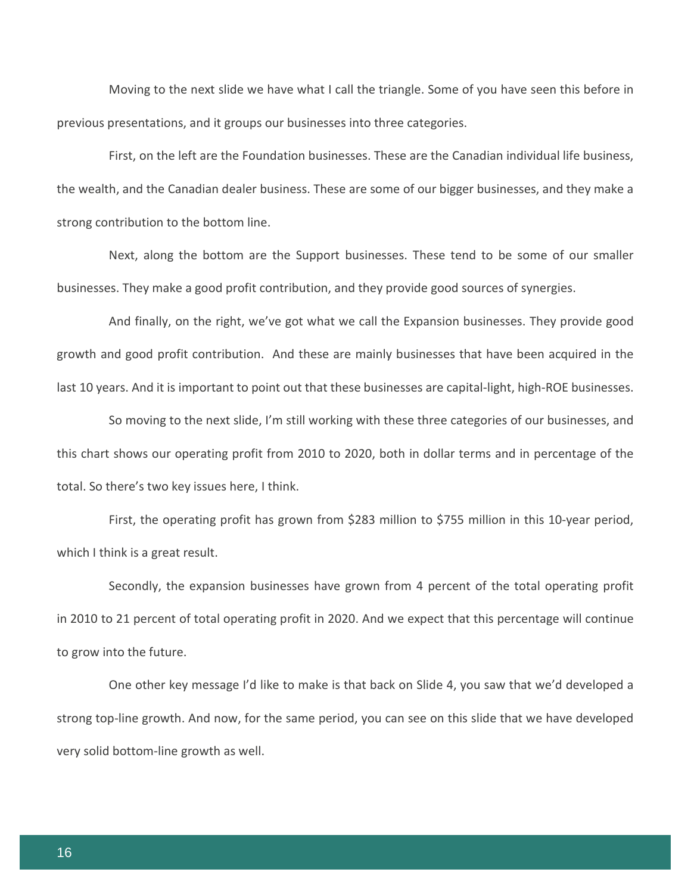Moving to the next slide we have what I call the triangle. Some of you have seen this before in previous presentations, and it groups our businesses into three categories.

First, on the left are the Foundation businesses. These are the Canadian individual life business, the wealth, and the Canadian dealer business. These are some of our bigger businesses, and they make a strong contribution to the bottom line.

Next, along the bottom are the Support businesses. These tend to be some of our smaller businesses. They make a good profit contribution, and they provide good sources of synergies.

And finally, on the right, we've got what we call the Expansion businesses. They provide good growth and good profit contribution. And these are mainly businesses that have been acquired in the last 10 years. And it is important to point out that these businesses are capital-light, high-ROE businesses.

So moving to the next slide, I'm still working with these three categories of our businesses, and this chart shows our operating profit from 2010 to 2020, both in dollar terms and in percentage of the total. So there's two key issues here, I think.

First, the operating profit has grown from \$283 million to \$755 million in this 10-year period, which I think is a great result.

Secondly, the expansion businesses have grown from 4 percent of the total operating profit in 2010 to 21 percent of total operating profit in 2020. And we expect that this percentage will continue to grow into the future.

One other key message I'd like to make is that back on Slide 4, you saw that we'd developed a strong top-line growth. And now, for the same period, you can see on this slide that we have developed very solid bottom-line growth as well.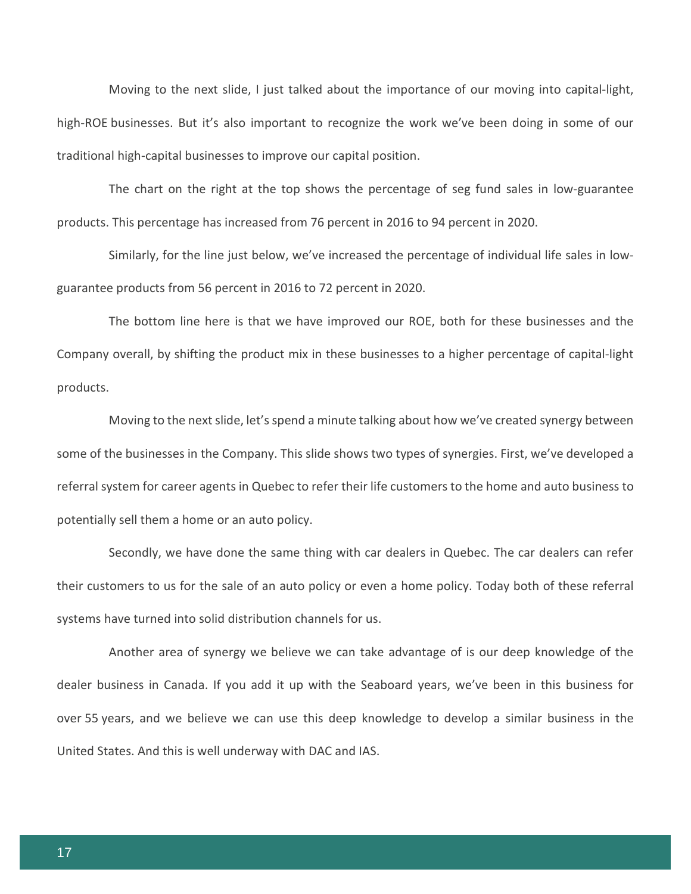Moving to the next slide, I just talked about the importance of our moving into capital-light, high-ROE businesses. But it's also important to recognize the work we've been doing in some of our traditional high-capital businesses to improve our capital position.

The chart on the right at the top shows the percentage of seg fund sales in low-guarantee products. This percentage has increased from 76 percent in 2016 to 94 percent in 2020.

Similarly, for the line just below, we've increased the percentage of individual life sales in lowguarantee products from 56 percent in 2016 to 72 percent in 2020.

The bottom line here is that we have improved our ROE, both for these businesses and the Company overall, by shifting the product mix in these businesses to a higher percentage of capital-light products.

Moving to the next slide, let's spend a minute talking about how we've created synergy between some of the businesses in the Company. This slide shows two types of synergies. First, we've developed a referral system for career agents in Quebec to refer their life customers to the home and auto business to potentially sell them a home or an auto policy.

Secondly, we have done the same thing with car dealers in Quebec. The car dealers can refer their customers to us for the sale of an auto policy or even a home policy. Today both of these referral systems have turned into solid distribution channels for us.

Another area of synergy we believe we can take advantage of is our deep knowledge of the dealer business in Canada. If you add it up with the Seaboard years, we've been in this business for over 55 years, and we believe we can use this deep knowledge to develop a similar business in the United States. And this is well underway with DAC and IAS.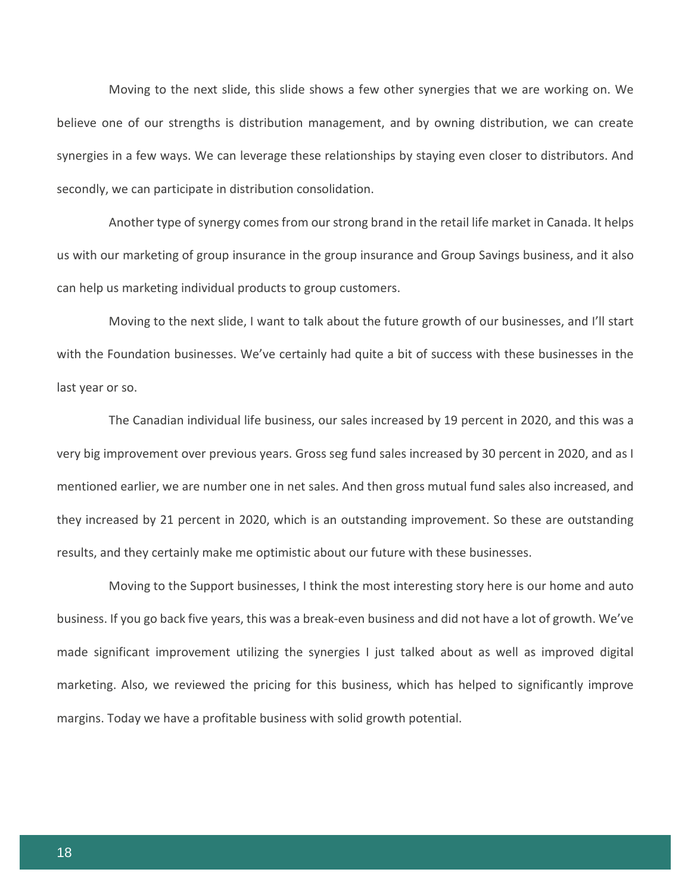Moving to the next slide, this slide shows a few other synergies that we are working on. We believe one of our strengths is distribution management, and by owning distribution, we can create synergies in a few ways. We can leverage these relationships by staying even closer to distributors. And secondly, we can participate in distribution consolidation.

Another type of synergy comes from our strong brand in the retail life market in Canada. It helps us with our marketing of group insurance in the group insurance and Group Savings business, and it also can help us marketing individual products to group customers.

Moving to the next slide, I want to talk about the future growth of our businesses, and I'll start with the Foundation businesses. We've certainly had quite a bit of success with these businesses in the last year or so.

The Canadian individual life business, our sales increased by 19 percent in 2020, and this was a very big improvement over previous years. Gross seg fund sales increased by 30 percent in 2020, and as I mentioned earlier, we are number one in net sales. And then gross mutual fund sales also increased, and they increased by 21 percent in 2020, which is an outstanding improvement. So these are outstanding results, and they certainly make me optimistic about our future with these businesses.

Moving to the Support businesses, I think the most interesting story here is our home and auto business. If you go back five years, this was a break-even business and did not have a lot of growth. We've made significant improvement utilizing the synergies I just talked about as well as improved digital marketing. Also, we reviewed the pricing for this business, which has helped to significantly improve margins. Today we have a profitable business with solid growth potential.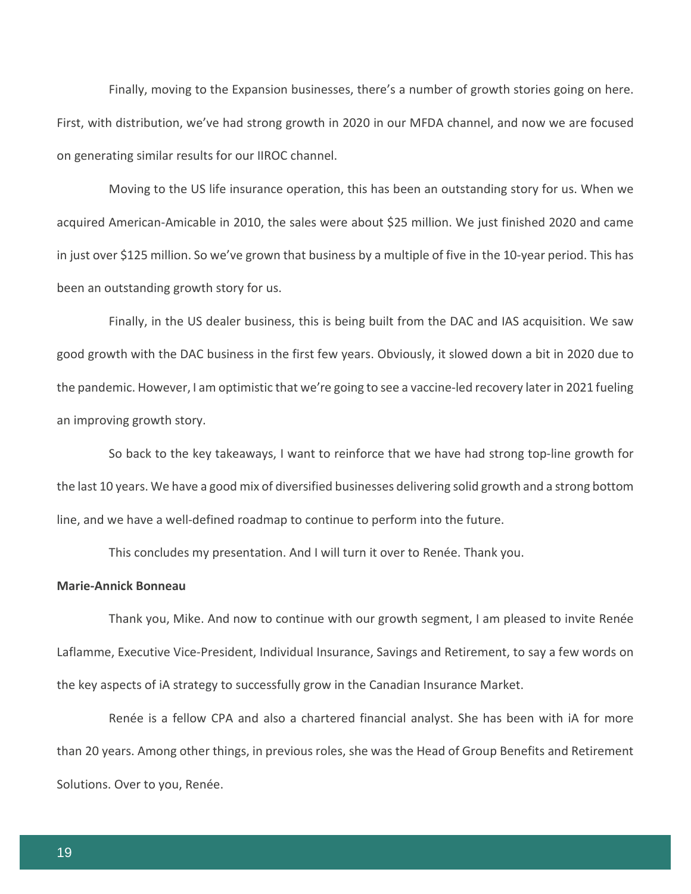Finally, moving to the Expansion businesses, there's a number of growth stories going on here. First, with distribution, we've had strong growth in 2020 in our MFDA channel, and now we are focused on generating similar results for our IIROC channel.

Moving to the US life insurance operation, this has been an outstanding story for us. When we acquired American-Amicable in 2010, the sales were about \$25 million. We just finished 2020 and came in just over \$125 million. So we've grown that business by a multiple of five in the 10-year period. This has been an outstanding growth story for us.

Finally, in the US dealer business, this is being built from the DAC and IAS acquisition. We saw good growth with the DAC business in the first few years. Obviously, it slowed down a bit in 2020 due to the pandemic. However, I am optimistic that we're going to see a vaccine-led recovery later in 2021 fueling an improving growth story.

So back to the key takeaways, I want to reinforce that we have had strong top-line growth for the last 10 years. We have a good mix of diversified businesses delivering solid growth and a strong bottom line, and we have a well-defined roadmap to continue to perform into the future.

This concludes my presentation. And I will turn it over to Renée. Thank you.

# **Marie-Annick Bonneau**

Thank you, Mike. And now to continue with our growth segment, I am pleased to invite Renée Laflamme, Executive Vice-President, Individual Insurance, Savings and Retirement, to say a few words on the key aspects of iA strategy to successfully grow in the Canadian Insurance Market.

Renée is a fellow CPA and also a chartered financial analyst. She has been with iA for more than 20 years. Among other things, in previous roles, she was the Head of Group Benefits and Retirement Solutions. Over to you, Renée.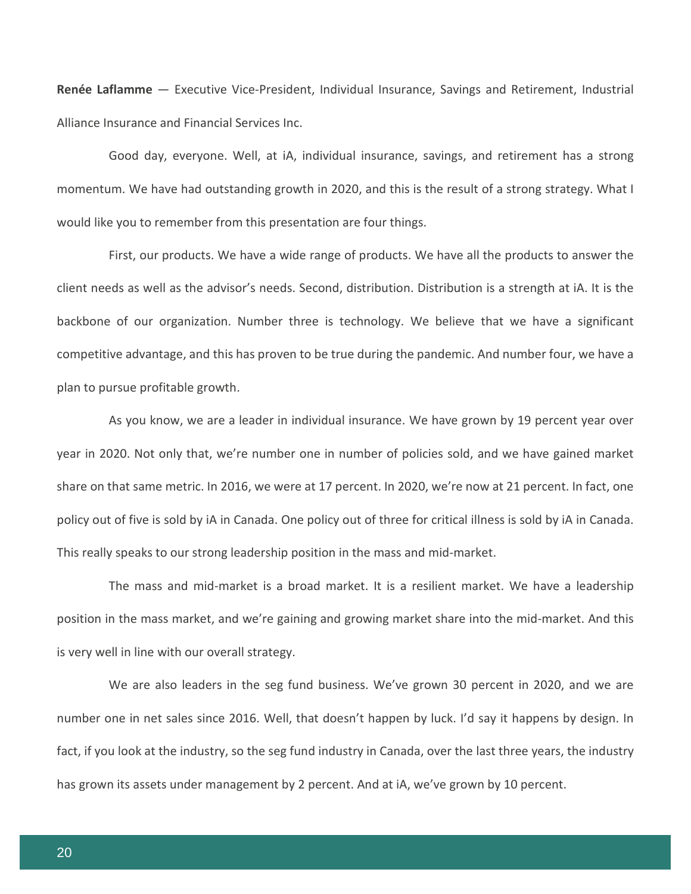**Renée Laflamme** — Executive Vice-President, Individual Insurance, Savings and Retirement, Industrial Alliance Insurance and Financial Services Inc.

Good day, everyone. Well, at iA, individual insurance, savings, and retirement has a strong momentum. We have had outstanding growth in 2020, and this is the result of a strong strategy. What I would like you to remember from this presentation are four things.

First, our products. We have a wide range of products. We have all the products to answer the client needs as well as the advisor's needs. Second, distribution. Distribution is a strength at iA. It is the backbone of our organization. Number three is technology. We believe that we have a significant competitive advantage, and this has proven to be true during the pandemic. And number four, we have a plan to pursue profitable growth.

As you know, we are a leader in individual insurance. We have grown by 19 percent year over year in 2020. Not only that, we're number one in number of policies sold, and we have gained market share on that same metric. In 2016, we were at 17 percent. In 2020, we're now at 21 percent. In fact, one policy out of five is sold by iA in Canada. One policy out of three for critical illness is sold by iA in Canada. This really speaks to our strong leadership position in the mass and mid-market.

The mass and mid-market is a broad market. It is a resilient market. We have a leadership position in the mass market, and we're gaining and growing market share into the mid-market. And this is very well in line with our overall strategy.

We are also leaders in the seg fund business. We've grown 30 percent in 2020, and we are number one in net sales since 2016. Well, that doesn't happen by luck. I'd say it happens by design. In fact, if you look at the industry, so the seg fund industry in Canada, over the last three years, the industry has grown its assets under management by 2 percent. And at iA, we've grown by 10 percent.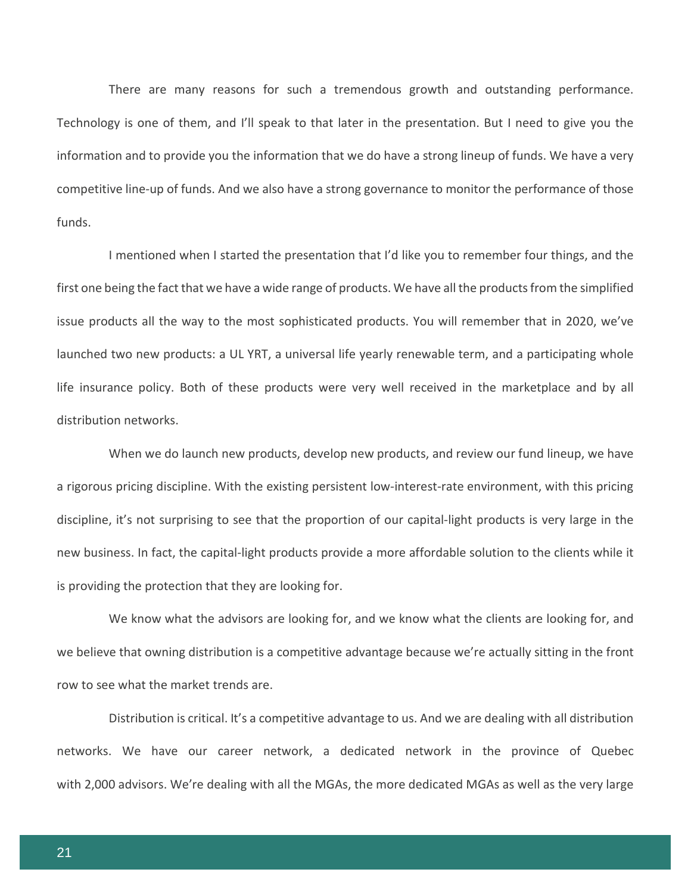There are many reasons for such a tremendous growth and outstanding performance. Technology is one of them, and I'll speak to that later in the presentation. But I need to give you the information and to provide you the information that we do have a strong lineup of funds. We have a very competitive line-up of funds. And we also have a strong governance to monitor the performance of those funds.

I mentioned when I started the presentation that I'd like you to remember four things, and the first one being the fact that we have a wide range of products. We have all the products from the simplified issue products all the way to the most sophisticated products. You will remember that in 2020, we've launched two new products: a UL YRT, a universal life yearly renewable term, and a participating whole life insurance policy. Both of these products were very well received in the marketplace and by all distribution networks.

When we do launch new products, develop new products, and review our fund lineup, we have a rigorous pricing discipline. With the existing persistent low-interest-rate environment, with this pricing discipline, it's not surprising to see that the proportion of our capital-light products is very large in the new business. In fact, the capital-light products provide a more affordable solution to the clients while it is providing the protection that they are looking for.

We know what the advisors are looking for, and we know what the clients are looking for, and we believe that owning distribution is a competitive advantage because we're actually sitting in the front row to see what the market trends are.

Distribution is critical. It's a competitive advantage to us. And we are dealing with all distribution networks. We have our career network, a dedicated network in the province of Quebec with 2,000 advisors. We're dealing with all the MGAs, the more dedicated MGAs as well as the very large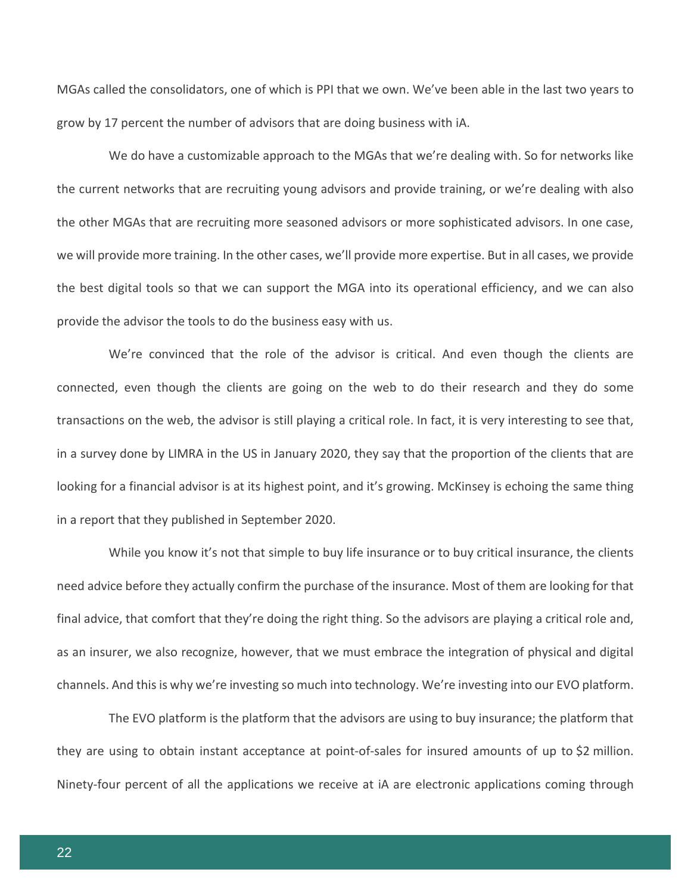MGAs called the consolidators, one of which is PPI that we own. We've been able in the last two years to grow by 17 percent the number of advisors that are doing business with iA.

We do have a customizable approach to the MGAs that we're dealing with. So for networks like the current networks that are recruiting young advisors and provide training, or we're dealing with also the other MGAs that are recruiting more seasoned advisors or more sophisticated advisors. In one case, we will provide more training. In the other cases, we'll provide more expertise. But in all cases, we provide the best digital tools so that we can support the MGA into its operational efficiency, and we can also provide the advisor the tools to do the business easy with us.

We're convinced that the role of the advisor is critical. And even though the clients are connected, even though the clients are going on the web to do their research and they do some transactions on the web, the advisor is still playing a critical role. In fact, it is very interesting to see that, in a survey done by LIMRA in the US in January 2020, they say that the proportion of the clients that are looking for a financial advisor is at its highest point, and it's growing. McKinsey is echoing the same thing in a report that they published in September 2020.

While you know it's not that simple to buy life insurance or to buy critical insurance, the clients need advice before they actually confirm the purchase of the insurance. Most of them are looking for that final advice, that comfort that they're doing the right thing. So the advisors are playing a critical role and, as an insurer, we also recognize, however, that we must embrace the integration of physical and digital channels. And this is why we're investing so much into technology. We're investing into our EVO platform.

The EVO platform is the platform that the advisors are using to buy insurance; the platform that they are using to obtain instant acceptance at point-of-sales for insured amounts of up to \$2 million. Ninety-four percent of all the applications we receive at iA are electronic applications coming through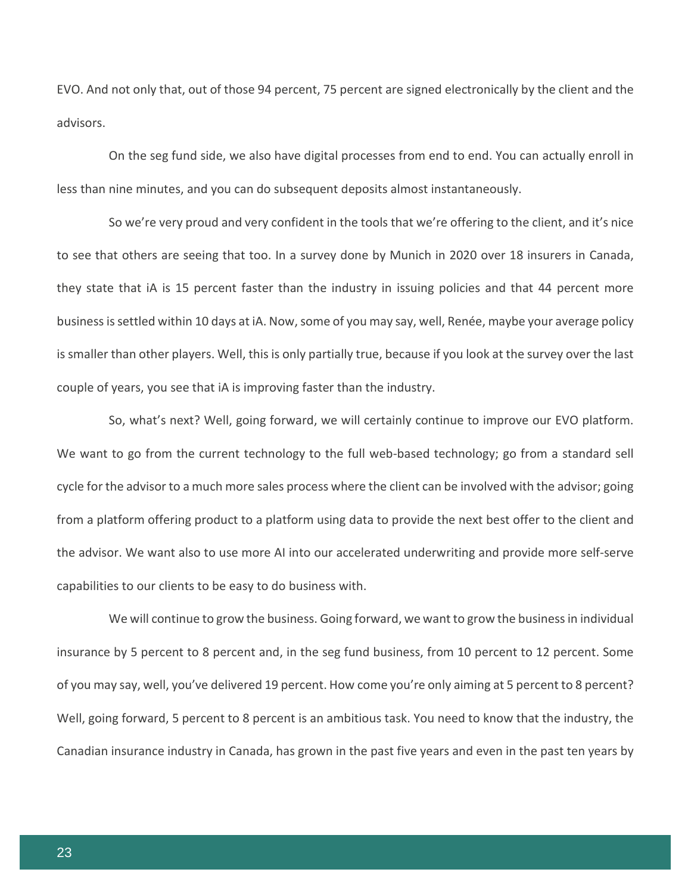EVO. And not only that, out of those 94 percent, 75 percent are signed electronically by the client and the advisors.

On the seg fund side, we also have digital processes from end to end. You can actually enroll in less than nine minutes, and you can do subsequent deposits almost instantaneously.

So we're very proud and very confident in the tools that we're offering to the client, and it's nice to see that others are seeing that too. In a survey done by Munich in 2020 over 18 insurers in Canada, they state that iA is 15 percent faster than the industry in issuing policies and that 44 percent more business is settled within 10 days at iA. Now, some of you may say, well, Renée, maybe your average policy is smaller than other players. Well, this is only partially true, because if you look at the survey over the last couple of years, you see that iA is improving faster than the industry.

So, what's next? Well, going forward, we will certainly continue to improve our EVO platform. We want to go from the current technology to the full web-based technology; go from a standard sell cycle for the advisor to a much more sales process where the client can be involved with the advisor; going from a platform offering product to a platform using data to provide the next best offer to the client and the advisor. We want also to use more AI into our accelerated underwriting and provide more self-serve capabilities to our clients to be easy to do business with.

We will continue to grow the business. Going forward, we want to grow the business in individual insurance by 5 percent to 8 percent and, in the seg fund business, from 10 percent to 12 percent. Some of you may say, well, you've delivered 19 percent. How come you're only aiming at 5 percent to 8 percent? Well, going forward, 5 percent to 8 percent is an ambitious task. You need to know that the industry, the Canadian insurance industry in Canada, has grown in the past five years and even in the past ten years by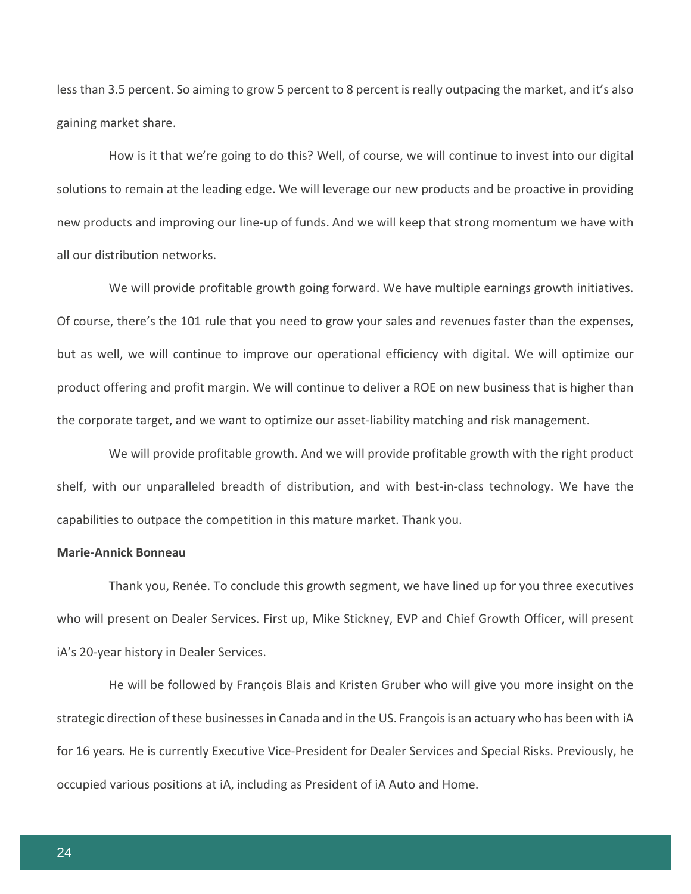less than 3.5 percent. So aiming to grow 5 percent to 8 percent is really outpacing the market, and it's also gaining market share.

How is it that we're going to do this? Well, of course, we will continue to invest into our digital solutions to remain at the leading edge. We will leverage our new products and be proactive in providing new products and improving our line-up of funds. And we will keep that strong momentum we have with all our distribution networks.

We will provide profitable growth going forward. We have multiple earnings growth initiatives. Of course, there's the 101 rule that you need to grow your sales and revenues faster than the expenses, but as well, we will continue to improve our operational efficiency with digital. We will optimize our product offering and profit margin. We will continue to deliver a ROE on new business that is higher than the corporate target, and we want to optimize our asset-liability matching and risk management.

We will provide profitable growth. And we will provide profitable growth with the right product shelf, with our unparalleled breadth of distribution, and with best-in-class technology. We have the capabilities to outpace the competition in this mature market. Thank you.

## **Marie-Annick Bonneau**

Thank you, Renée. To conclude this growth segment, we have lined up for you three executives who will present on Dealer Services. First up, Mike Stickney, EVP and Chief Growth Officer, will present iA's 20-year history in Dealer Services.

He will be followed by François Blais and Kristen Gruber who will give you more insight on the strategic direction of these businesses in Canada and in the US. François is an actuary who has been with iA for 16 years. He is currently Executive Vice-President for Dealer Services and Special Risks. Previously, he occupied various positions at iA, including as President of iA Auto and Home.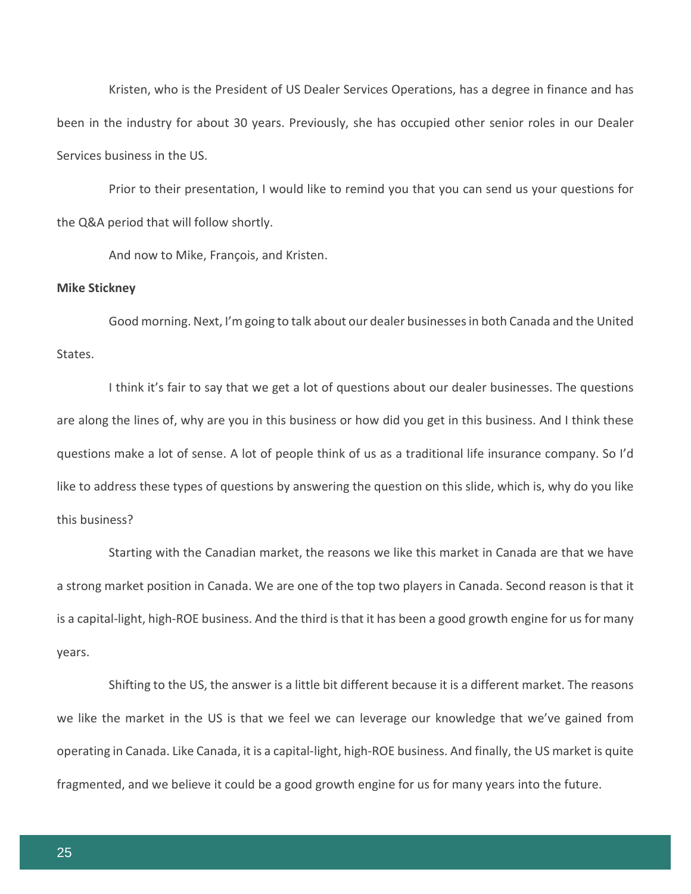Kristen, who is the President of US Dealer Services Operations, has a degree in finance and has been in the industry for about 30 years. Previously, she has occupied other senior roles in our Dealer Services business in the US.

Prior to their presentation, I would like to remind you that you can send us your questions for the Q&A period that will follow shortly.

And now to Mike, François, and Kristen.

#### **Mike Stickney**

Good morning. Next, I'm going to talk about our dealer businesses in both Canada and the United States.

I think it's fair to say that we get a lot of questions about our dealer businesses. The questions are along the lines of, why are you in this business or how did you get in this business. And I think these questions make a lot of sense. A lot of people think of us as a traditional life insurance company. So I'd like to address these types of questions by answering the question on this slide, which is, why do you like this business?

Starting with the Canadian market, the reasons we like this market in Canada are that we have a strong market position in Canada. We are one of the top two players in Canada. Second reason is that it is a capital-light, high-ROE business. And the third is that it has been a good growth engine for us for many years.

Shifting to the US, the answer is a little bit different because it is a different market. The reasons we like the market in the US is that we feel we can leverage our knowledge that we've gained from operating in Canada. Like Canada, it is a capital-light, high-ROE business. And finally, the US market is quite fragmented, and we believe it could be a good growth engine for us for many years into the future.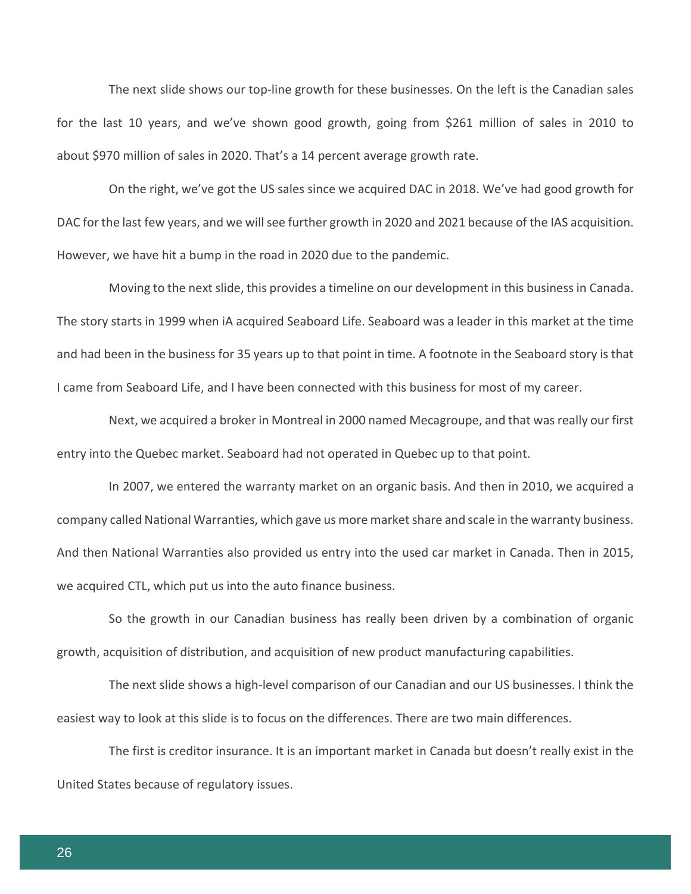The next slide shows our top-line growth for these businesses. On the left is the Canadian sales for the last 10 years, and we've shown good growth, going from \$261 million of sales in 2010 to about \$970 million of sales in 2020. That's a 14 percent average growth rate.

On the right, we've got the US sales since we acquired DAC in 2018. We've had good growth for DAC for the last few years, and we will see further growth in 2020 and 2021 because of the IAS acquisition. However, we have hit a bump in the road in 2020 due to the pandemic.

Moving to the next slide, this provides a timeline on our development in this business in Canada. The story starts in 1999 when iA acquired Seaboard Life. Seaboard was a leader in this market at the time and had been in the business for 35 years up to that point in time. A footnote in the Seaboard story is that I came from Seaboard Life, and I have been connected with this business for most of my career.

Next, we acquired a broker in Montreal in 2000 named Mecagroupe, and that was really our first entry into the Quebec market. Seaboard had not operated in Quebec up to that point.

In 2007, we entered the warranty market on an organic basis. And then in 2010, we acquired a company called National Warranties, which gave us more market share and scale in the warranty business. And then National Warranties also provided us entry into the used car market in Canada. Then in 2015, we acquired CTL, which put us into the auto finance business.

So the growth in our Canadian business has really been driven by a combination of organic growth, acquisition of distribution, and acquisition of new product manufacturing capabilities.

The next slide shows a high-level comparison of our Canadian and our US businesses. I think the easiest way to look at this slide is to focus on the differences. There are two main differences.

The first is creditor insurance. It is an important market in Canada but doesn't really exist in the United States because of regulatory issues.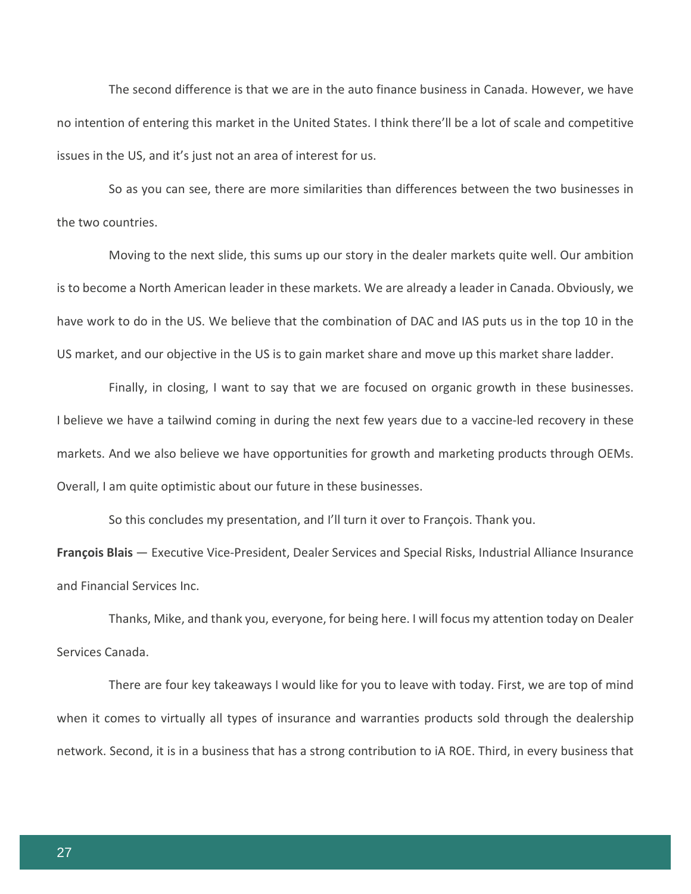The second difference is that we are in the auto finance business in Canada. However, we have no intention of entering this market in the United States. I think there'll be a lot of scale and competitive issues in the US, and it's just not an area of interest for us.

So as you can see, there are more similarities than differences between the two businesses in the two countries.

Moving to the next slide, this sums up our story in the dealer markets quite well. Our ambition is to become a North American leader in these markets. We are already a leader in Canada. Obviously, we have work to do in the US. We believe that the combination of DAC and IAS puts us in the top 10 in the US market, and our objective in the US is to gain market share and move up this market share ladder.

Finally, in closing, I want to say that we are focused on organic growth in these businesses. I believe we have a tailwind coming in during the next few years due to a vaccine-led recovery in these markets. And we also believe we have opportunities for growth and marketing products through OEMs. Overall, I am quite optimistic about our future in these businesses.

So this concludes my presentation, and I'll turn it over to François. Thank you.

**François Blais** — Executive Vice-President, Dealer Services and Special Risks, Industrial Alliance Insurance and Financial Services Inc.

Thanks, Mike, and thank you, everyone, for being here. I will focus my attention today on Dealer Services Canada.

There are four key takeaways I would like for you to leave with today. First, we are top of mind when it comes to virtually all types of insurance and warranties products sold through the dealership network. Second, it is in a business that has a strong contribution to iA ROE. Third, in every business that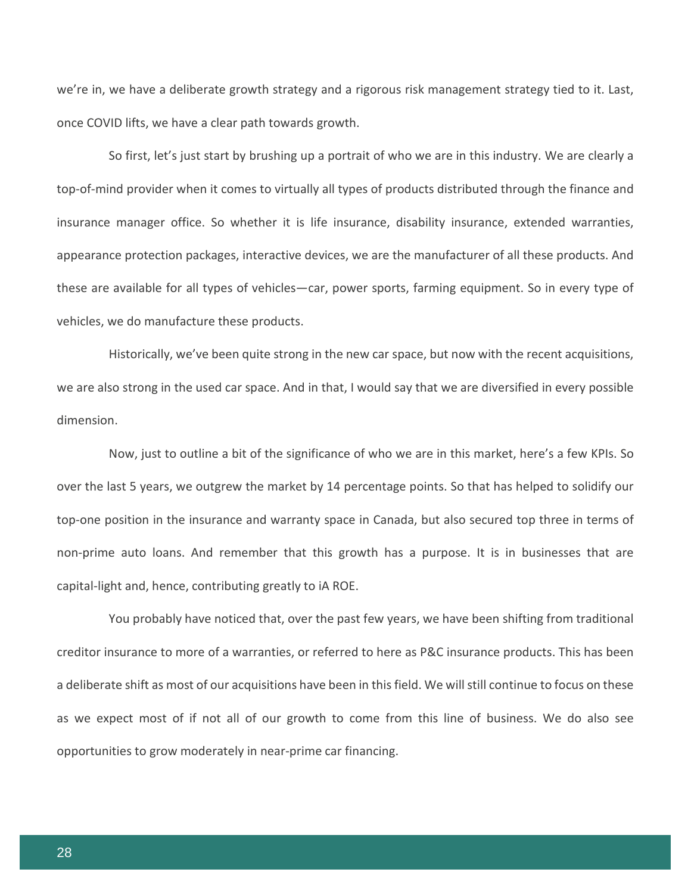we're in, we have a deliberate growth strategy and a rigorous risk management strategy tied to it. Last, once COVID lifts, we have a clear path towards growth.

So first, let's just start by brushing up a portrait of who we are in this industry. We are clearly a top-of-mind provider when it comes to virtually all types of products distributed through the finance and insurance manager office. So whether it is life insurance, disability insurance, extended warranties, appearance protection packages, interactive devices, we are the manufacturer of all these products. And these are available for all types of vehicles—car, power sports, farming equipment. So in every type of vehicles, we do manufacture these products.

Historically, we've been quite strong in the new car space, but now with the recent acquisitions, we are also strong in the used car space. And in that, I would say that we are diversified in every possible dimension.

Now, just to outline a bit of the significance of who we are in this market, here's a few KPIs. So over the last 5 years, we outgrew the market by 14 percentage points. So that has helped to solidify our top-one position in the insurance and warranty space in Canada, but also secured top three in terms of non-prime auto loans. And remember that this growth has a purpose. It is in businesses that are capital-light and, hence, contributing greatly to iA ROE.

You probably have noticed that, over the past few years, we have been shifting from traditional creditor insurance to more of a warranties, or referred to here as P&C insurance products. This has been a deliberate shift as most of our acquisitions have been in this field. We will still continue to focus on these as we expect most of if not all of our growth to come from this line of business. We do also see opportunities to grow moderately in near-prime car financing.

28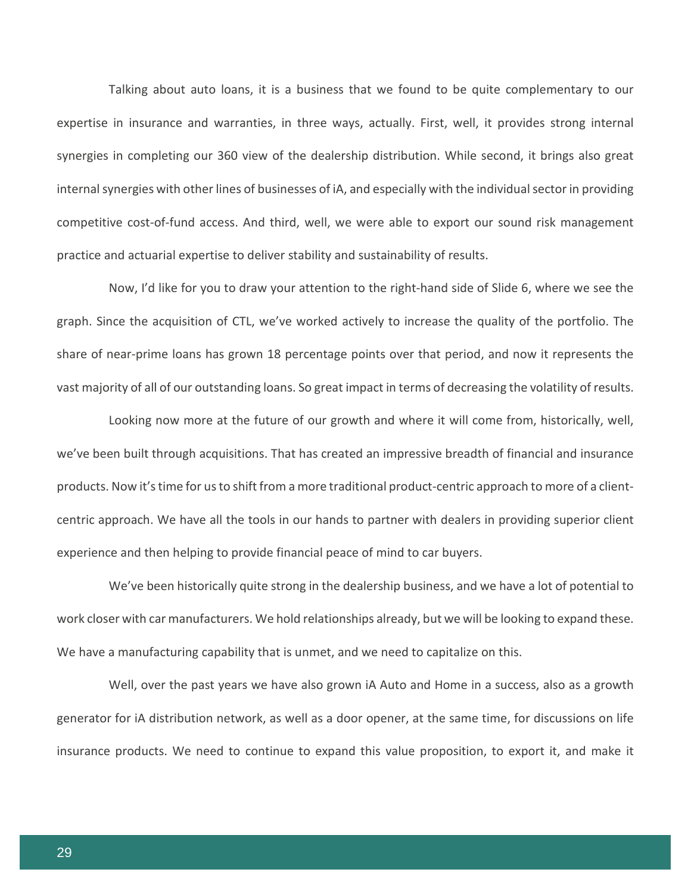Talking about auto loans, it is a business that we found to be quite complementary to our expertise in insurance and warranties, in three ways, actually. First, well, it provides strong internal synergies in completing our 360 view of the dealership distribution. While second, it brings also great internal synergies with other lines of businesses of iA, and especially with the individual sector in providing competitive cost-of-fund access. And third, well, we were able to export our sound risk management practice and actuarial expertise to deliver stability and sustainability of results.

Now, I'd like for you to draw your attention to the right-hand side of Slide 6, where we see the graph. Since the acquisition of CTL, we've worked actively to increase the quality of the portfolio. The share of near-prime loans has grown 18 percentage points over that period, and now it represents the vast majority of all of our outstanding loans. So great impact in terms of decreasing the volatility of results.

Looking now more at the future of our growth and where it will come from, historically, well, we've been built through acquisitions. That has created an impressive breadth of financial and insurance products. Now it's time for us to shift from a more traditional product-centric approach to more of a clientcentric approach. We have all the tools in our hands to partner with dealers in providing superior client experience and then helping to provide financial peace of mind to car buyers.

We've been historically quite strong in the dealership business, and we have a lot of potential to work closer with car manufacturers. We hold relationships already, but we will be looking to expand these. We have a manufacturing capability that is unmet, and we need to capitalize on this.

Well, over the past years we have also grown iA Auto and Home in a success, also as a growth generator for iA distribution network, as well as a door opener, at the same time, for discussions on life insurance products. We need to continue to expand this value proposition, to export it, and make it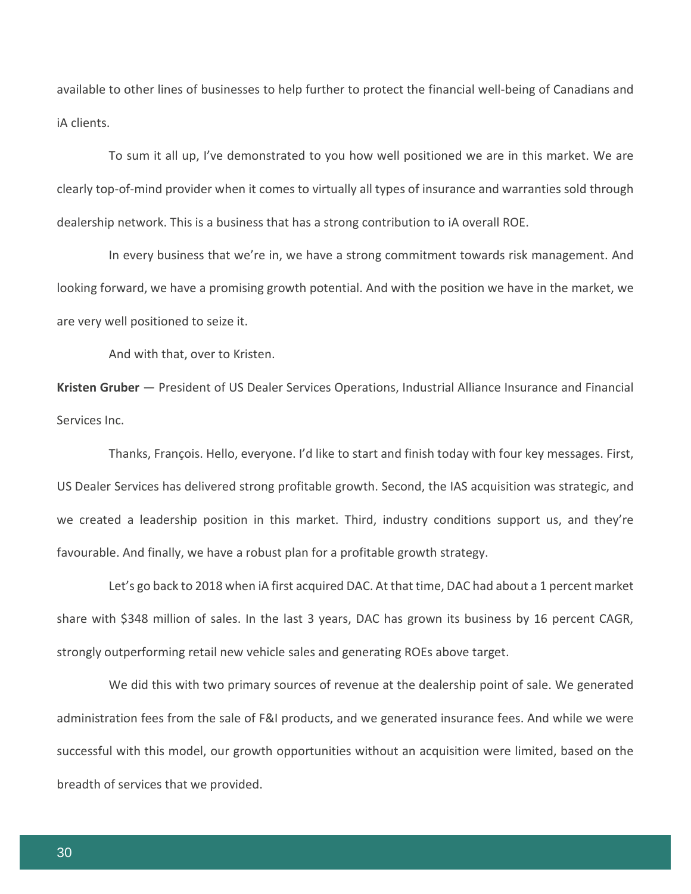available to other lines of businesses to help further to protect the financial well-being of Canadians and iA clients.

To sum it all up, I've demonstrated to you how well positioned we are in this market. We are clearly top-of-mind provider when it comes to virtually all types of insurance and warranties sold through dealership network. This is a business that has a strong contribution to iA overall ROE.

In every business that we're in, we have a strong commitment towards risk management. And looking forward, we have a promising growth potential. And with the position we have in the market, we are very well positioned to seize it.

And with that, over to Kristen.

**Kristen Gruber** — President of US Dealer Services Operations, Industrial Alliance Insurance and Financial Services Inc.

Thanks, François. Hello, everyone. I'd like to start and finish today with four key messages. First, US Dealer Services has delivered strong profitable growth. Second, the IAS acquisition was strategic, and we created a leadership position in this market. Third, industry conditions support us, and they're favourable. And finally, we have a robust plan for a profitable growth strategy.

Let's go back to 2018 when iA first acquired DAC. At that time, DAC had about a 1 percent market share with \$348 million of sales. In the last 3 years, DAC has grown its business by 16 percent CAGR, strongly outperforming retail new vehicle sales and generating ROEs above target.

We did this with two primary sources of revenue at the dealership point of sale. We generated administration fees from the sale of F&I products, and we generated insurance fees. And while we were successful with this model, our growth opportunities without an acquisition were limited, based on the breadth of services that we provided.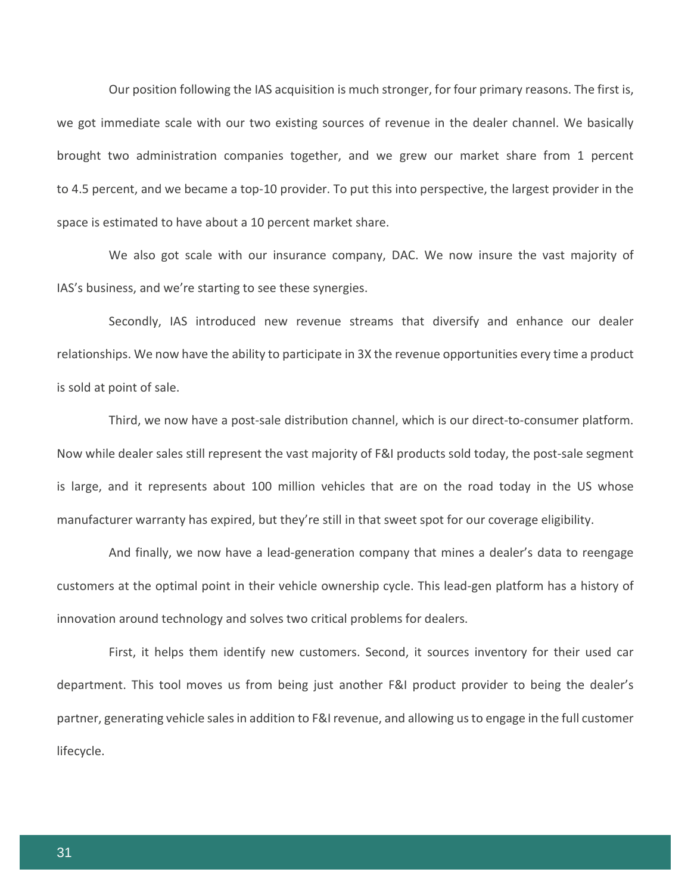Our position following the IAS acquisition is much stronger, for four primary reasons. The first is, we got immediate scale with our two existing sources of revenue in the dealer channel. We basically brought two administration companies together, and we grew our market share from 1 percent to 4.5 percent, and we became a top-10 provider. To put this into perspective, the largest provider in the space is estimated to have about a 10 percent market share.

We also got scale with our insurance company, DAC. We now insure the vast majority of IAS's business, and we're starting to see these synergies.

Secondly, IAS introduced new revenue streams that diversify and enhance our dealer relationships. We now have the ability to participate in 3X the revenue opportunities every time a product is sold at point of sale.

Third, we now have a post-sale distribution channel, which is our direct-to-consumer platform. Now while dealer sales still represent the vast majority of F&I products sold today, the post-sale segment is large, and it represents about 100 million vehicles that are on the road today in the US whose manufacturer warranty has expired, but they're still in that sweet spot for our coverage eligibility.

And finally, we now have a lead-generation company that mines a dealer's data to reengage customers at the optimal point in their vehicle ownership cycle. This lead-gen platform has a history of innovation around technology and solves two critical problems for dealers.

First, it helps them identify new customers. Second, it sources inventory for their used car department. This tool moves us from being just another F&I product provider to being the dealer's partner, generating vehicle sales in addition to F&I revenue, and allowing us to engage in the full customer lifecycle.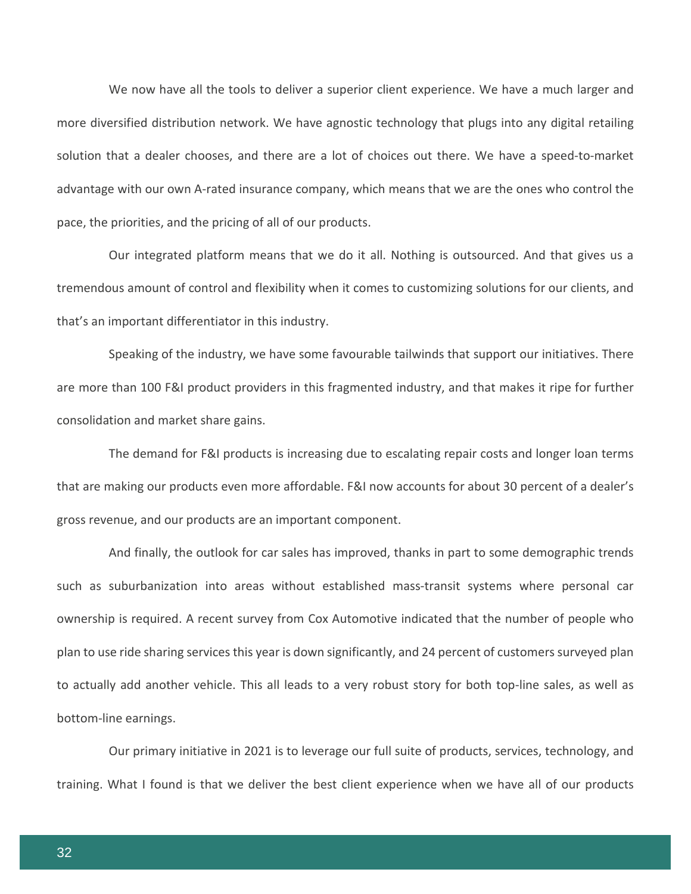We now have all the tools to deliver a superior client experience. We have a much larger and more diversified distribution network. We have agnostic technology that plugs into any digital retailing solution that a dealer chooses, and there are a lot of choices out there. We have a speed-to-market advantage with our own A-rated insurance company, which means that we are the ones who control the pace, the priorities, and the pricing of all of our products.

Our integrated platform means that we do it all. Nothing is outsourced. And that gives us a tremendous amount of control and flexibility when it comes to customizing solutions for our clients, and that's an important differentiator in this industry.

Speaking of the industry, we have some favourable tailwinds that support our initiatives. There are more than 100 F&I product providers in this fragmented industry, and that makes it ripe for further consolidation and market share gains.

The demand for F&I products is increasing due to escalating repair costs and longer loan terms that are making our products even more affordable. F&I now accounts for about 30 percent of a dealer's gross revenue, and our products are an important component.

And finally, the outlook for car sales has improved, thanks in part to some demographic trends such as suburbanization into areas without established mass-transit systems where personal car ownership is required. A recent survey from Cox Automotive indicated that the number of people who plan to use ride sharing services this year is down significantly, and 24 percent of customers surveyed plan to actually add another vehicle. This all leads to a very robust story for both top-line sales, as well as bottom-line earnings.

Our primary initiative in 2021 is to leverage our full suite of products, services, technology, and training. What I found is that we deliver the best client experience when we have all of our products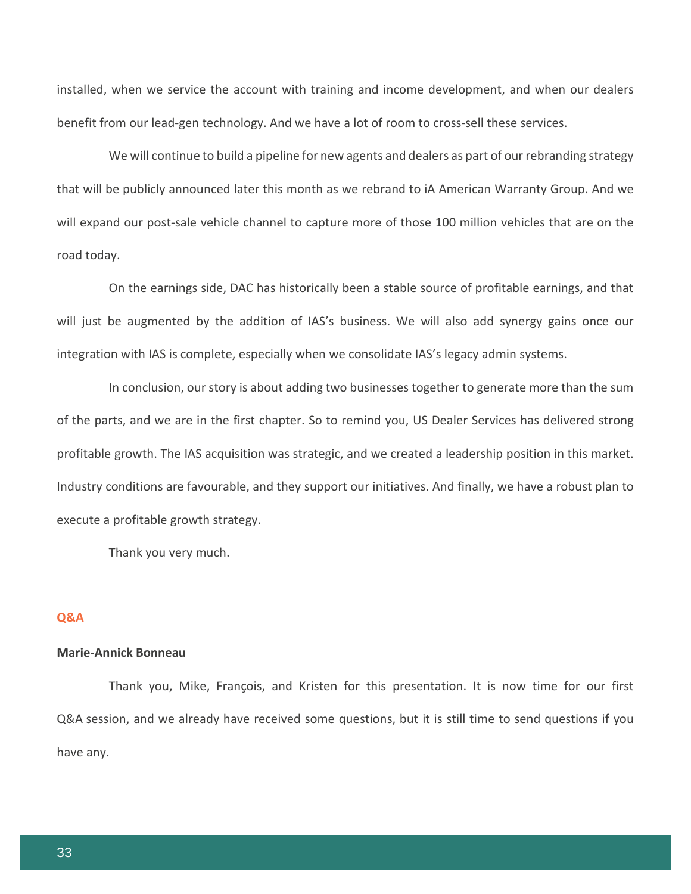installed, when we service the account with training and income development, and when our dealers benefit from our lead-gen technology. And we have a lot of room to cross-sell these services.

We will continue to build a pipeline for new agents and dealers as part of our rebranding strategy that will be publicly announced later this month as we rebrand to iA American Warranty Group. And we will expand our post-sale vehicle channel to capture more of those 100 million vehicles that are on the road today.

On the earnings side, DAC has historically been a stable source of profitable earnings, and that will just be augmented by the addition of IAS's business. We will also add synergy gains once our integration with IAS is complete, especially when we consolidate IAS's legacy admin systems.

In conclusion, our story is about adding two businesses together to generate more than the sum of the parts, and we are in the first chapter. So to remind you, US Dealer Services has delivered strong profitable growth. The IAS acquisition was strategic, and we created a leadership position in this market. Industry conditions are favourable, and they support our initiatives. And finally, we have a robust plan to execute a profitable growth strategy.

Thank you very much.

# **Q&A**

### **Marie-Annick Bonneau**

Thank you, Mike, François, and Kristen for this presentation. It is now time for our first Q&A session, and we already have received some questions, but it is still time to send questions if you have any.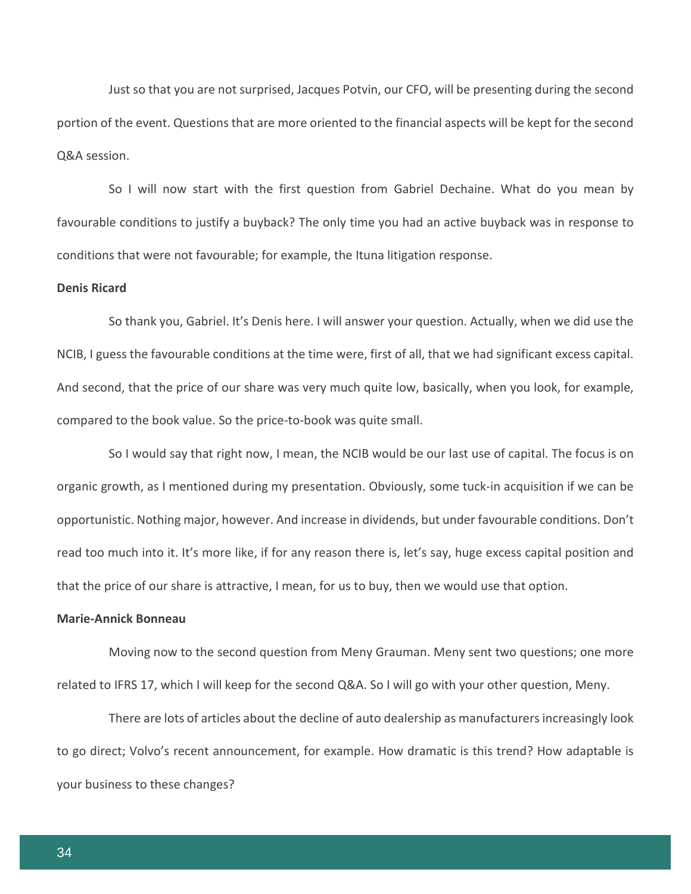Just so that you are not surprised, Jacques Potvin, our CFO, will be presenting during the second portion of the event. Questions that are more oriented to the financial aspects will be kept for the second Q&A session.

So I will now start with the first question from Gabriel Dechaine. What do you mean by favourable conditions to justify a buyback? The only time you had an active buyback was in response to conditions that were not favourable; for example, the Ituna litigation response.

#### **Denis Ricard**

So thank you, Gabriel. It's Denis here. I will answer your question. Actually, when we did use the NCIB, I guess the favourable conditions at the time were, first of all, that we had significant excess capital. And second, that the price of our share was very much quite low, basically, when you look, for example, compared to the book value. So the price-to-book was quite small.

So I would say that right now, I mean, the NCIB would be our last use of capital. The focus is on organic growth, as I mentioned during my presentation. Obviously, some tuck-in acquisition if we can be opportunistic. Nothing major, however. And increase in dividends, but under favourable conditions. Don't read too much into it. It's more like, if for any reason there is, let's say, huge excess capital position and that the price of our share is attractive, I mean, for us to buy, then we would use that option.

#### **Marie-Annick Bonneau**

Moving now to the second question from Meny Grauman. Meny sent two questions; one more related to IFRS 17, which I will keep for the second Q&A. So I will go with your other question, Meny.

There are lots of articles about the decline of auto dealership as manufacturers increasingly look to go direct; Volvo's recent announcement, for example. How dramatic is this trend? How adaptable is your business to these changes?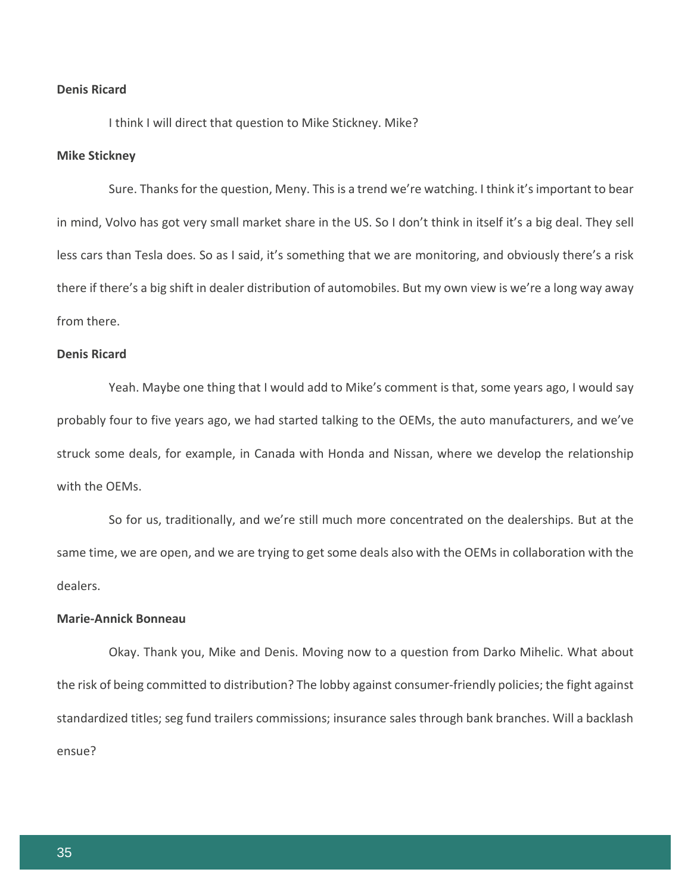#### **Denis Ricard**

I think I will direct that question to Mike Stickney. Mike?

#### **Mike Stickney**

Sure. Thanks for the question, Meny. This is a trend we're watching. I think it's important to bear in mind, Volvo has got very small market share in the US. So I don't think in itself it's a big deal. They sell less cars than Tesla does. So as I said, it's something that we are monitoring, and obviously there's a risk there if there's a big shift in dealer distribution of automobiles. But my own view is we're a long way away from there.

## **Denis Ricard**

Yeah. Maybe one thing that I would add to Mike's comment is that, some years ago, I would say probably four to five years ago, we had started talking to the OEMs, the auto manufacturers, and we've struck some deals, for example, in Canada with Honda and Nissan, where we develop the relationship with the OEMs.

So for us, traditionally, and we're still much more concentrated on the dealerships. But at the same time, we are open, and we are trying to get some deals also with the OEMs in collaboration with the dealers.

#### **Marie-Annick Bonneau**

Okay. Thank you, Mike and Denis. Moving now to a question from Darko Mihelic. What about the risk of being committed to distribution? The lobby against consumer-friendly policies; the fight against standardized titles; seg fund trailers commissions; insurance sales through bank branches. Will a backlash ensue?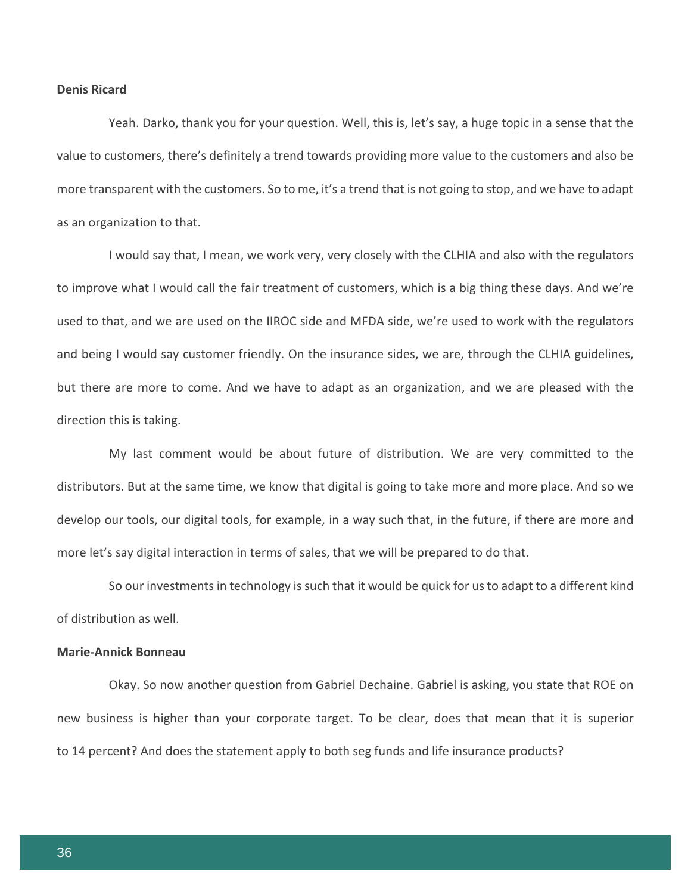#### **Denis Ricard**

Yeah. Darko, thank you for your question. Well, this is, let's say, a huge topic in a sense that the value to customers, there's definitely a trend towards providing more value to the customers and also be more transparent with the customers. So to me, it's a trend that is not going to stop, and we have to adapt as an organization to that.

I would say that, I mean, we work very, very closely with the CLHIA and also with the regulators to improve what I would call the fair treatment of customers, which is a big thing these days. And we're used to that, and we are used on the IIROC side and MFDA side, we're used to work with the regulators and being I would say customer friendly. On the insurance sides, we are, through the CLHIA guidelines, but there are more to come. And we have to adapt as an organization, and we are pleased with the direction this is taking.

My last comment would be about future of distribution. We are very committed to the distributors. But at the same time, we know that digital is going to take more and more place. And so we develop our tools, our digital tools, for example, in a way such that, in the future, if there are more and more let's say digital interaction in terms of sales, that we will be prepared to do that.

So our investments in technology is such that it would be quick for us to adapt to a different kind of distribution as well.

# **Marie-Annick Bonneau**

Okay. So now another question from Gabriel Dechaine. Gabriel is asking, you state that ROE on new business is higher than your corporate target. To be clear, does that mean that it is superior to 14 percent? And does the statement apply to both seg funds and life insurance products?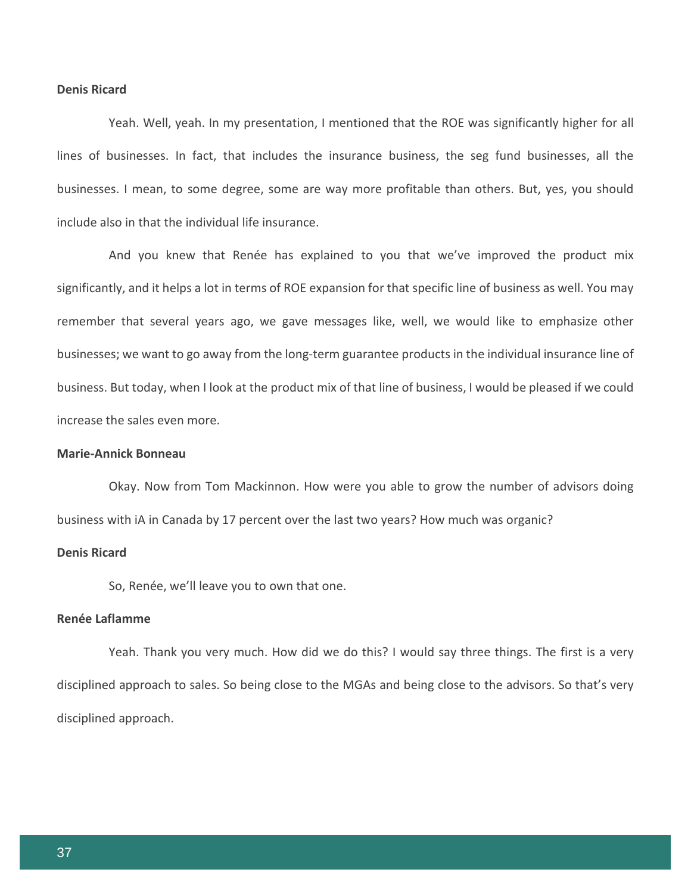#### **Denis Ricard**

Yeah. Well, yeah. In my presentation, I mentioned that the ROE was significantly higher for all lines of businesses. In fact, that includes the insurance business, the seg fund businesses, all the businesses. I mean, to some degree, some are way more profitable than others. But, yes, you should include also in that the individual life insurance.

And you knew that Renée has explained to you that we've improved the product mix significantly, and it helps a lot in terms of ROE expansion for that specific line of business as well. You may remember that several years ago, we gave messages like, well, we would like to emphasize other businesses; we want to go away from the long-term guarantee products in the individual insurance line of business. But today, when I look at the product mix of that line of business, I would be pleased if we could increase the sales even more.

# **Marie-Annick Bonneau**

Okay. Now from Tom Mackinnon. How were you able to grow the number of advisors doing business with iA in Canada by 17 percent over the last two years? How much was organic?

# **Denis Ricard**

So, Renée, we'll leave you to own that one.

# **Renée Laflamme**

Yeah. Thank you very much. How did we do this? I would say three things. The first is a very disciplined approach to sales. So being close to the MGAs and being close to the advisors. So that's very disciplined approach.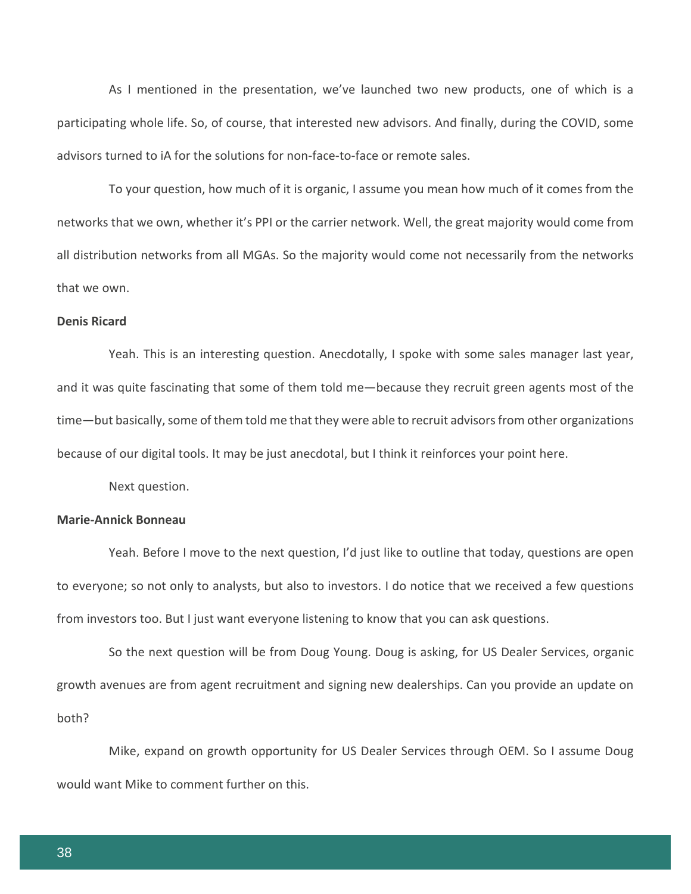As I mentioned in the presentation, we've launched two new products, one of which is a participating whole life. So, of course, that interested new advisors. And finally, during the COVID, some advisors turned to iA for the solutions for non-face-to-face or remote sales.

To your question, how much of it is organic, I assume you mean how much of it comes from the networks that we own, whether it's PPI or the carrier network. Well, the great majority would come from all distribution networks from all MGAs. So the majority would come not necessarily from the networks that we own.

#### **Denis Ricard**

Yeah. This is an interesting question. Anecdotally, I spoke with some sales manager last year, and it was quite fascinating that some of them told me—because they recruit green agents most of the time—but basically, some of them told me that they were able to recruit advisors from other organizations because of our digital tools. It may be just anecdotal, but I think it reinforces your point here.

Next question.

# **Marie-Annick Bonneau**

Yeah. Before I move to the next question, I'd just like to outline that today, questions are open to everyone; so not only to analysts, but also to investors. I do notice that we received a few questions from investors too. But I just want everyone listening to know that you can ask questions.

So the next question will be from Doug Young. Doug is asking, for US Dealer Services, organic growth avenues are from agent recruitment and signing new dealerships. Can you provide an update on both?

Mike, expand on growth opportunity for US Dealer Services through OEM. So I assume Doug would want Mike to comment further on this.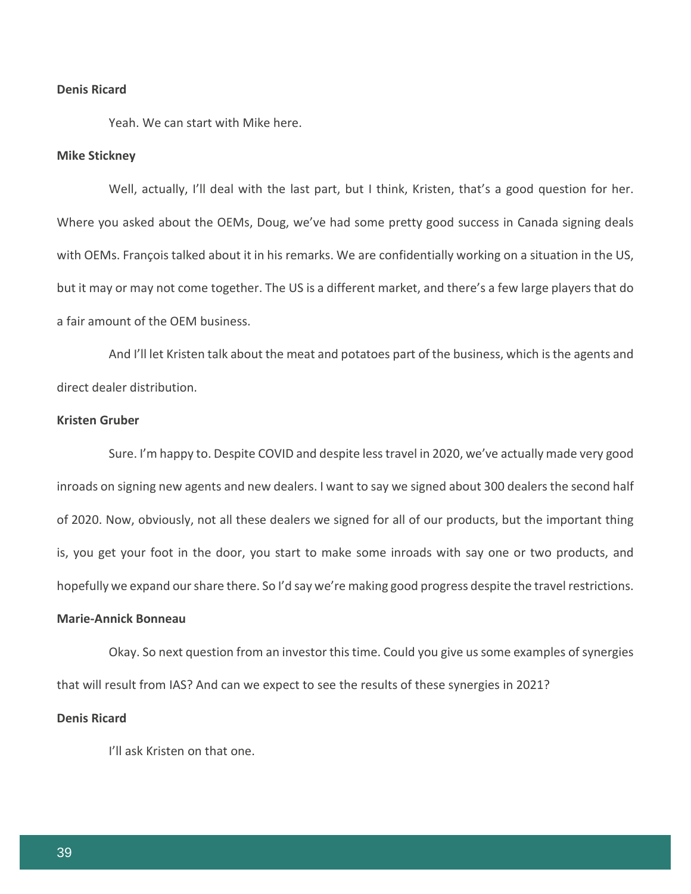### **Denis Ricard**

Yeah. We can start with Mike here.

#### **Mike Stickney**

Well, actually, I'll deal with the last part, but I think, Kristen, that's a good question for her. Where you asked about the OEMs, Doug, we've had some pretty good success in Canada signing deals with OEMs. François talked about it in his remarks. We are confidentially working on a situation in the US, but it may or may not come together. The US is a different market, and there's a few large players that do a fair amount of the OEM business.

And I'll let Kristen talk about the meat and potatoes part of the business, which is the agents and direct dealer distribution.

#### **Kristen Gruber**

Sure. I'm happy to. Despite COVID and despite less travel in 2020, we've actually made very good inroads on signing new agents and new dealers. I want to say we signed about 300 dealers the second half of 2020. Now, obviously, not all these dealers we signed for all of our products, but the important thing is, you get your foot in the door, you start to make some inroads with say one or two products, and hopefully we expand our share there. So I'd say we're making good progress despite the travel restrictions.

## **Marie-Annick Bonneau**

Okay. So next question from an investor this time. Could you give us some examples of synergies that will result from IAS? And can we expect to see the results of these synergies in 2021?

#### **Denis Ricard**

I'll ask Kristen on that one.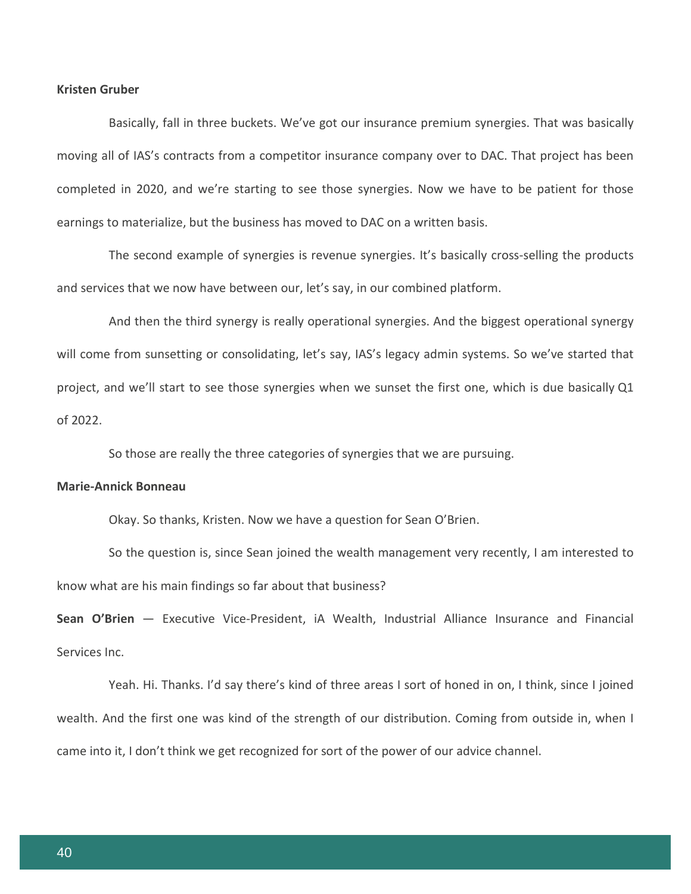### **Kristen Gruber**

Basically, fall in three buckets. We've got our insurance premium synergies. That was basically moving all of IAS's contracts from a competitor insurance company over to DAC. That project has been completed in 2020, and we're starting to see those synergies. Now we have to be patient for those earnings to materialize, but the business has moved to DAC on a written basis.

The second example of synergies is revenue synergies. It's basically cross-selling the products and services that we now have between our, let's say, in our combined platform.

And then the third synergy is really operational synergies. And the biggest operational synergy will come from sunsetting or consolidating, let's say, IAS's legacy admin systems. So we've started that project, and we'll start to see those synergies when we sunset the first one, which is due basically Q1 of 2022.

So those are really the three categories of synergies that we are pursuing.

# **Marie-Annick Bonneau**

Okay. So thanks, Kristen. Now we have a question for Sean O'Brien.

So the question is, since Sean joined the wealth management very recently, I am interested to know what are his main findings so far about that business?

**Sean O'Brien** — Executive Vice-President, iA Wealth, Industrial Alliance Insurance and Financial Services Inc.

Yeah. Hi. Thanks. I'd say there's kind of three areas I sort of honed in on, I think, since I joined wealth. And the first one was kind of the strength of our distribution. Coming from outside in, when I came into it, I don't think we get recognized for sort of the power of our advice channel.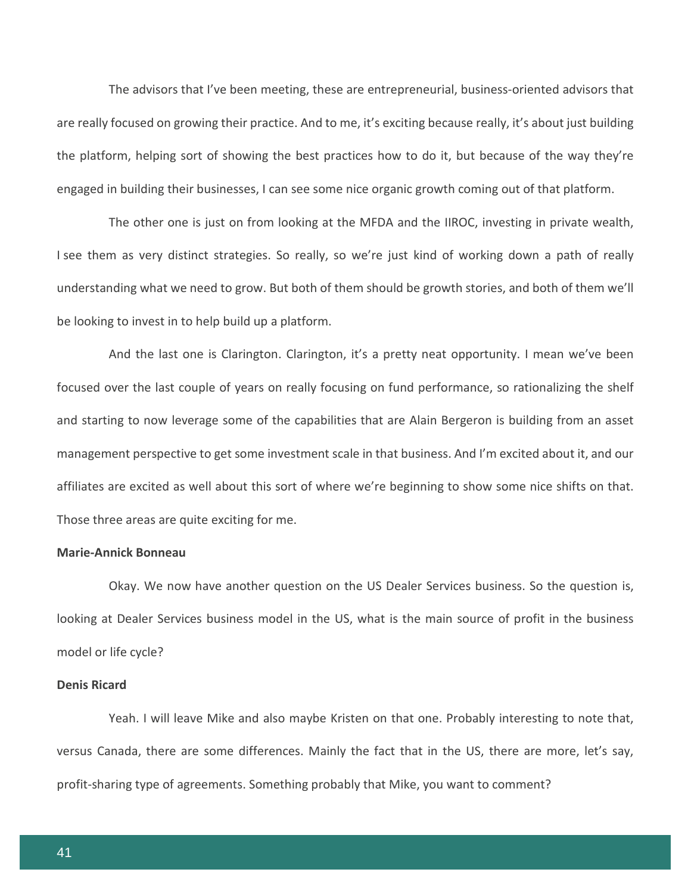The advisors that I've been meeting, these are entrepreneurial, business-oriented advisors that are really focused on growing their practice. And to me, it's exciting because really, it's about just building the platform, helping sort of showing the best practices how to do it, but because of the way they're engaged in building their businesses, I can see some nice organic growth coming out of that platform.

The other one is just on from looking at the MFDA and the IIROC, investing in private wealth, I see them as very distinct strategies. So really, so we're just kind of working down a path of really understanding what we need to grow. But both of them should be growth stories, and both of them we'll be looking to invest in to help build up a platform.

And the last one is Clarington. Clarington, it's a pretty neat opportunity. I mean we've been focused over the last couple of years on really focusing on fund performance, so rationalizing the shelf and starting to now leverage some of the capabilities that are Alain Bergeron is building from an asset management perspective to get some investment scale in that business. And I'm excited about it, and our affiliates are excited as well about this sort of where we're beginning to show some nice shifts on that. Those three areas are quite exciting for me.

# **Marie-Annick Bonneau**

Okay. We now have another question on the US Dealer Services business. So the question is, looking at Dealer Services business model in the US, what is the main source of profit in the business model or life cycle?

### **Denis Ricard**

Yeah. I will leave Mike and also maybe Kristen on that one. Probably interesting to note that, versus Canada, there are some differences. Mainly the fact that in the US, there are more, let's say, profit-sharing type of agreements. Something probably that Mike, you want to comment?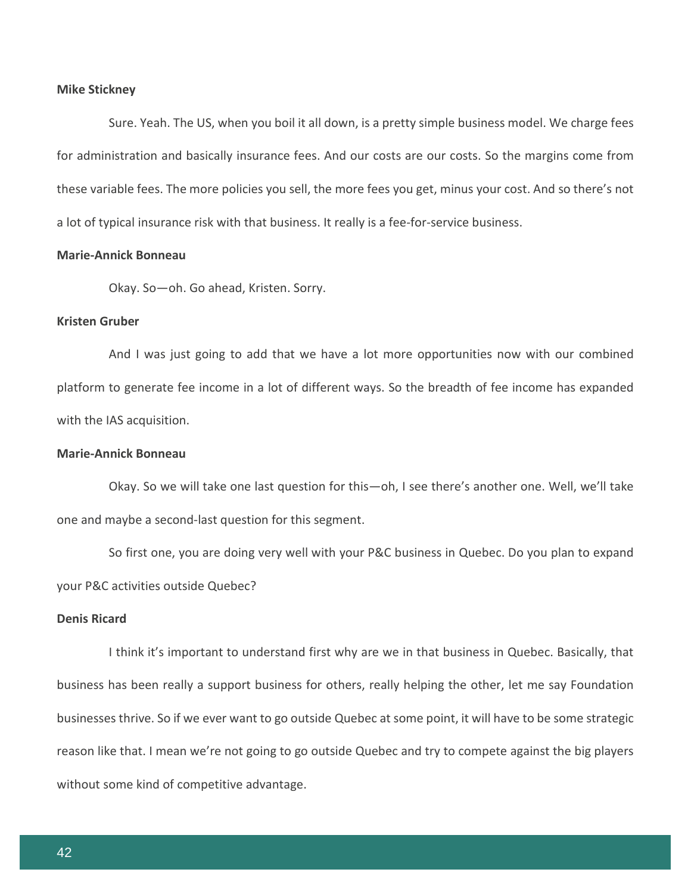#### **Mike Stickney**

Sure. Yeah. The US, when you boil it all down, is a pretty simple business model. We charge fees for administration and basically insurance fees. And our costs are our costs. So the margins come from these variable fees. The more policies you sell, the more fees you get, minus your cost. And so there's not a lot of typical insurance risk with that business. It really is a fee-for-service business.

# **Marie-Annick Bonneau**

Okay. So—oh. Go ahead, Kristen. Sorry.

# **Kristen Gruber**

And I was just going to add that we have a lot more opportunities now with our combined platform to generate fee income in a lot of different ways. So the breadth of fee income has expanded with the IAS acquisition.

# **Marie-Annick Bonneau**

Okay. So we will take one last question for this—oh, I see there's another one. Well, we'll take one and maybe a second-last question for this segment.

So first one, you are doing very well with your P&C business in Quebec. Do you plan to expand your P&C activities outside Quebec?

## **Denis Ricard**

I think it's important to understand first why are we in that business in Quebec. Basically, that business has been really a support business for others, really helping the other, let me say Foundation businesses thrive. So if we ever want to go outside Quebec at some point, it will have to be some strategic reason like that. I mean we're not going to go outside Quebec and try to compete against the big players without some kind of competitive advantage.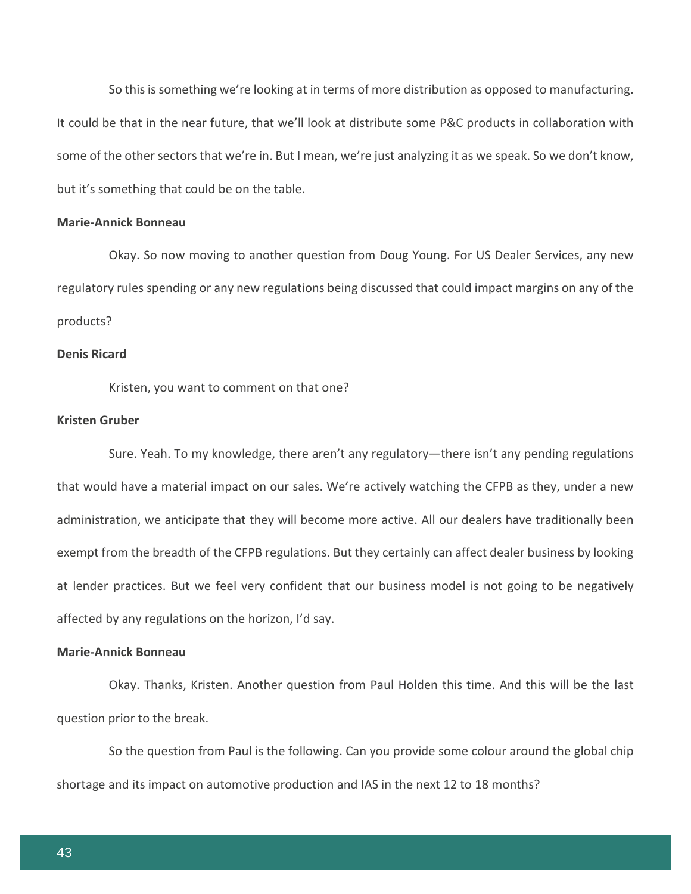So this is something we're looking at in terms of more distribution as opposed to manufacturing. It could be that in the near future, that we'll look at distribute some P&C products in collaboration with some of the other sectors that we're in. But I mean, we're just analyzing it as we speak. So we don't know, but it's something that could be on the table.

## **Marie-Annick Bonneau**

Okay. So now moving to another question from Doug Young. For US Dealer Services, any new regulatory rules spending or any new regulations being discussed that could impact margins on any of the products?

#### **Denis Ricard**

Kristen, you want to comment on that one?

#### **Kristen Gruber**

Sure. Yeah. To my knowledge, there aren't any regulatory—there isn't any pending regulations that would have a material impact on our sales. We're actively watching the CFPB as they, under a new administration, we anticipate that they will become more active. All our dealers have traditionally been exempt from the breadth of the CFPB regulations. But they certainly can affect dealer business by looking at lender practices. But we feel very confident that our business model is not going to be negatively affected by any regulations on the horizon, I'd say.

# **Marie-Annick Bonneau**

Okay. Thanks, Kristen. Another question from Paul Holden this time. And this will be the last question prior to the break.

So the question from Paul is the following. Can you provide some colour around the global chip shortage and its impact on automotive production and IAS in the next 12 to 18 months?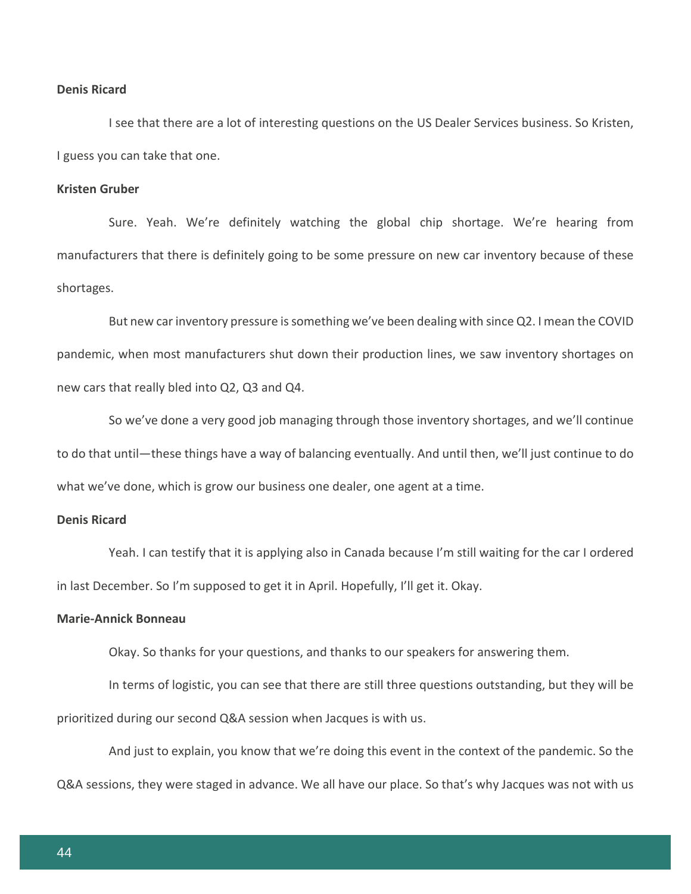### **Denis Ricard**

I see that there are a lot of interesting questions on the US Dealer Services business. So Kristen, I guess you can take that one.

#### **Kristen Gruber**

Sure. Yeah. We're definitely watching the global chip shortage. We're hearing from manufacturers that there is definitely going to be some pressure on new car inventory because of these shortages.

But new car inventory pressure is something we've been dealing with since Q2. I mean the COVID pandemic, when most manufacturers shut down their production lines, we saw inventory shortages on new cars that really bled into Q2, Q3 and Q4.

So we've done a very good job managing through those inventory shortages, and we'll continue to do that until—these things have a way of balancing eventually. And until then, we'll just continue to do what we've done, which is grow our business one dealer, one agent at a time.

## **Denis Ricard**

Yeah. I can testify that it is applying also in Canada because I'm still waiting for the car I ordered in last December. So I'm supposed to get it in April. Hopefully, I'll get it. Okay.

#### **Marie-Annick Bonneau**

Okay. So thanks for your questions, and thanks to our speakers for answering them.

In terms of logistic, you can see that there are still three questions outstanding, but they will be prioritized during our second Q&A session when Jacques is with us.

And just to explain, you know that we're doing this event in the context of the pandemic. So the Q&A sessions, they were staged in advance. We all have our place. So that's why Jacques was not with us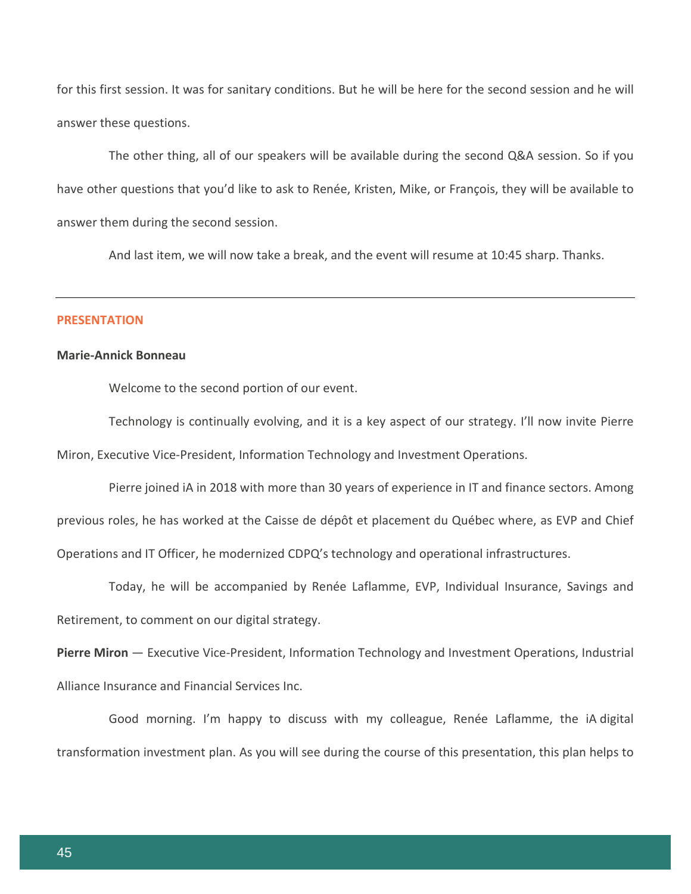for this first session. It was for sanitary conditions. But he will be here for the second session and he will answer these questions.

The other thing, all of our speakers will be available during the second Q&A session. So if you have other questions that you'd like to ask to Renée, Kristen, Mike, or François, they will be available to answer them during the second session.

And last item, we will now take a break, and the event will resume at 10:45 sharp. Thanks.

#### **PRESENTATION**

#### **Marie-Annick Bonneau**

Welcome to the second portion of our event.

Technology is continually evolving, and it is a key aspect of our strategy. I'll now invite Pierre Miron, Executive Vice-President, Information Technology and Investment Operations.

Pierre joined iA in 2018 with more than 30 years of experience in IT and finance sectors. Among previous roles, he has worked at the Caisse de dépôt et placement du Québec where, as EVP and Chief Operations and IT Officer, he modernized CDPQ's technology and operational infrastructures.

Today, he will be accompanied by Renée Laflamme, EVP, Individual Insurance, Savings and Retirement, to comment on our digital strategy.

**Pierre Miron** — Executive Vice-President, Information Technology and Investment Operations, Industrial Alliance Insurance and Financial Services Inc.

Good morning. I'm happy to discuss with my colleague, Renée Laflamme, the iA digital transformation investment plan. As you will see during the course of this presentation, this plan helps to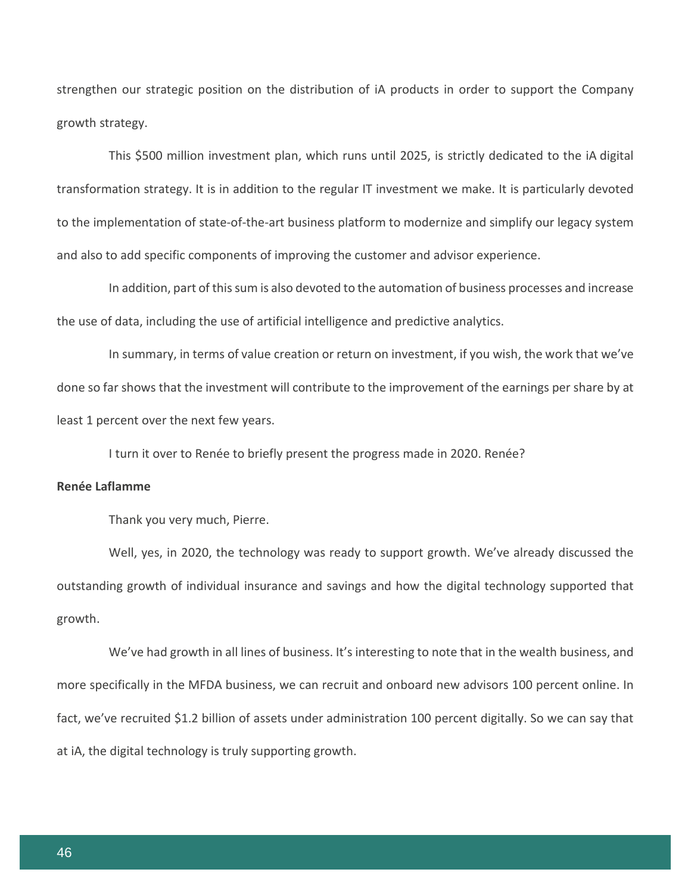strengthen our strategic position on the distribution of iA products in order to support the Company growth strategy.

This \$500 million investment plan, which runs until 2025, is strictly dedicated to the iA digital transformation strategy. It is in addition to the regular IT investment we make. It is particularly devoted to the implementation of state-of-the-art business platform to modernize and simplify our legacy system and also to add specific components of improving the customer and advisor experience.

In addition, part of this sum is also devoted to the automation of business processes and increase the use of data, including the use of artificial intelligence and predictive analytics.

In summary, in terms of value creation or return on investment, if you wish, the work that we've done so far shows that the investment will contribute to the improvement of the earnings per share by at least 1 percent over the next few years.

I turn it over to Renée to briefly present the progress made in 2020. Renée?

# **Renée Laflamme**

Thank you very much, Pierre.

Well, yes, in 2020, the technology was ready to support growth. We've already discussed the outstanding growth of individual insurance and savings and how the digital technology supported that growth.

We've had growth in all lines of business. It's interesting to note that in the wealth business, and more specifically in the MFDA business, we can recruit and onboard new advisors 100 percent online. In fact, we've recruited \$1.2 billion of assets under administration 100 percent digitally. So we can say that at iA, the digital technology is truly supporting growth.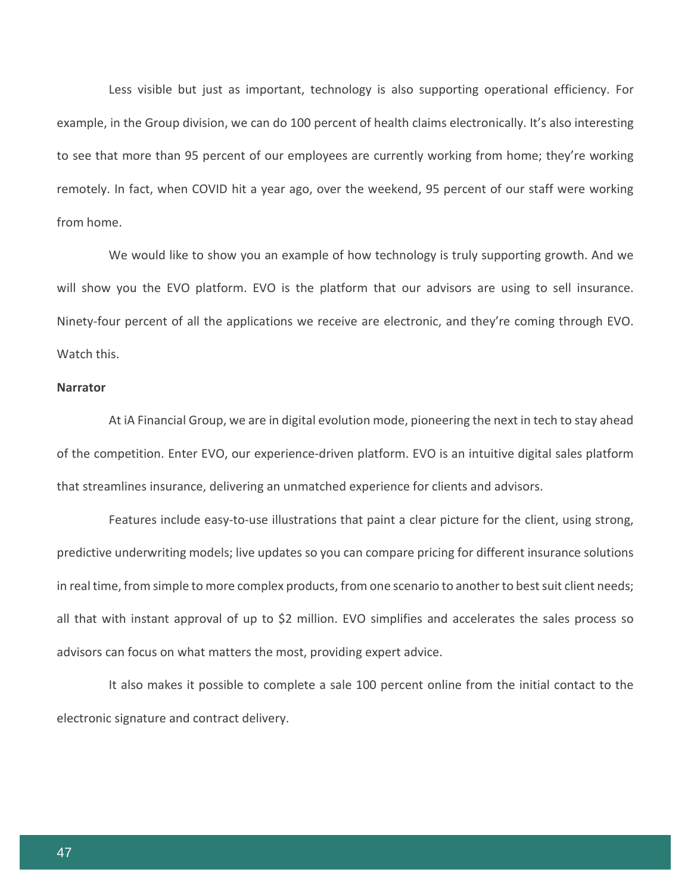Less visible but just as important, technology is also supporting operational efficiency. For example, in the Group division, we can do 100 percent of health claims electronically. It's also interesting to see that more than 95 percent of our employees are currently working from home; they're working remotely. In fact, when COVID hit a year ago, over the weekend, 95 percent of our staff were working from home.

We would like to show you an example of how technology is truly supporting growth. And we will show you the EVO platform. EVO is the platform that our advisors are using to sell insurance. Ninety-four percent of all the applications we receive are electronic, and they're coming through EVO. Watch this.

# **Narrator**

At iA Financial Group, we are in digital evolution mode, pioneering the next in tech to stay ahead of the competition. Enter EVO, our experience-driven platform. EVO is an intuitive digital sales platform that streamlines insurance, delivering an unmatched experience for clients and advisors.

Features include easy-to-use illustrations that paint a clear picture for the client, using strong, predictive underwriting models; live updates so you can compare pricing for different insurance solutions in real time, from simple to more complex products, from one scenario to another to best suit client needs; all that with instant approval of up to \$2 million. EVO simplifies and accelerates the sales process so advisors can focus on what matters the most, providing expert advice.

It also makes it possible to complete a sale 100 percent online from the initial contact to the electronic signature and contract delivery.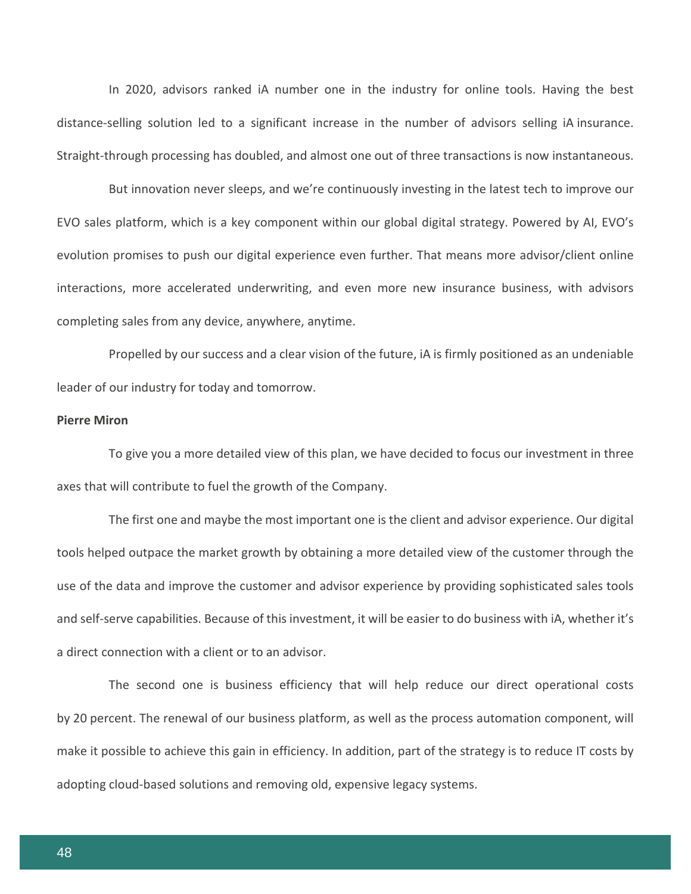In 2020, advisors ranked iA number one in the industry for online tools. Having the best distance-selling solution led to a significant increase in the number of advisors selling iA insurance. Straight-through processing has doubled, and almost one out of three transactions is now instantaneous.

But innovation never sleeps, and we're continuously investing in the latest tech to improve our EVO sales platform, which is a key component within our global digital strategy. Powered by AI, EVO's evolution promises to push our digital experience even further. That means more advisor/client online interactions, more accelerated underwriting, and even more new insurance business, with advisors completing sales from any device, anywhere, anytime.

Propelled by our success and a clear vision of the future, iA is firmly positioned as an undeniable leader of our industry for today and tomorrow.

### **Pierre Miron**

To give you a more detailed view of this plan, we have decided to focus our investment in three axes that will contribute to fuel the growth of the Company.

The first one and maybe the most important one is the client and advisor experience. Our digital tools helped outpace the market growth by obtaining a more detailed view of the customer through the use of the data and improve the customer and advisor experience by providing sophisticated sales tools and self-serve capabilities. Because of this investment, it will be easier to do business with iA, whether it's a direct connection with a client or to an advisor.

The second one is business efficiency that will help reduce our direct operational costs by 20 percent. The renewal of our business platform, as well as the process automation component, will make it possible to achieve this gain in efficiency. In addition, part of the strategy is to reduce IT costs by adopting cloud-based solutions and removing old, expensive legacy systems.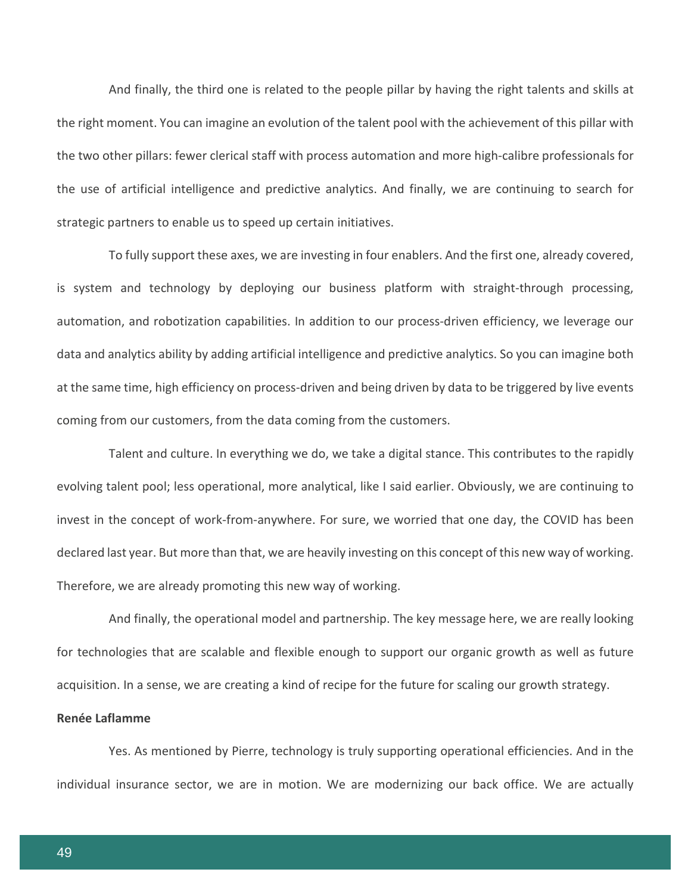And finally, the third one is related to the people pillar by having the right talents and skills at the right moment. You can imagine an evolution of the talent pool with the achievement of this pillar with the two other pillars: fewer clerical staff with process automation and more high-calibre professionals for the use of artificial intelligence and predictive analytics. And finally, we are continuing to search for strategic partners to enable us to speed up certain initiatives.

To fully support these axes, we are investing in four enablers. And the first one, already covered, is system and technology by deploying our business platform with straight-through processing, automation, and robotization capabilities. In addition to our process-driven efficiency, we leverage our data and analytics ability by adding artificial intelligence and predictive analytics. So you can imagine both at the same time, high efficiency on process-driven and being driven by data to be triggered by live events coming from our customers, from the data coming from the customers.

Talent and culture. In everything we do, we take a digital stance. This contributes to the rapidly evolving talent pool; less operational, more analytical, like I said earlier. Obviously, we are continuing to invest in the concept of work-from-anywhere. For sure, we worried that one day, the COVID has been declared last year. But more than that, we are heavily investing on this concept of this new way of working. Therefore, we are already promoting this new way of working.

And finally, the operational model and partnership. The key message here, we are really looking for technologies that are scalable and flexible enough to support our organic growth as well as future acquisition. In a sense, we are creating a kind of recipe for the future for scaling our growth strategy.

# **Renée Laflamme**

Yes. As mentioned by Pierre, technology is truly supporting operational efficiencies. And in the individual insurance sector, we are in motion. We are modernizing our back office. We are actually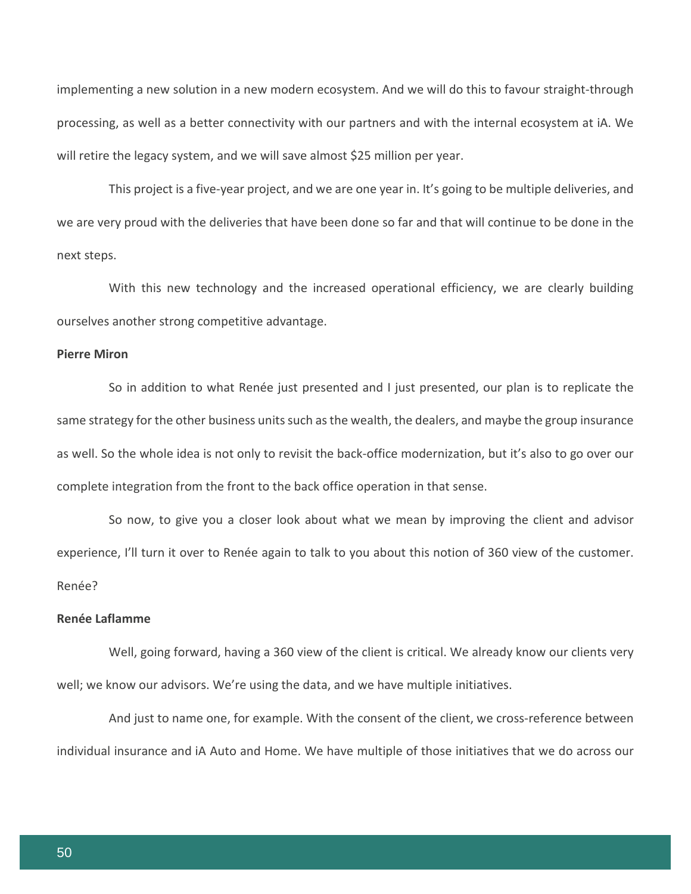implementing a new solution in a new modern ecosystem. And we will do this to favour straight-through processing, as well as a better connectivity with our partners and with the internal ecosystem at iA. We will retire the legacy system, and we will save almost \$25 million per year.

This project is a five-year project, and we are one year in. It's going to be multiple deliveries, and we are very proud with the deliveries that have been done so far and that will continue to be done in the next steps.

With this new technology and the increased operational efficiency, we are clearly building ourselves another strong competitive advantage.

#### **Pierre Miron**

So in addition to what Renée just presented and I just presented, our plan is to replicate the same strategy for the other business units such as the wealth, the dealers, and maybe the group insurance as well. So the whole idea is not only to revisit the back-office modernization, but it's also to go over our complete integration from the front to the back office operation in that sense.

So now, to give you a closer look about what we mean by improving the client and advisor experience, I'll turn it over to Renée again to talk to you about this notion of 360 view of the customer. Renée?

## **Renée Laflamme**

Well, going forward, having a 360 view of the client is critical. We already know our clients very well; we know our advisors. We're using the data, and we have multiple initiatives.

And just to name one, for example. With the consent of the client, we cross-reference between individual insurance and iA Auto and Home. We have multiple of those initiatives that we do across our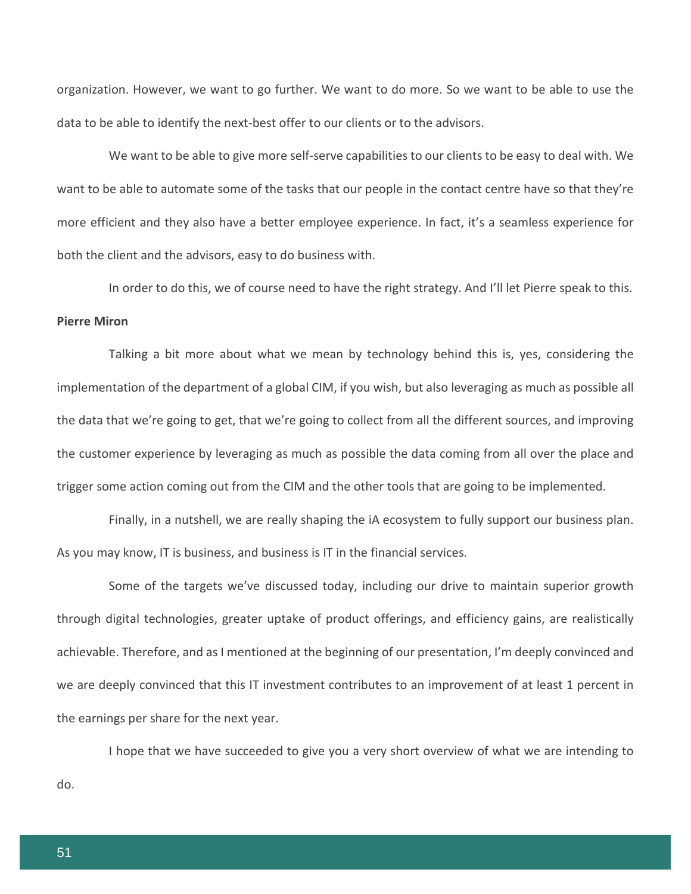organization. However, we want to go further. We want to do more. So we want to be able to use the data to be able to identify the next-best offer to our clients or to the advisors.

We want to be able to give more self-serve capabilities to our clients to be easy to deal with. We want to be able to automate some of the tasks that our people in the contact centre have so that they're more efficient and they also have a better employee experience. In fact, it's a seamless experience for both the client and the advisors, easy to do business with.

In order to do this, we of course need to have the right strategy. And I'll let Pierre speak to this. **Pierre Miron**

Talking a bit more about what we mean by technology behind this is, yes, considering the implementation of the department of a global CIM, if you wish, but also leveraging as much as possible all the data that we're going to get, that we're going to collect from all the different sources, and improving the customer experience by leveraging as much as possible the data coming from all over the place and trigger some action coming out from the CIM and the other tools that are going to be implemented.

Finally, in a nutshell, we are really shaping the iA ecosystem to fully support our business plan. As you may know, IT is business, and business is IT in the financial services.

Some of the targets we've discussed today, including our drive to maintain superior growth through digital technologies, greater uptake of product offerings, and efficiency gains, are realistically achievable. Therefore, and as I mentioned at the beginning of our presentation, I'm deeply convinced and we are deeply convinced that this IT investment contributes to an improvement of at least 1 percent in the earnings per share for the next year.

I hope that we have succeeded to give you a very short overview of what we are intending to do.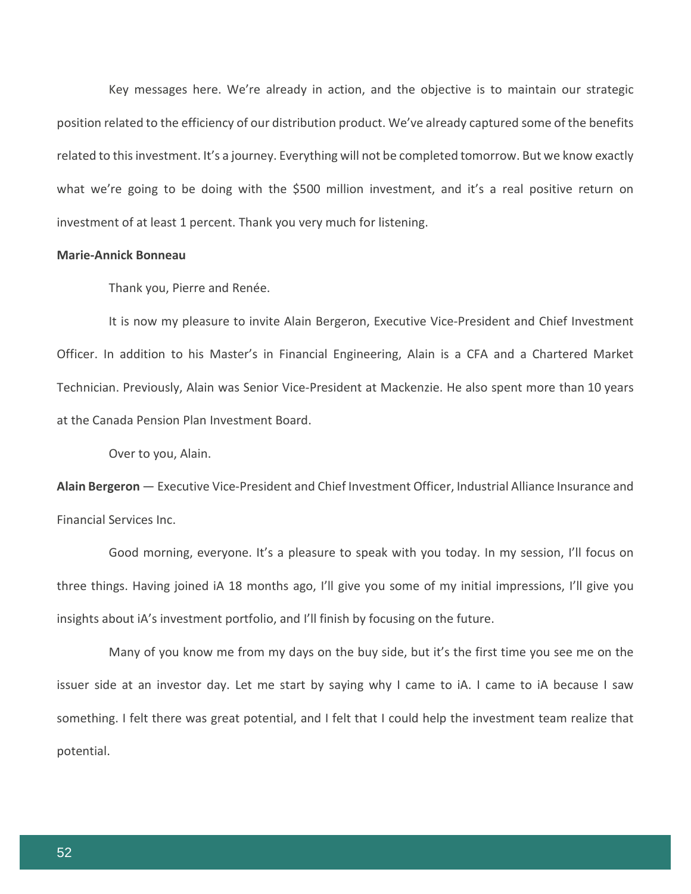Key messages here. We're already in action, and the objective is to maintain our strategic position related to the efficiency of our distribution product. We've already captured some of the benefits related to this investment. It's a journey. Everything will not be completed tomorrow. But we know exactly what we're going to be doing with the \$500 million investment, and it's a real positive return on investment of at least 1 percent. Thank you very much for listening.

# **Marie-Annick Bonneau**

Thank you, Pierre and Renée.

It is now my pleasure to invite Alain Bergeron, Executive Vice-President and Chief Investment Officer. In addition to his Master's in Financial Engineering, Alain is a CFA and a Chartered Market Technician. Previously, Alain was Senior Vice-President at Mackenzie. He also spent more than 10 years at the Canada Pension Plan Investment Board.

Over to you, Alain.

**Alain Bergeron** — Executive Vice-President and Chief Investment Officer, Industrial Alliance Insurance and Financial Services Inc.

Good morning, everyone. It's a pleasure to speak with you today. In my session, I'll focus on three things. Having joined iA 18 months ago, I'll give you some of my initial impressions, I'll give you insights about iA's investment portfolio, and I'll finish by focusing on the future.

Many of you know me from my days on the buy side, but it's the first time you see me on the issuer side at an investor day. Let me start by saying why I came to iA. I came to iA because I saw something. I felt there was great potential, and I felt that I could help the investment team realize that potential.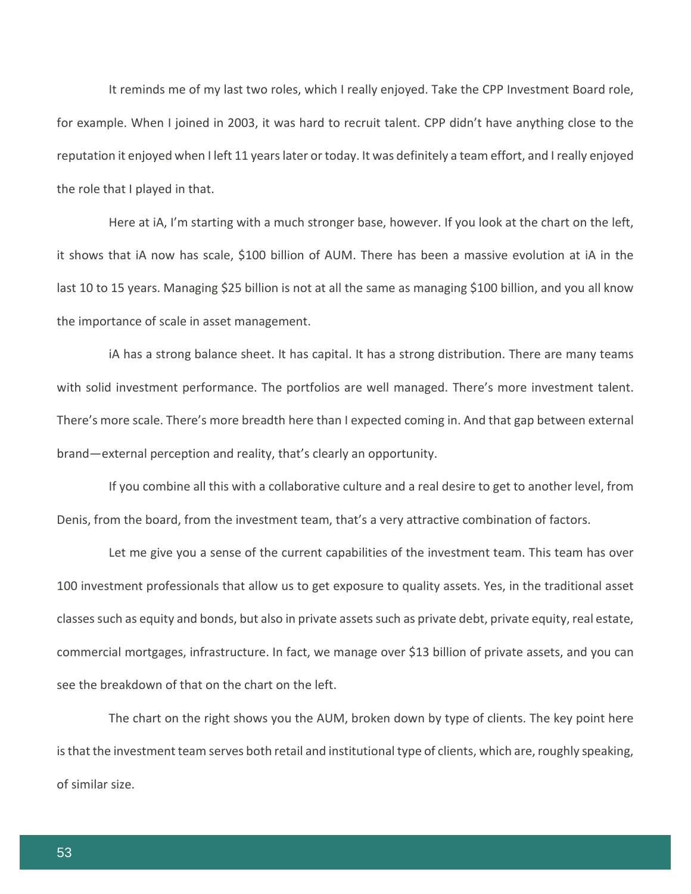It reminds me of my last two roles, which I really enjoyed. Take the CPP Investment Board role, for example. When I joined in 2003, it was hard to recruit talent. CPP didn't have anything close to the reputation it enjoyed when I left 11 years later or today. It was definitely a team effort, and I really enjoyed the role that I played in that.

Here at iA, I'm starting with a much stronger base, however. If you look at the chart on the left, it shows that iA now has scale, \$100 billion of AUM. There has been a massive evolution at iA in the last 10 to 15 years. Managing \$25 billion is not at all the same as managing \$100 billion, and you all know the importance of scale in asset management.

iA has a strong balance sheet. It has capital. It has a strong distribution. There are many teams with solid investment performance. The portfolios are well managed. There's more investment talent. There's more scale. There's more breadth here than I expected coming in. And that gap between external brand—external perception and reality, that's clearly an opportunity.

If you combine all this with a collaborative culture and a real desire to get to another level, from Denis, from the board, from the investment team, that's a very attractive combination of factors.

Let me give you a sense of the current capabilities of the investment team. This team has over 100 investment professionals that allow us to get exposure to quality assets. Yes, in the traditional asset classes such as equity and bonds, but also in private assets such as private debt, private equity, real estate, commercial mortgages, infrastructure. In fact, we manage over \$13 billion of private assets, and you can see the breakdown of that on the chart on the left.

The chart on the right shows you the AUM, broken down by type of clients. The key point here is that the investment team serves both retail and institutional type of clients, which are, roughly speaking, of similar size.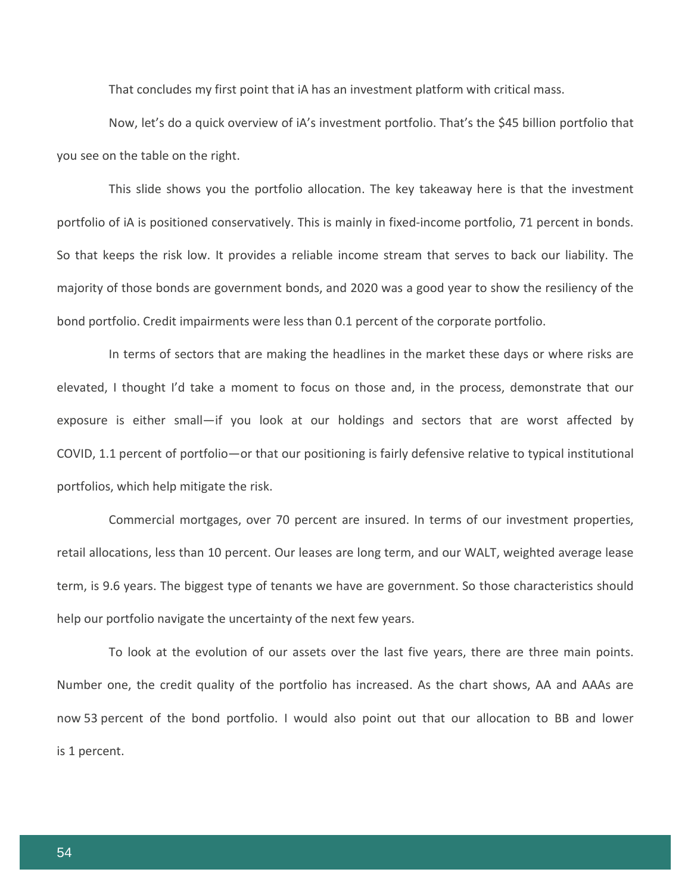That concludes my first point that iA has an investment platform with critical mass.

Now, let's do a quick overview of iA's investment portfolio. That's the \$45 billion portfolio that you see on the table on the right.

This slide shows you the portfolio allocation. The key takeaway here is that the investment portfolio of iA is positioned conservatively. This is mainly in fixed-income portfolio, 71 percent in bonds. So that keeps the risk low. It provides a reliable income stream that serves to back our liability. The majority of those bonds are government bonds, and 2020 was a good year to show the resiliency of the bond portfolio. Credit impairments were less than 0.1 percent of the corporate portfolio.

In terms of sectors that are making the headlines in the market these days or where risks are elevated, I thought I'd take a moment to focus on those and, in the process, demonstrate that our exposure is either small—if you look at our holdings and sectors that are worst affected by COVID, 1.1 percent of portfolio—or that our positioning is fairly defensive relative to typical institutional portfolios, which help mitigate the risk.

Commercial mortgages, over 70 percent are insured. In terms of our investment properties, retail allocations, less than 10 percent. Our leases are long term, and our WALT, weighted average lease term, is 9.6 years. The biggest type of tenants we have are government. So those characteristics should help our portfolio navigate the uncertainty of the next few years.

To look at the evolution of our assets over the last five years, there are three main points. Number one, the credit quality of the portfolio has increased. As the chart shows, AA and AAAs are now 53 percent of the bond portfolio. I would also point out that our allocation to BB and lower is 1 percent.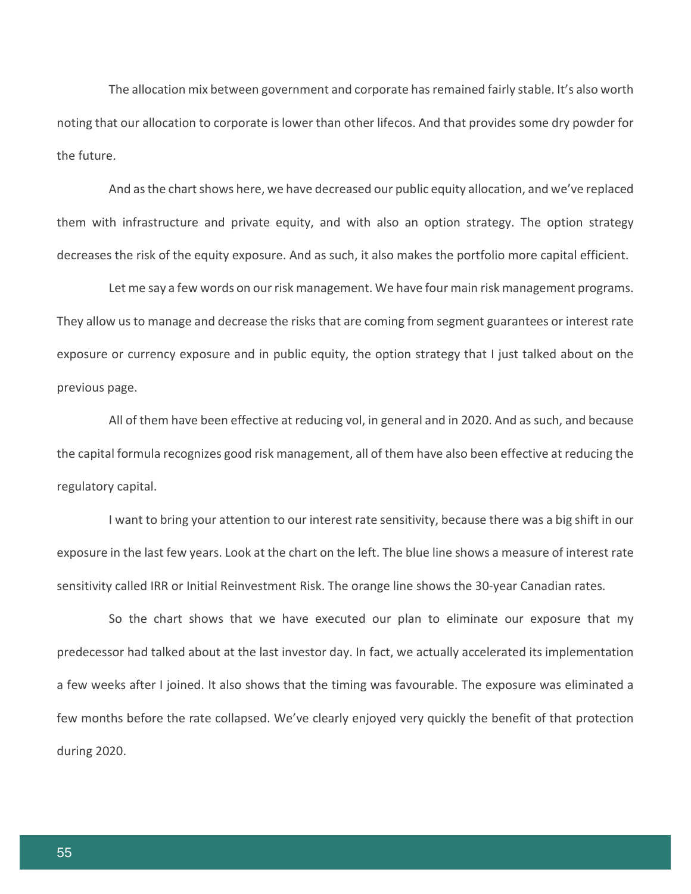The allocation mix between government and corporate has remained fairly stable. It's also worth noting that our allocation to corporate is lower than other lifecos. And that provides some dry powder for the future.

And as the chart shows here, we have decreased our public equity allocation, and we've replaced them with infrastructure and private equity, and with also an option strategy. The option strategy decreases the risk of the equity exposure. And as such, it also makes the portfolio more capital efficient.

Let me say a few words on our risk management. We have four main risk management programs. They allow us to manage and decrease the risks that are coming from segment guarantees or interest rate exposure or currency exposure and in public equity, the option strategy that I just talked about on the previous page.

All of them have been effective at reducing vol, in general and in 2020. And as such, and because the capital formula recognizes good risk management, all of them have also been effective at reducing the regulatory capital.

I want to bring your attention to our interest rate sensitivity, because there was a big shift in our exposure in the last few years. Look at the chart on the left. The blue line shows a measure of interest rate sensitivity called IRR or Initial Reinvestment Risk. The orange line shows the 30-year Canadian rates.

So the chart shows that we have executed our plan to eliminate our exposure that my predecessor had talked about at the last investor day. In fact, we actually accelerated its implementation a few weeks after I joined. It also shows that the timing was favourable. The exposure was eliminated a few months before the rate collapsed. We've clearly enjoyed very quickly the benefit of that protection during 2020.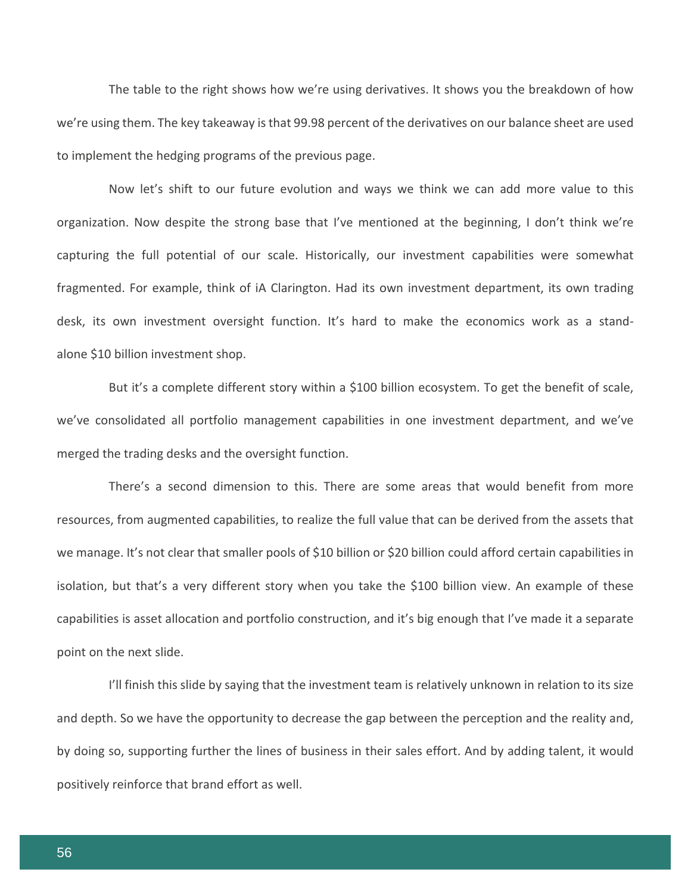The table to the right shows how we're using derivatives. It shows you the breakdown of how we're using them. The key takeaway is that 99.98 percent of the derivatives on our balance sheet are used to implement the hedging programs of the previous page.

Now let's shift to our future evolution and ways we think we can add more value to this organization. Now despite the strong base that I've mentioned at the beginning, I don't think we're capturing the full potential of our scale. Historically, our investment capabilities were somewhat fragmented. For example, think of iA Clarington. Had its own investment department, its own trading desk, its own investment oversight function. It's hard to make the economics work as a standalone \$10 billion investment shop.

But it's a complete different story within a \$100 billion ecosystem. To get the benefit of scale, we've consolidated all portfolio management capabilities in one investment department, and we've merged the trading desks and the oversight function.

There's a second dimension to this. There are some areas that would benefit from more resources, from augmented capabilities, to realize the full value that can be derived from the assets that we manage. It's not clear that smaller pools of \$10 billion or \$20 billion could afford certain capabilities in isolation, but that's a very different story when you take the \$100 billion view. An example of these capabilities is asset allocation and portfolio construction, and it's big enough that I've made it a separate point on the next slide.

I'll finish this slide by saying that the investment team is relatively unknown in relation to its size and depth. So we have the opportunity to decrease the gap between the perception and the reality and, by doing so, supporting further the lines of business in their sales effort. And by adding talent, it would positively reinforce that brand effort as well.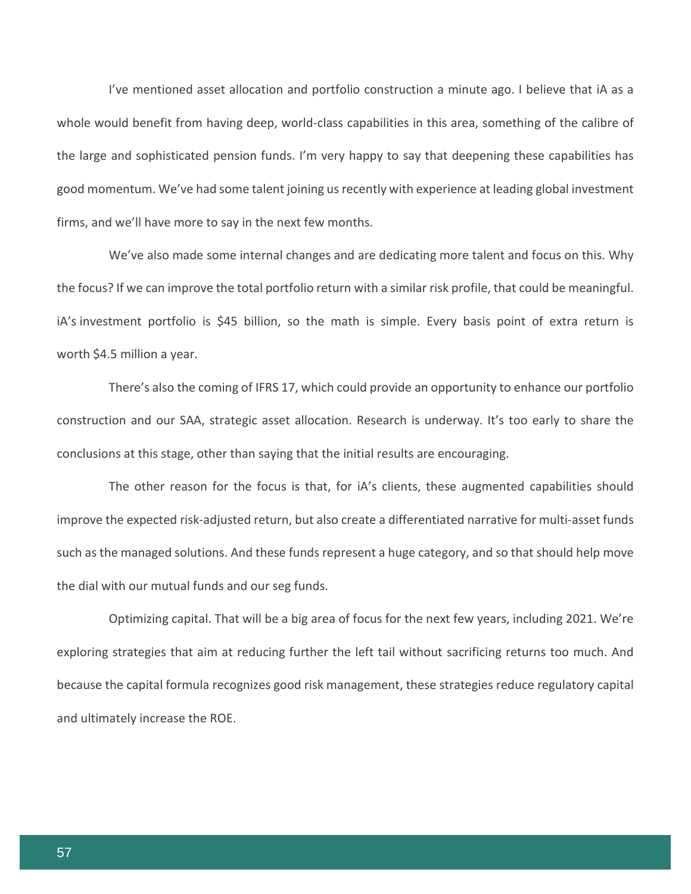I've mentioned asset allocation and portfolio construction a minute ago. I believe that iA as a whole would benefit from having deep, world-class capabilities in this area, something of the calibre of the large and sophisticated pension funds. I'm very happy to say that deepening these capabilities has good momentum. We've had some talent joining us recently with experience at leading global investment firms, and we'll have more to say in the next few months.

We've also made some internal changes and are dedicating more talent and focus on this. Why the focus? If we can improve the total portfolio return with a similar risk profile, that could be meaningful. iA's investment portfolio is \$45 billion, so the math is simple. Every basis point of extra return is worth \$4.5 million a year.

There's also the coming of IFRS 17, which could provide an opportunity to enhance our portfolio construction and our SAA, strategic asset allocation. Research is underway. It's too early to share the conclusions at this stage, other than saying that the initial results are encouraging.

The other reason for the focus is that, for iA's clients, these augmented capabilities should improve the expected risk-adjusted return, but also create a differentiated narrative for multi-asset funds such as the managed solutions. And these funds represent a huge category, and so that should help move the dial with our mutual funds and our seg funds.

Optimizing capital. That will be a big area of focus for the next few years, including 2021. We're exploring strategies that aim at reducing further the left tail without sacrificing returns too much. And because the capital formula recognizes good risk management, these strategies reduce regulatory capital and ultimately increase the ROE.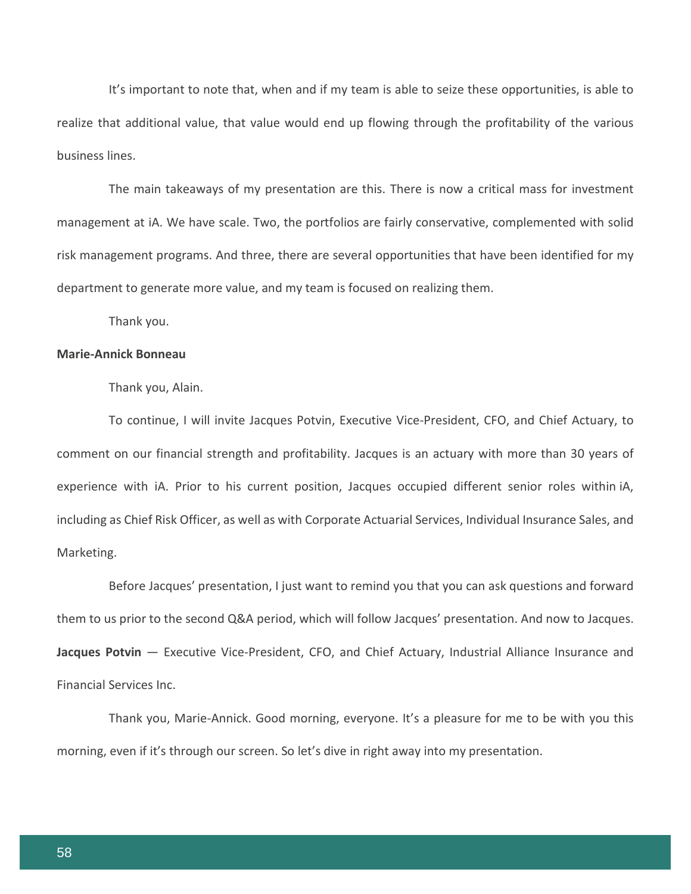It's important to note that, when and if my team is able to seize these opportunities, is able to realize that additional value, that value would end up flowing through the profitability of the various business lines.

The main takeaways of my presentation are this. There is now a critical mass for investment management at iA. We have scale. Two, the portfolios are fairly conservative, complemented with solid risk management programs. And three, there are several opportunities that have been identified for my department to generate more value, and my team is focused on realizing them.

Thank you.

#### **Marie-Annick Bonneau**

Thank you, Alain.

To continue, I will invite Jacques Potvin, Executive Vice-President, CFO, and Chief Actuary, to comment on our financial strength and profitability. Jacques is an actuary with more than 30 years of experience with iA. Prior to his current position, Jacques occupied different senior roles within iA, including as Chief Risk Officer, as well as with Corporate Actuarial Services, Individual Insurance Sales, and Marketing.

Before Jacques' presentation, I just want to remind you that you can ask questions and forward them to us prior to the second Q&A period, which will follow Jacques' presentation. And now to Jacques. **Jacques Potvin** — Executive Vice-President, CFO, and Chief Actuary, Industrial Alliance Insurance and Financial Services Inc.

Thank you, Marie-Annick. Good morning, everyone. It's a pleasure for me to be with you this morning, even if it's through our screen. So let's dive in right away into my presentation.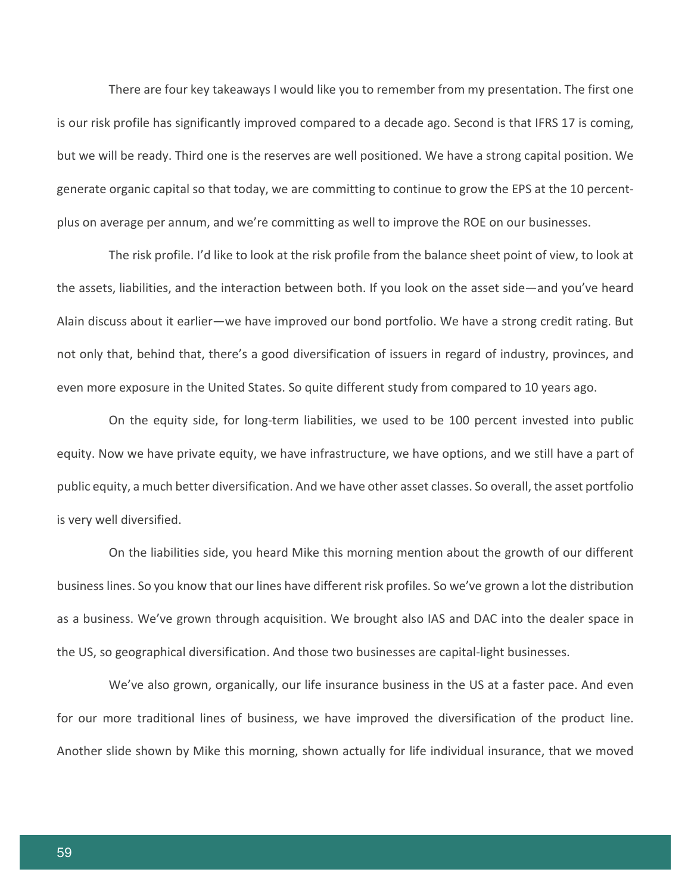There are four key takeaways I would like you to remember from my presentation. The first one is our risk profile has significantly improved compared to a decade ago. Second is that IFRS 17 is coming, but we will be ready. Third one is the reserves are well positioned. We have a strong capital position. We generate organic capital so that today, we are committing to continue to grow the EPS at the 10 percentplus on average per annum, and we're committing as well to improve the ROE on our businesses.

The risk profile. I'd like to look at the risk profile from the balance sheet point of view, to look at the assets, liabilities, and the interaction between both. If you look on the asset side—and you've heard Alain discuss about it earlier—we have improved our bond portfolio. We have a strong credit rating. But not only that, behind that, there's a good diversification of issuers in regard of industry, provinces, and even more exposure in the United States. So quite different study from compared to 10 years ago.

On the equity side, for long-term liabilities, we used to be 100 percent invested into public equity. Now we have private equity, we have infrastructure, we have options, and we still have a part of public equity, a much better diversification. And we have other asset classes. So overall, the asset portfolio is very well diversified.

On the liabilities side, you heard Mike this morning mention about the growth of our different business lines. So you know that our lines have different risk profiles. So we've grown a lot the distribution as a business. We've grown through acquisition. We brought also IAS and DAC into the dealer space in the US, so geographical diversification. And those two businesses are capital-light businesses.

We've also grown, organically, our life insurance business in the US at a faster pace. And even for our more traditional lines of business, we have improved the diversification of the product line. Another slide shown by Mike this morning, shown actually for life individual insurance, that we moved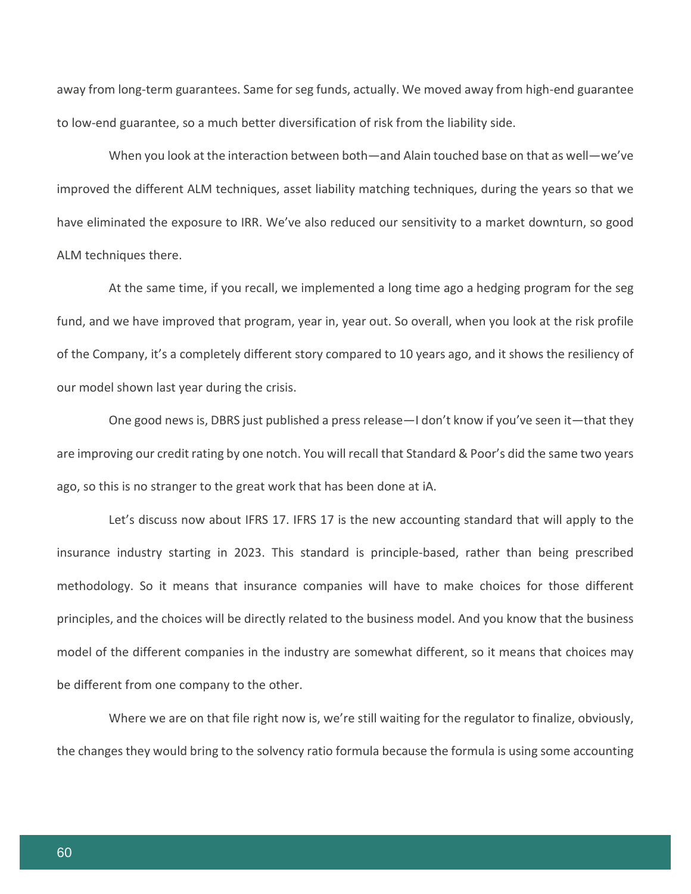away from long-term guarantees. Same for seg funds, actually. We moved away from high-end guarantee to low-end guarantee, so a much better diversification of risk from the liability side.

When you look at the interaction between both—and Alain touched base on that as well—we've improved the different ALM techniques, asset liability matching techniques, during the years so that we have eliminated the exposure to IRR. We've also reduced our sensitivity to a market downturn, so good ALM techniques there.

At the same time, if you recall, we implemented a long time ago a hedging program for the seg fund, and we have improved that program, year in, year out. So overall, when you look at the risk profile of the Company, it's a completely different story compared to 10 years ago, and it shows the resiliency of our model shown last year during the crisis.

One good news is, DBRS just published a press release—I don't know if you've seen it—that they are improving our credit rating by one notch. You will recall that Standard & Poor's did the same two years ago, so this is no stranger to the great work that has been done at iA.

Let's discuss now about IFRS 17. IFRS 17 is the new accounting standard that will apply to the insurance industry starting in 2023. This standard is principle-based, rather than being prescribed methodology. So it means that insurance companies will have to make choices for those different principles, and the choices will be directly related to the business model. And you know that the business model of the different companies in the industry are somewhat different, so it means that choices may be different from one company to the other.

Where we are on that file right now is, we're still waiting for the regulator to finalize, obviously, the changes they would bring to the solvency ratio formula because the formula is using some accounting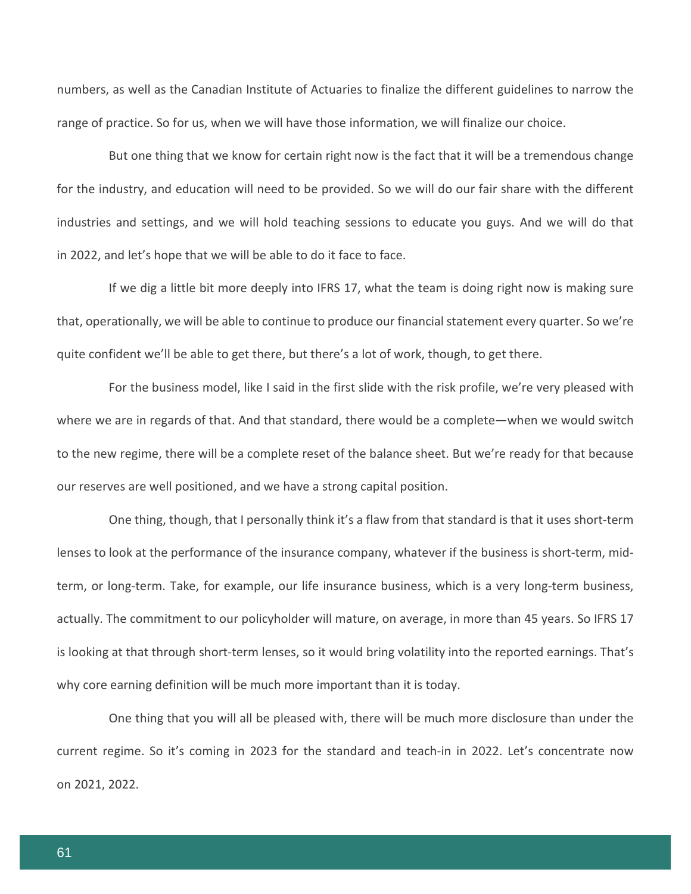numbers, as well as the Canadian Institute of Actuaries to finalize the different guidelines to narrow the range of practice. So for us, when we will have those information, we will finalize our choice.

But one thing that we know for certain right now is the fact that it will be a tremendous change for the industry, and education will need to be provided. So we will do our fair share with the different industries and settings, and we will hold teaching sessions to educate you guys. And we will do that in 2022, and let's hope that we will be able to do it face to face.

If we dig a little bit more deeply into IFRS 17, what the team is doing right now is making sure that, operationally, we will be able to continue to produce our financial statement every quarter. So we're quite confident we'll be able to get there, but there's a lot of work, though, to get there.

For the business model, like I said in the first slide with the risk profile, we're very pleased with where we are in regards of that. And that standard, there would be a complete—when we would switch to the new regime, there will be a complete reset of the balance sheet. But we're ready for that because our reserves are well positioned, and we have a strong capital position.

One thing, though, that I personally think it's a flaw from that standard is that it uses short-term lenses to look at the performance of the insurance company, whatever if the business is short-term, midterm, or long-term. Take, for example, our life insurance business, which is a very long-term business, actually. The commitment to our policyholder will mature, on average, in more than 45 years. So IFRS 17 is looking at that through short-term lenses, so it would bring volatility into the reported earnings. That's why core earning definition will be much more important than it is today.

One thing that you will all be pleased with, there will be much more disclosure than under the current regime. So it's coming in 2023 for the standard and teach-in in 2022. Let's concentrate now on 2021, 2022.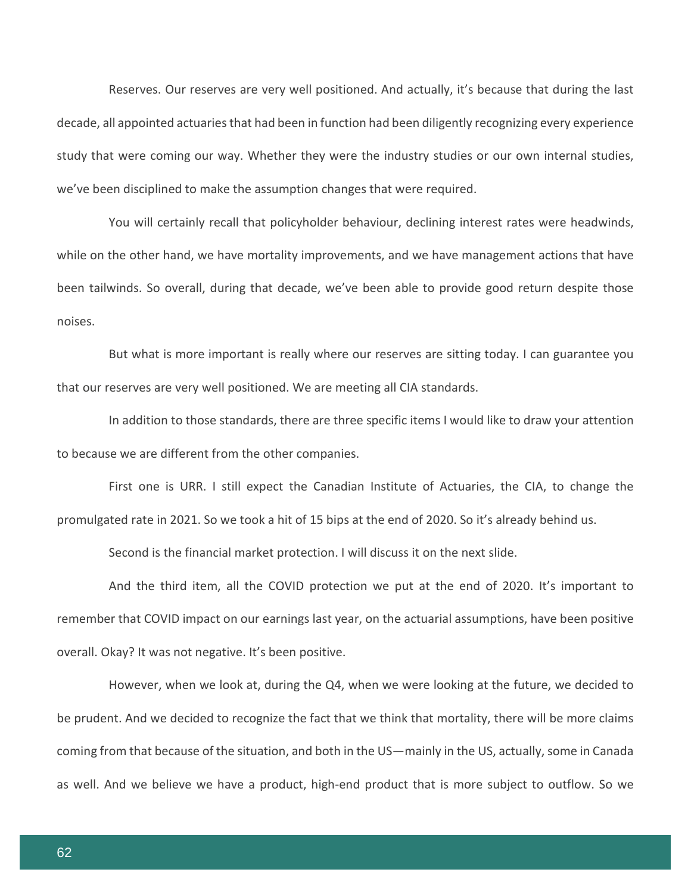Reserves. Our reserves are very well positioned. And actually, it's because that during the last decade, all appointed actuaries that had been in function had been diligently recognizing every experience study that were coming our way. Whether they were the industry studies or our own internal studies, we've been disciplined to make the assumption changes that were required.

You will certainly recall that policyholder behaviour, declining interest rates were headwinds, while on the other hand, we have mortality improvements, and we have management actions that have been tailwinds. So overall, during that decade, we've been able to provide good return despite those noises.

But what is more important is really where our reserves are sitting today. I can guarantee you that our reserves are very well positioned. We are meeting all CIA standards.

In addition to those standards, there are three specific items I would like to draw your attention to because we are different from the other companies.

First one is URR. I still expect the Canadian Institute of Actuaries, the CIA, to change the promulgated rate in 2021. So we took a hit of 15 bips at the end of 2020. So it's already behind us.

Second is the financial market protection. I will discuss it on the next slide.

And the third item, all the COVID protection we put at the end of 2020. It's important to remember that COVID impact on our earnings last year, on the actuarial assumptions, have been positive overall. Okay? It was not negative. It's been positive.

However, when we look at, during the Q4, when we were looking at the future, we decided to be prudent. And we decided to recognize the fact that we think that mortality, there will be more claims coming from that because of the situation, and both in the US—mainly in the US, actually, some in Canada as well. And we believe we have a product, high-end product that is more subject to outflow. So we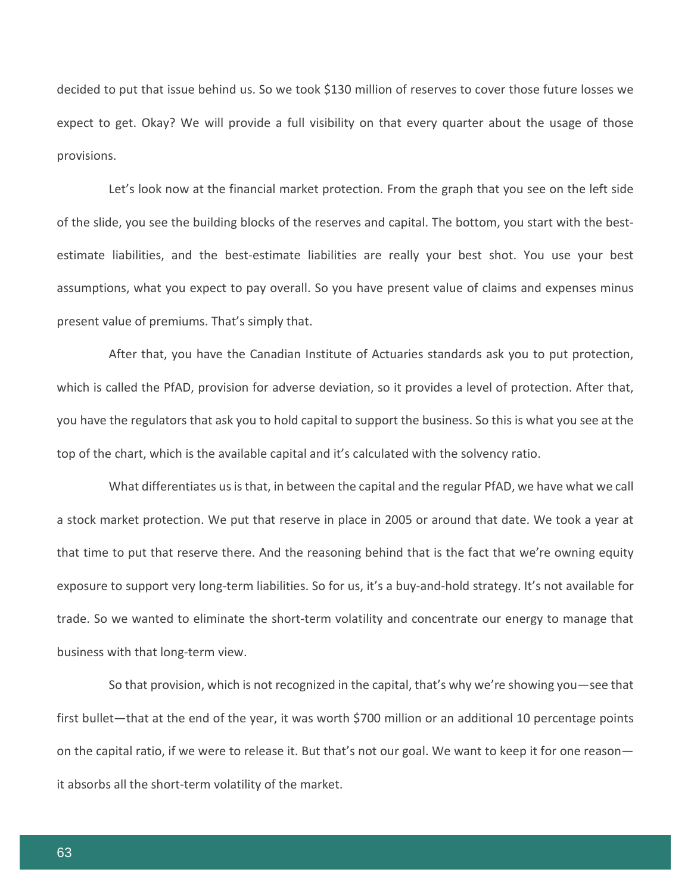decided to put that issue behind us. So we took \$130 million of reserves to cover those future losses we expect to get. Okay? We will provide a full visibility on that every quarter about the usage of those provisions.

Let's look now at the financial market protection. From the graph that you see on the left side of the slide, you see the building blocks of the reserves and capital. The bottom, you start with the bestestimate liabilities, and the best-estimate liabilities are really your best shot. You use your best assumptions, what you expect to pay overall. So you have present value of claims and expenses minus present value of premiums. That's simply that.

After that, you have the Canadian Institute of Actuaries standards ask you to put protection, which is called the PfAD, provision for adverse deviation, so it provides a level of protection. After that, you have the regulators that ask you to hold capital to support the business. So this is what you see at the top of the chart, which is the available capital and it's calculated with the solvency ratio.

What differentiates us is that, in between the capital and the regular PfAD, we have what we call a stock market protection. We put that reserve in place in 2005 or around that date. We took a year at that time to put that reserve there. And the reasoning behind that is the fact that we're owning equity exposure to support very long-term liabilities. So for us, it's a buy-and-hold strategy. It's not available for trade. So we wanted to eliminate the short-term volatility and concentrate our energy to manage that business with that long-term view.

So that provision, which is not recognized in the capital, that's why we're showing you—see that first bullet—that at the end of the year, it was worth \$700 million or an additional 10 percentage points on the capital ratio, if we were to release it. But that's not our goal. We want to keep it for one reason it absorbs all the short-term volatility of the market.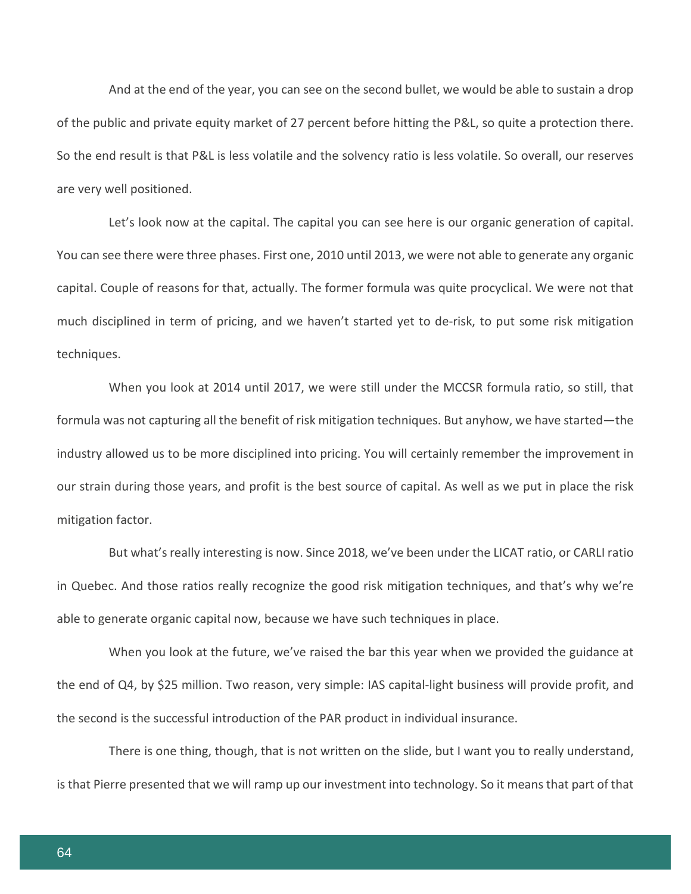And at the end of the year, you can see on the second bullet, we would be able to sustain a drop of the public and private equity market of 27 percent before hitting the P&L, so quite a protection there. So the end result is that P&L is less volatile and the solvency ratio is less volatile. So overall, our reserves are very well positioned.

Let's look now at the capital. The capital you can see here is our organic generation of capital. You can see there were three phases. First one, 2010 until 2013, we were not able to generate any organic capital. Couple of reasons for that, actually. The former formula was quite procyclical. We were not that much disciplined in term of pricing, and we haven't started yet to de-risk, to put some risk mitigation techniques.

When you look at 2014 until 2017, we were still under the MCCSR formula ratio, so still, that formula was not capturing all the benefit of risk mitigation techniques. But anyhow, we have started—the industry allowed us to be more disciplined into pricing. You will certainly remember the improvement in our strain during those years, and profit is the best source of capital. As well as we put in place the risk mitigation factor.

But what's really interesting is now. Since 2018, we've been under the LICAT ratio, or CARLI ratio in Quebec. And those ratios really recognize the good risk mitigation techniques, and that's why we're able to generate organic capital now, because we have such techniques in place.

When you look at the future, we've raised the bar this year when we provided the guidance at the end of Q4, by \$25 million. Two reason, very simple: IAS capital-light business will provide profit, and the second is the successful introduction of the PAR product in individual insurance.

There is one thing, though, that is not written on the slide, but I want you to really understand, is that Pierre presented that we will ramp up our investment into technology. So it means that part of that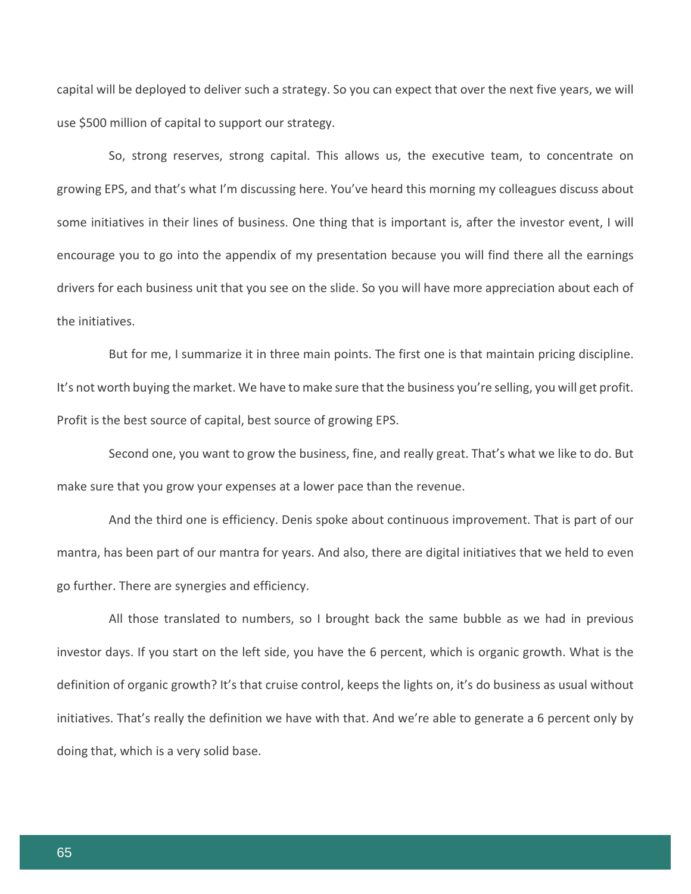capital will be deployed to deliver such a strategy. So you can expect that over the next five years, we will use \$500 million of capital to support our strategy.

So, strong reserves, strong capital. This allows us, the executive team, to concentrate on growing EPS, and that's what I'm discussing here. You've heard this morning my colleagues discuss about some initiatives in their lines of business. One thing that is important is, after the investor event, I will encourage you to go into the appendix of my presentation because you will find there all the earnings drivers for each business unit that you see on the slide. So you will have more appreciation about each of the initiatives.

But for me, I summarize it in three main points. The first one is that maintain pricing discipline. It's not worth buying the market. We have to make sure that the business you're selling, you will get profit. Profit is the best source of capital, best source of growing EPS.

Second one, you want to grow the business, fine, and really great. That's what we like to do. But make sure that you grow your expenses at a lower pace than the revenue.

And the third one is efficiency. Denis spoke about continuous improvement. That is part of our mantra, has been part of our mantra for years. And also, there are digital initiatives that we held to even go further. There are synergies and efficiency.

All those translated to numbers, so I brought back the same bubble as we had in previous investor days. If you start on the left side, you have the 6 percent, which is organic growth. What is the definition of organic growth? It's that cruise control, keeps the lights on, it's do business as usual without initiatives. That's really the definition we have with that. And we're able to generate a 6 percent only by doing that, which is a very solid base.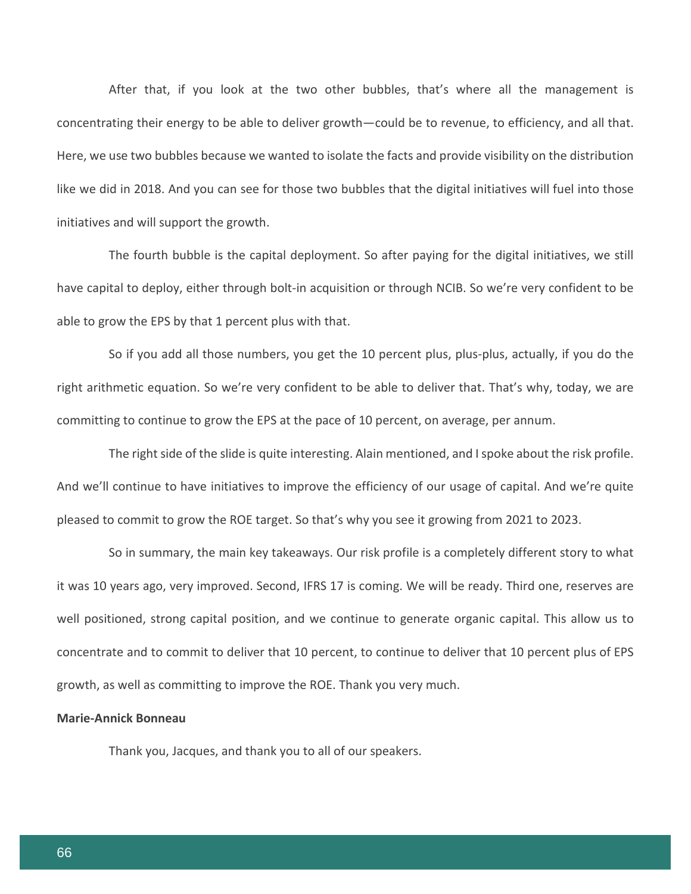After that, if you look at the two other bubbles, that's where all the management is concentrating their energy to be able to deliver growth—could be to revenue, to efficiency, and all that. Here, we use two bubbles because we wanted to isolate the facts and provide visibility on the distribution like we did in 2018. And you can see for those two bubbles that the digital initiatives will fuel into those initiatives and will support the growth.

The fourth bubble is the capital deployment. So after paying for the digital initiatives, we still have capital to deploy, either through bolt-in acquisition or through NCIB. So we're very confident to be able to grow the EPS by that 1 percent plus with that.

So if you add all those numbers, you get the 10 percent plus, plus-plus, actually, if you do the right arithmetic equation. So we're very confident to be able to deliver that. That's why, today, we are committing to continue to grow the EPS at the pace of 10 percent, on average, per annum.

The right side of the slide is quite interesting. Alain mentioned, and I spoke about the risk profile. And we'll continue to have initiatives to improve the efficiency of our usage of capital. And we're quite pleased to commit to grow the ROE target. So that's why you see it growing from 2021 to 2023.

So in summary, the main key takeaways. Our risk profile is a completely different story to what it was 10 years ago, very improved. Second, IFRS 17 is coming. We will be ready. Third one, reserves are well positioned, strong capital position, and we continue to generate organic capital. This allow us to concentrate and to commit to deliver that 10 percent, to continue to deliver that 10 percent plus of EPS growth, as well as committing to improve the ROE. Thank you very much.

# **Marie-Annick Bonneau**

Thank you, Jacques, and thank you to all of our speakers.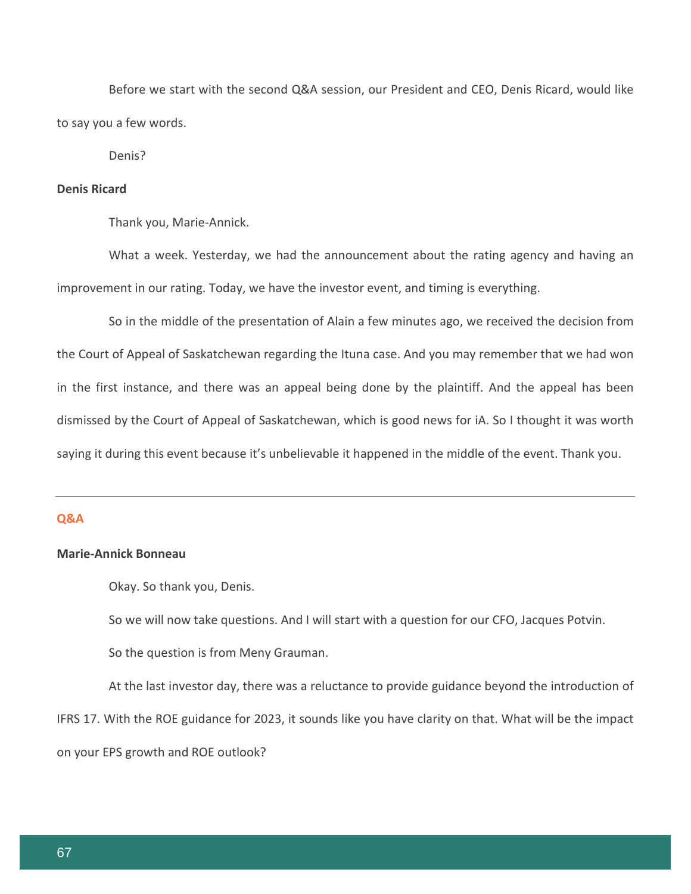Before we start with the second Q&A session, our President and CEO, Denis Ricard, would like to say you a few words.

Denis?

# **Denis Ricard**

Thank you, Marie-Annick.

What a week. Yesterday, we had the announcement about the rating agency and having an improvement in our rating. Today, we have the investor event, and timing is everything.

So in the middle of the presentation of Alain a few minutes ago, we received the decision from the Court of Appeal of Saskatchewan regarding the Ituna case. And you may remember that we had won in the first instance, and there was an appeal being done by the plaintiff. And the appeal has been dismissed by the Court of Appeal of Saskatchewan, which is good news for iA. So I thought it was worth saying it during this event because it's unbelievable it happened in the middle of the event. Thank you.

# **Q&A**

# **Marie-Annick Bonneau**

Okay. So thank you, Denis.

So we will now take questions. And I will start with a question for our CFO, Jacques Potvin.

So the question is from Meny Grauman.

At the last investor day, there was a reluctance to provide guidance beyond the introduction of IFRS 17. With the ROE guidance for 2023, it sounds like you have clarity on that. What will be the impact on your EPS growth and ROE outlook?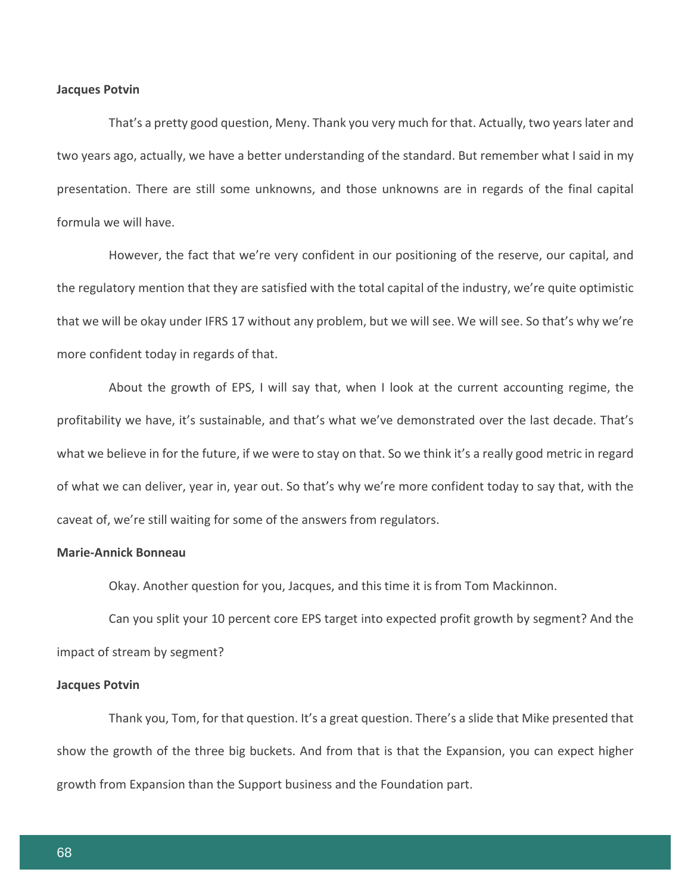#### **Jacques Potvin**

That's a pretty good question, Meny. Thank you very much for that. Actually, two years later and two years ago, actually, we have a better understanding of the standard. But remember what I said in my presentation. There are still some unknowns, and those unknowns are in regards of the final capital formula we will have.

However, the fact that we're very confident in our positioning of the reserve, our capital, and the regulatory mention that they are satisfied with the total capital of the industry, we're quite optimistic that we will be okay under IFRS 17 without any problem, but we will see. We will see. So that's why we're more confident today in regards of that.

About the growth of EPS, I will say that, when I look at the current accounting regime, the profitability we have, it's sustainable, and that's what we've demonstrated over the last decade. That's what we believe in for the future, if we were to stay on that. So we think it's a really good metric in regard of what we can deliver, year in, year out. So that's why we're more confident today to say that, with the caveat of, we're still waiting for some of the answers from regulators.

# **Marie-Annick Bonneau**

Okay. Another question for you, Jacques, and this time it is from Tom Mackinnon.

Can you split your 10 percent core EPS target into expected profit growth by segment? And the impact of stream by segment?

#### **Jacques Potvin**

Thank you, Tom, for that question. It's a great question. There's a slide that Mike presented that show the growth of the three big buckets. And from that is that the Expansion, you can expect higher growth from Expansion than the Support business and the Foundation part.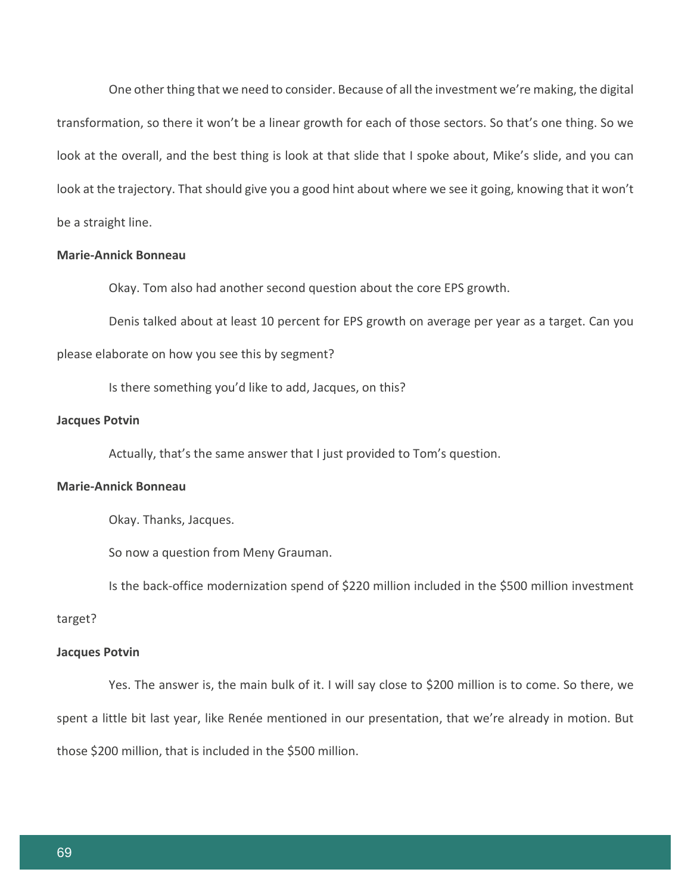One other thing that we need to consider. Because of all the investment we're making, the digital transformation, so there it won't be a linear growth for each of those sectors. So that's one thing. So we look at the overall, and the best thing is look at that slide that I spoke about, Mike's slide, and you can look at the trajectory. That should give you a good hint about where we see it going, knowing that it won't be a straight line.

# **Marie-Annick Bonneau**

Okay. Tom also had another second question about the core EPS growth.

Denis talked about at least 10 percent for EPS growth on average per year as a target. Can you please elaborate on how you see this by segment?

Is there something you'd like to add, Jacques, on this?

#### **Jacques Potvin**

Actually, that's the same answer that I just provided to Tom's question.

#### **Marie-Annick Bonneau**

Okay. Thanks, Jacques.

So now a question from Meny Grauman.

Is the back-office modernization spend of \$220 million included in the \$500 million investment

#### target?

#### **Jacques Potvin**

Yes. The answer is, the main bulk of it. I will say close to \$200 million is to come. So there, we spent a little bit last year, like Renée mentioned in our presentation, that we're already in motion. But those \$200 million, that is included in the \$500 million.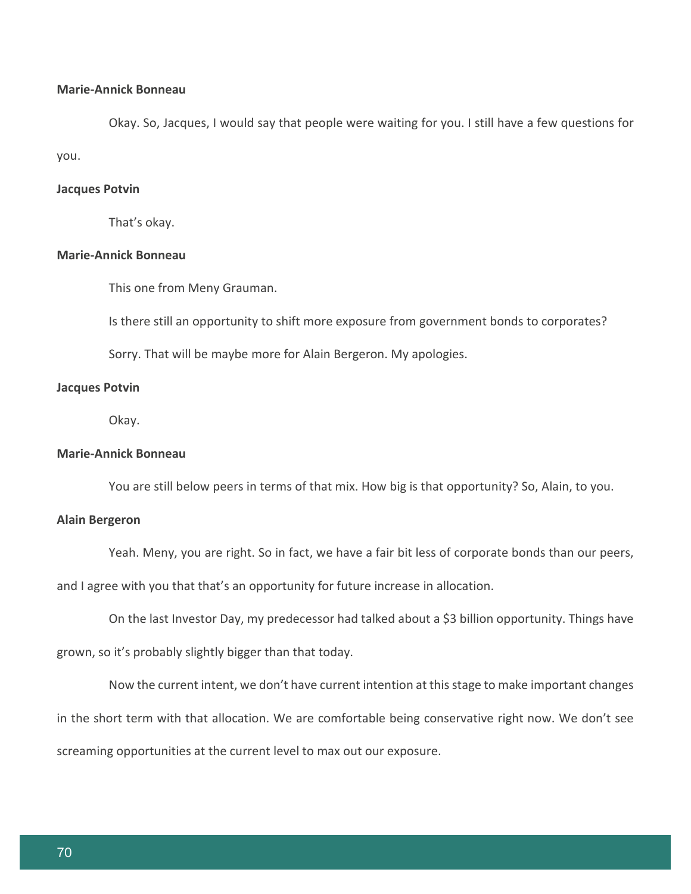# **Marie-Annick Bonneau**

Okay. So, Jacques, I would say that people were waiting for you. I still have a few questions for you.

# **Jacques Potvin**

That's okay.

# **Marie-Annick Bonneau**

This one from Meny Grauman.

Is there still an opportunity to shift more exposure from government bonds to corporates?

Sorry. That will be maybe more for Alain Bergeron. My apologies.

## **Jacques Potvin**

Okay.

# **Marie-Annick Bonneau**

You are still below peers in terms of that mix. How big is that opportunity? So, Alain, to you.

#### **Alain Bergeron**

Yeah. Meny, you are right. So in fact, we have a fair bit less of corporate bonds than our peers,

and I agree with you that that's an opportunity for future increase in allocation.

On the last Investor Day, my predecessor had talked about a \$3 billion opportunity. Things have

grown, so it's probably slightly bigger than that today.

Now the current intent, we don't have current intention at this stage to make important changes in the short term with that allocation. We are comfortable being conservative right now. We don't see screaming opportunities at the current level to max out our exposure.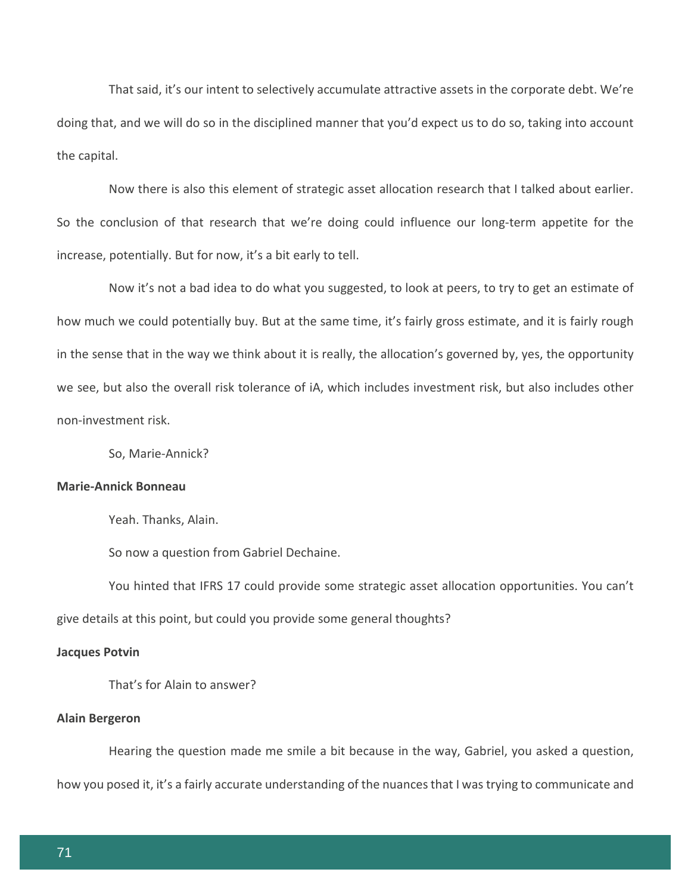That said, it's our intent to selectively accumulate attractive assets in the corporate debt. We're doing that, and we will do so in the disciplined manner that you'd expect us to do so, taking into account the capital.

Now there is also this element of strategic asset allocation research that I talked about earlier. So the conclusion of that research that we're doing could influence our long-term appetite for the increase, potentially. But for now, it's a bit early to tell.

Now it's not a bad idea to do what you suggested, to look at peers, to try to get an estimate of how much we could potentially buy. But at the same time, it's fairly gross estimate, and it is fairly rough in the sense that in the way we think about it is really, the allocation's governed by, yes, the opportunity we see, but also the overall risk tolerance of iA, which includes investment risk, but also includes other non-investment risk.

So, Marie-Annick?

# **Marie-Annick Bonneau**

Yeah. Thanks, Alain.

So now a question from Gabriel Dechaine.

You hinted that IFRS 17 could provide some strategic asset allocation opportunities. You can't give details at this point, but could you provide some general thoughts?

#### **Jacques Potvin**

That's for Alain to answer?

#### **Alain Bergeron**

Hearing the question made me smile a bit because in the way, Gabriel, you asked a question, how you posed it, it's a fairly accurate understanding of the nuances that I was trying to communicate and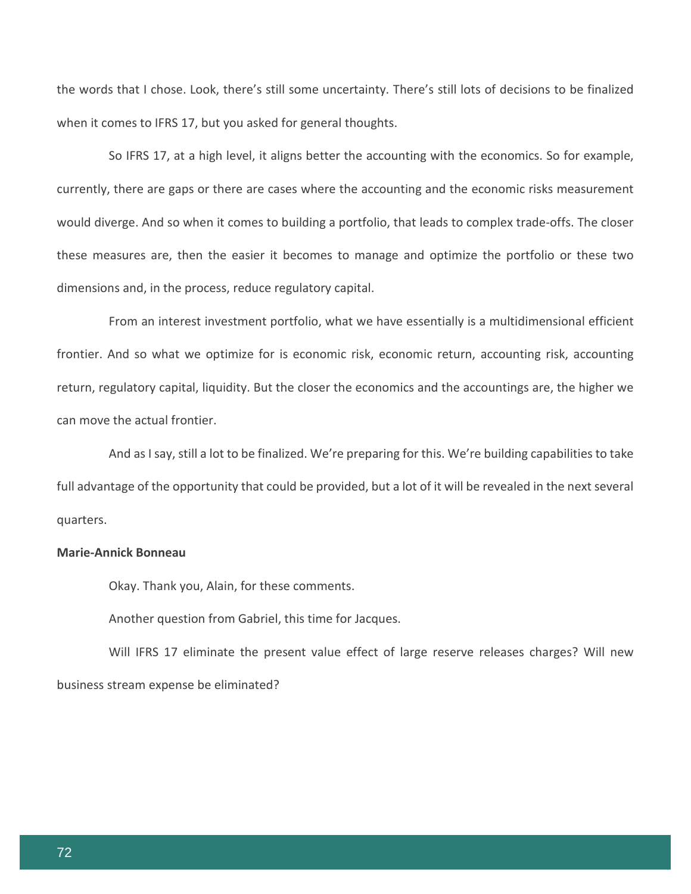the words that I chose. Look, there's still some uncertainty. There's still lots of decisions to be finalized when it comes to IFRS 17, but you asked for general thoughts.

So IFRS 17, at a high level, it aligns better the accounting with the economics. So for example, currently, there are gaps or there are cases where the accounting and the economic risks measurement would diverge. And so when it comes to building a portfolio, that leads to complex trade-offs. The closer these measures are, then the easier it becomes to manage and optimize the portfolio or these two dimensions and, in the process, reduce regulatory capital.

From an interest investment portfolio, what we have essentially is a multidimensional efficient frontier. And so what we optimize for is economic risk, economic return, accounting risk, accounting return, regulatory capital, liquidity. But the closer the economics and the accountings are, the higher we can move the actual frontier.

And as I say, still a lot to be finalized. We're preparing for this. We're building capabilities to take full advantage of the opportunity that could be provided, but a lot of it will be revealed in the next several quarters.

# **Marie-Annick Bonneau**

Okay. Thank you, Alain, for these comments.

Another question from Gabriel, this time for Jacques.

Will IFRS 17 eliminate the present value effect of large reserve releases charges? Will new business stream expense be eliminated?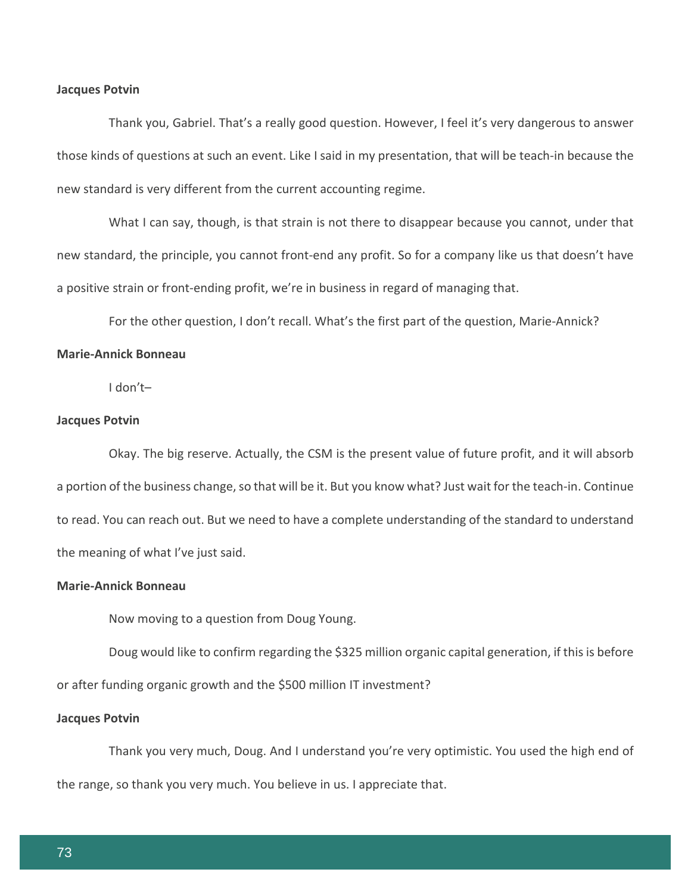#### **Jacques Potvin**

Thank you, Gabriel. That's a really good question. However, I feel it's very dangerous to answer those kinds of questions at such an event. Like I said in my presentation, that will be teach-in because the new standard is very different from the current accounting regime.

What I can say, though, is that strain is not there to disappear because you cannot, under that new standard, the principle, you cannot front-end any profit. So for a company like us that doesn't have a positive strain or front-ending profit, we're in business in regard of managing that.

For the other question, I don't recall. What's the first part of the question, Marie-Annick?

#### **Marie-Annick Bonneau**

I don't–

#### **Jacques Potvin**

Okay. The big reserve. Actually, the CSM is the present value of future profit, and it will absorb a portion of the business change, so that will be it. But you know what? Just wait for the teach-in. Continue to read. You can reach out. But we need to have a complete understanding of the standard to understand the meaning of what I've just said.

# **Marie-Annick Bonneau**

Now moving to a question from Doug Young.

Doug would like to confirm regarding the \$325 million organic capital generation, if this is before or after funding organic growth and the \$500 million IT investment?

#### **Jacques Potvin**

Thank you very much, Doug. And I understand you're very optimistic. You used the high end of the range, so thank you very much. You believe in us. I appreciate that.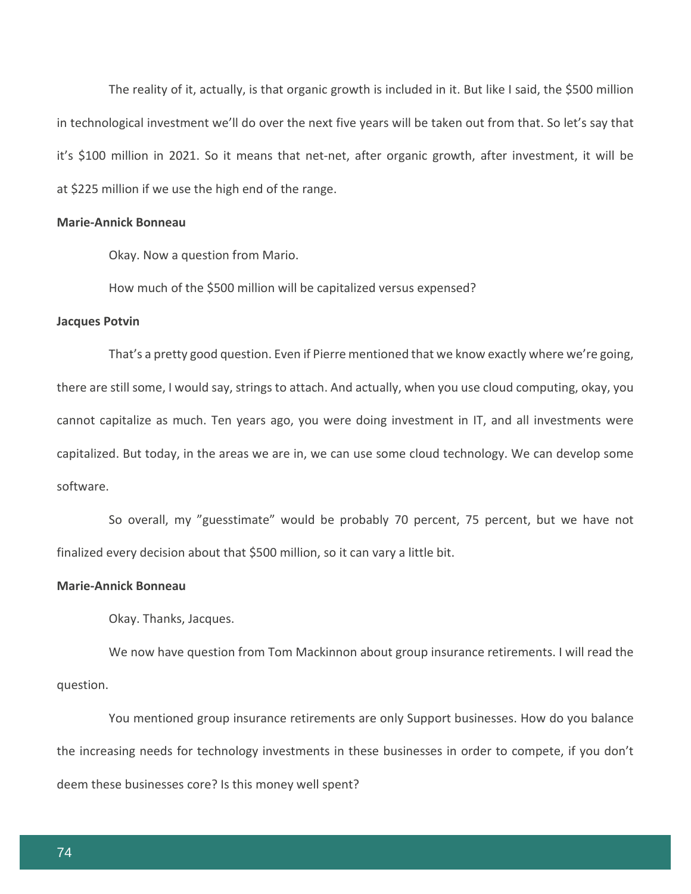The reality of it, actually, is that organic growth is included in it. But like I said, the \$500 million in technological investment we'll do over the next five years will be taken out from that. So let's say that it's \$100 million in 2021. So it means that net-net, after organic growth, after investment, it will be at \$225 million if we use the high end of the range.

## **Marie-Annick Bonneau**

Okay. Now a question from Mario.

How much of the \$500 million will be capitalized versus expensed?

#### **Jacques Potvin**

That's a pretty good question. Even if Pierre mentioned that we know exactly where we're going, there are still some, I would say, strings to attach. And actually, when you use cloud computing, okay, you cannot capitalize as much. Ten years ago, you were doing investment in IT, and all investments were capitalized. But today, in the areas we are in, we can use some cloud technology. We can develop some software.

So overall, my "guesstimate" would be probably 70 percent, 75 percent, but we have not finalized every decision about that \$500 million, so it can vary a little bit.

#### **Marie-Annick Bonneau**

Okay. Thanks, Jacques.

We now have question from Tom Mackinnon about group insurance retirements. I will read the question.

You mentioned group insurance retirements are only Support businesses. How do you balance the increasing needs for technology investments in these businesses in order to compete, if you don't deem these businesses core? Is this money well spent?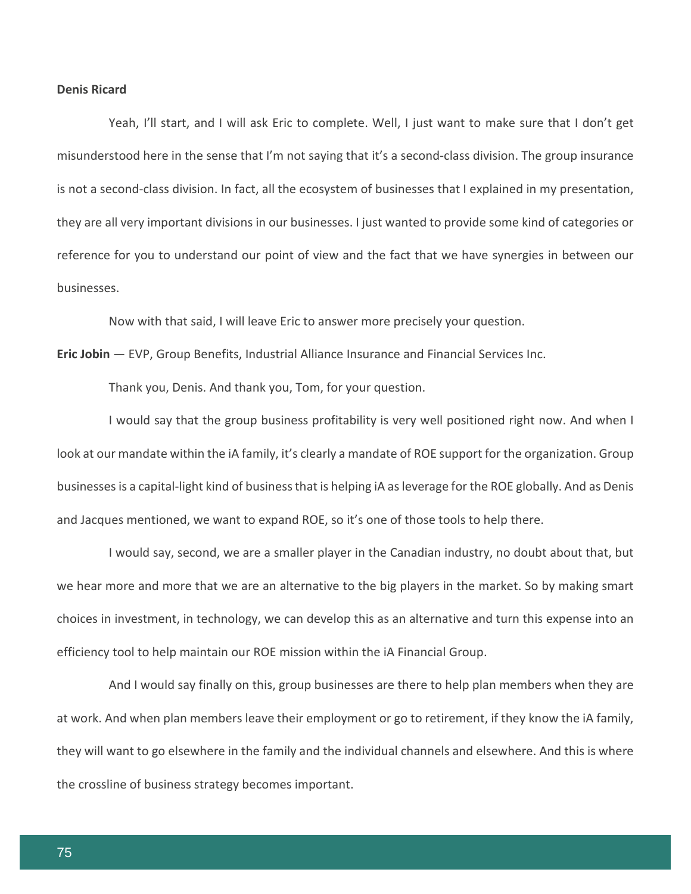#### **Denis Ricard**

Yeah, I'll start, and I will ask Eric to complete. Well, I just want to make sure that I don't get misunderstood here in the sense that I'm not saying that it's a second-class division. The group insurance is not a second-class division. In fact, all the ecosystem of businesses that I explained in my presentation, they are all very important divisions in our businesses. I just wanted to provide some kind of categories or reference for you to understand our point of view and the fact that we have synergies in between our businesses.

Now with that said, I will leave Eric to answer more precisely your question.

**Eric Jobin** — EVP, Group Benefits, Industrial Alliance Insurance and Financial Services Inc.

Thank you, Denis. And thank you, Tom, for your question.

I would say that the group business profitability is very well positioned right now. And when I look at our mandate within the iA family, it's clearly a mandate of ROE support for the organization. Group businesses is a capital-light kind of business that is helping iA as leverage for the ROE globally. And as Denis and Jacques mentioned, we want to expand ROE, so it's one of those tools to help there.

I would say, second, we are a smaller player in the Canadian industry, no doubt about that, but we hear more and more that we are an alternative to the big players in the market. So by making smart choices in investment, in technology, we can develop this as an alternative and turn this expense into an efficiency tool to help maintain our ROE mission within the iA Financial Group.

And I would say finally on this, group businesses are there to help plan members when they are at work. And when plan members leave their employment or go to retirement, if they know the iA family, they will want to go elsewhere in the family and the individual channels and elsewhere. And this is where the crossline of business strategy becomes important.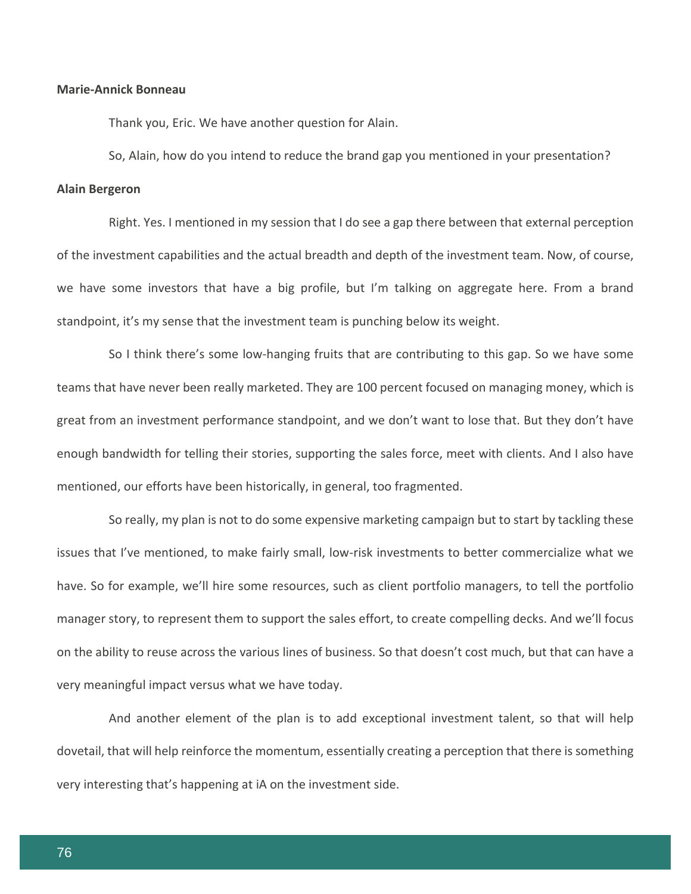### **Marie-Annick Bonneau**

Thank you, Eric. We have another question for Alain.

So, Alain, how do you intend to reduce the brand gap you mentioned in your presentation?

#### **Alain Bergeron**

Right. Yes. I mentioned in my session that I do see a gap there between that external perception of the investment capabilities and the actual breadth and depth of the investment team. Now, of course, we have some investors that have a big profile, but I'm talking on aggregate here. From a brand standpoint, it's my sense that the investment team is punching below its weight.

So I think there's some low-hanging fruits that are contributing to this gap. So we have some teams that have never been really marketed. They are 100 percent focused on managing money, which is great from an investment performance standpoint, and we don't want to lose that. But they don't have enough bandwidth for telling their stories, supporting the sales force, meet with clients. And I also have mentioned, our efforts have been historically, in general, too fragmented.

So really, my plan is not to do some expensive marketing campaign but to start by tackling these issues that I've mentioned, to make fairly small, low-risk investments to better commercialize what we have. So for example, we'll hire some resources, such as client portfolio managers, to tell the portfolio manager story, to represent them to support the sales effort, to create compelling decks. And we'll focus on the ability to reuse across the various lines of business. So that doesn't cost much, but that can have a very meaningful impact versus what we have today.

And another element of the plan is to add exceptional investment talent, so that will help dovetail, that will help reinforce the momentum, essentially creating a perception that there is something very interesting that's happening at iA on the investment side.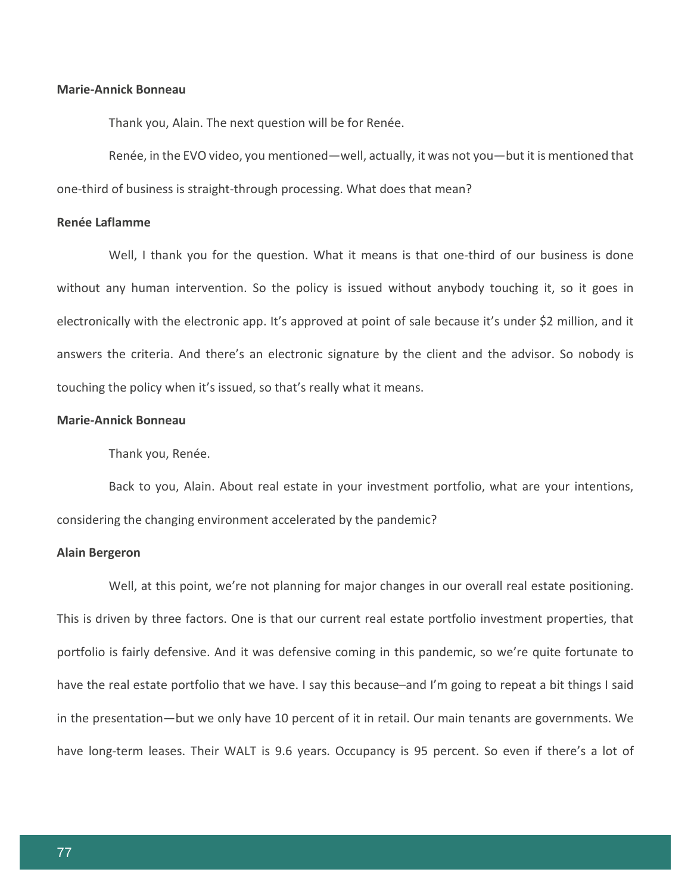## **Marie-Annick Bonneau**

Thank you, Alain. The next question will be for Renée.

Renée, in the EVO video, you mentioned—well, actually, it was not you—but it is mentioned that one-third of business is straight-through processing. What does that mean?

#### **Renée Laflamme**

Well, I thank you for the question. What it means is that one-third of our business is done without any human intervention. So the policy is issued without anybody touching it, so it goes in electronically with the electronic app. It's approved at point of sale because it's under \$2 million, and it answers the criteria. And there's an electronic signature by the client and the advisor. So nobody is touching the policy when it's issued, so that's really what it means.

## **Marie-Annick Bonneau**

Thank you, Renée.

Back to you, Alain. About real estate in your investment portfolio, what are your intentions, considering the changing environment accelerated by the pandemic?

## **Alain Bergeron**

Well, at this point, we're not planning for major changes in our overall real estate positioning. This is driven by three factors. One is that our current real estate portfolio investment properties, that portfolio is fairly defensive. And it was defensive coming in this pandemic, so we're quite fortunate to have the real estate portfolio that we have. I say this because–and I'm going to repeat a bit things I said in the presentation—but we only have 10 percent of it in retail. Our main tenants are governments. We have long-term leases. Their WALT is 9.6 years. Occupancy is 95 percent. So even if there's a lot of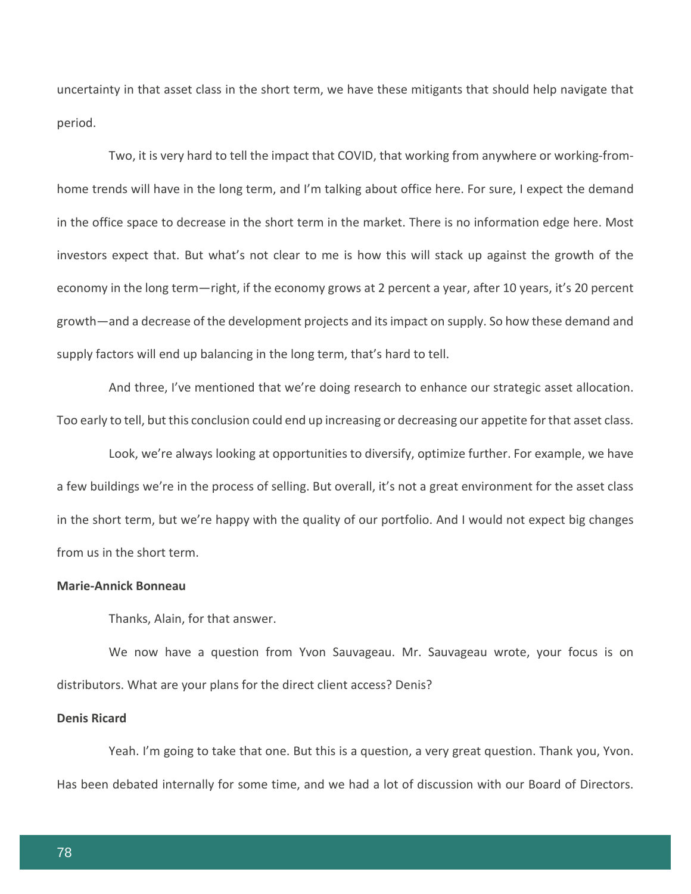uncertainty in that asset class in the short term, we have these mitigants that should help navigate that period.

Two, it is very hard to tell the impact that COVID, that working from anywhere or working-fromhome trends will have in the long term, and I'm talking about office here. For sure, I expect the demand in the office space to decrease in the short term in the market. There is no information edge here. Most investors expect that. But what's not clear to me is how this will stack up against the growth of the economy in the long term—right, if the economy grows at 2 percent a year, after 10 years, it's 20 percent growth—and a decrease of the development projects and its impact on supply. So how these demand and supply factors will end up balancing in the long term, that's hard to tell.

And three, I've mentioned that we're doing research to enhance our strategic asset allocation. Too early to tell, but this conclusion could end up increasing or decreasing our appetite for that asset class.

Look, we're always looking at opportunities to diversify, optimize further. For example, we have a few buildings we're in the process of selling. But overall, it's not a great environment for the asset class in the short term, but we're happy with the quality of our portfolio. And I would not expect big changes from us in the short term.

## **Marie-Annick Bonneau**

Thanks, Alain, for that answer.

We now have a question from Yvon Sauvageau. Mr. Sauvageau wrote, your focus is on distributors. What are your plans for the direct client access? Denis?

## **Denis Ricard**

Yeah. I'm going to take that one. But this is a question, a very great question. Thank you, Yvon. Has been debated internally for some time, and we had a lot of discussion with our Board of Directors.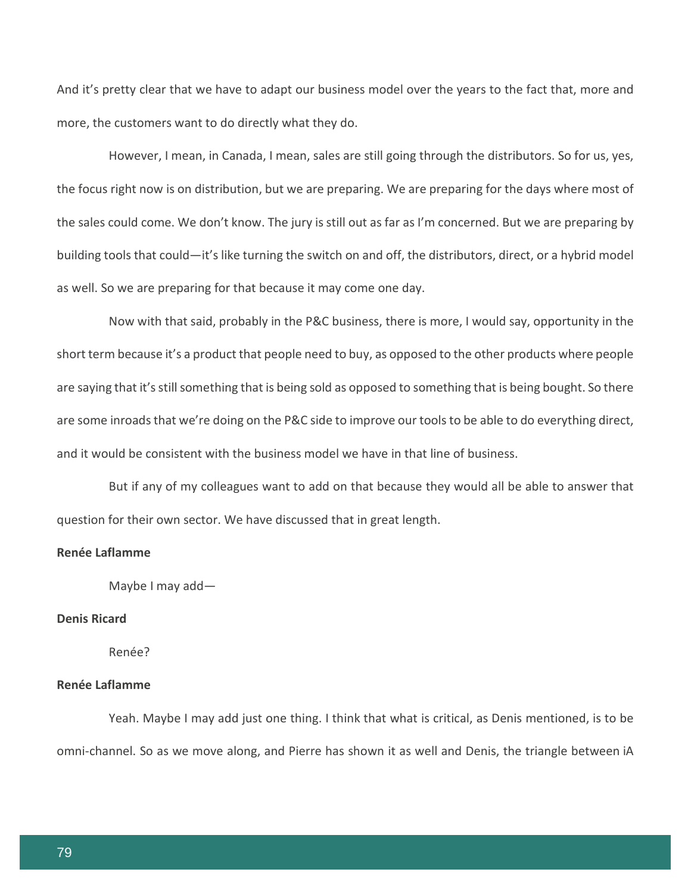And it's pretty clear that we have to adapt our business model over the years to the fact that, more and more, the customers want to do directly what they do.

However, I mean, in Canada, I mean, sales are still going through the distributors. So for us, yes, the focus right now is on distribution, but we are preparing. We are preparing for the days where most of the sales could come. We don't know. The jury is still out as far as I'm concerned. But we are preparing by building tools that could—it's like turning the switch on and off, the distributors, direct, or a hybrid model as well. So we are preparing for that because it may come one day.

Now with that said, probably in the P&C business, there is more, I would say, opportunity in the short term because it's a product that people need to buy, as opposed to the other products where people are saying that it's still something that is being sold as opposed to something that is being bought. So there are some inroads that we're doing on the P&C side to improve our tools to be able to do everything direct, and it would be consistent with the business model we have in that line of business.

But if any of my colleagues want to add on that because they would all be able to answer that question for their own sector. We have discussed that in great length.

# **Renée Laflamme**

Maybe I may add—

## **Denis Ricard**

Renée?

# **Renée Laflamme**

Yeah. Maybe I may add just one thing. I think that what is critical, as Denis mentioned, is to be omni-channel. So as we move along, and Pierre has shown it as well and Denis, the triangle between iA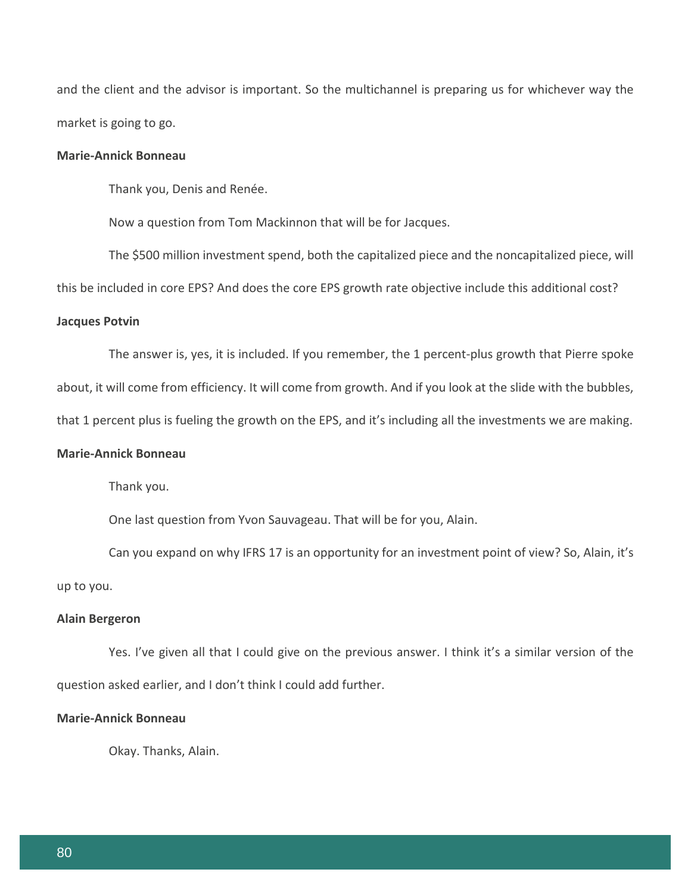and the client and the advisor is important. So the multichannel is preparing us for whichever way the market is going to go.

# **Marie-Annick Bonneau**

Thank you, Denis and Renée.

Now a question from Tom Mackinnon that will be for Jacques.

The \$500 million investment spend, both the capitalized piece and the noncapitalized piece, will

this be included in core EPS? And does the core EPS growth rate objective include this additional cost?

#### **Jacques Potvin**

The answer is, yes, it is included. If you remember, the 1 percent-plus growth that Pierre spoke

about, it will come from efficiency. It will come from growth. And if you look at the slide with the bubbles,

that 1 percent plus is fueling the growth on the EPS, and it's including all the investments we are making.

## **Marie-Annick Bonneau**

Thank you.

One last question from Yvon Sauvageau. That will be for you, Alain.

Can you expand on why IFRS 17 is an opportunity for an investment point of view? So, Alain, it's up to you.

#### **Alain Bergeron**

Yes. I've given all that I could give on the previous answer. I think it's a similar version of the question asked earlier, and I don't think I could add further.

## **Marie-Annick Bonneau**

Okay. Thanks, Alain.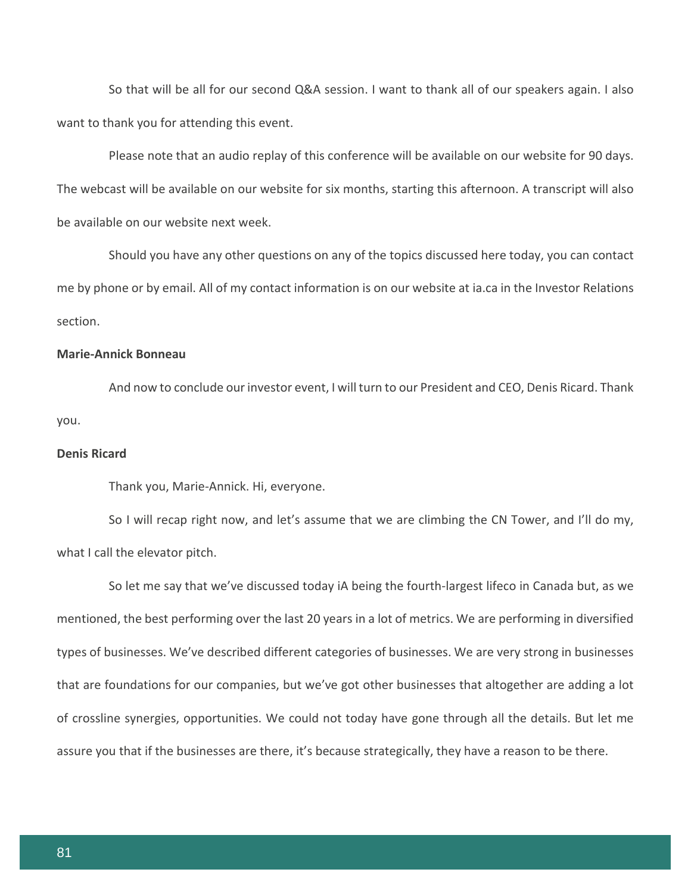So that will be all for our second Q&A session. I want to thank all of our speakers again. I also want to thank you for attending this event.

Please note that an audio replay of this conference will be available on our website for 90 days. The webcast will be available on our website for six months, starting this afternoon. A transcript will also be available on our website next week.

Should you have any other questions on any of the topics discussed here today, you can contact me by phone or by email. All of my contact information is on our website at ia.ca in the Investor Relations section.

# **Marie-Annick Bonneau**

And now to conclude our investor event, I will turn to our President and CEO, Denis Ricard. Thank you.

## **Denis Ricard**

Thank you, Marie-Annick. Hi, everyone.

So I will recap right now, and let's assume that we are climbing the CN Tower, and I'll do my, what I call the elevator pitch.

So let me say that we've discussed today iA being the fourth-largest lifeco in Canada but, as we mentioned, the best performing over the last 20 years in a lot of metrics. We are performing in diversified types of businesses. We've described different categories of businesses. We are very strong in businesses that are foundations for our companies, but we've got other businesses that altogether are adding a lot of crossline synergies, opportunities. We could not today have gone through all the details. But let me assure you that if the businesses are there, it's because strategically, they have a reason to be there.